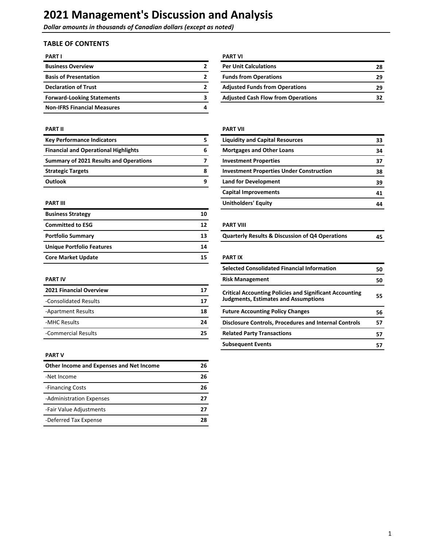**Dollar amounts in thousands of Canadian dollars (except as noted)** 

# **TABLE OF CONTENTS**

| <b>PART I</b>                      |   | <b>PART VI</b>  |
|------------------------------------|---|-----------------|
| <b>Business Overview</b>           | 2 | <b>Per Unit</b> |
| <b>Basis of Presentation</b>       | 2 | <b>Funds fr</b> |
| <b>Declaration of Trust</b>        | 2 | <b>Adjuste</b>  |
| <b>Forward-Looking Statements</b>  | 3 | <b>Adjuste</b>  |
| <b>Non-IFRS Financial Measures</b> | 4 |                 |

| <b>Key Performance Indicators</b>             | <b>Liquidity and Capital Resources</b>          | 33 |
|-----------------------------------------------|-------------------------------------------------|----|
| <b>Financial and Operational Highlights</b>   | <b>Mortgages and Other Loans</b>                | 34 |
| <b>Summary of 2021 Results and Operations</b> | <b>Investment Properties</b>                    | 37 |
| <b>Strategic Targets</b>                      | <b>Investment Properties Under Construction</b> | 38 |
| <b>Outlook</b>                                | <b>Land for Development</b>                     | 39 |

| <b>Business Strategy</b>  | 10 |                                                            |    |
|---------------------------|----|------------------------------------------------------------|----|
| <b>Committed to ESG</b>   | 12 | <b>PART VIII</b>                                           |    |
| <b>Portfolio Summary</b>  | 13 | <b>Quarterly Results &amp; Discussion of Q4 Operations</b> | 45 |
| Unique Portfolio Features | 14 |                                                            |    |
| <b>Core Market Update</b> | 15 | <b>PART IX</b>                                             |    |

| <b>2021 Financial Overview</b> | 17 | <b>Critical Accounting Policies and Significant Accounting</b> |  |  |
|--------------------------------|----|----------------------------------------------------------------|--|--|
| -Consolidated Results          | 17 | <b>Judgments, Estimates and Assumptions</b>                    |  |  |
| -Apartment Results             | 18 | <b>Future Accounting Policy Changes</b>                        |  |  |
| -MHC Results                   | 24 | <b>Disclosure Controls, Procedures and Internal Controls</b>   |  |  |
| -Commercial Results            | 25 | <b>Related Party Transactions</b>                              |  |  |

#### **PART V**

| Other Income and Expenses and Net Income | 26 |
|------------------------------------------|----|
| -Net Income                              | 26 |
| -Financing Costs                         | 26 |
| -Administration Expenses                 | 27 |
| -Fair Value Adjustments                  | 27 |
| -Deferred Tax Expense                    | 28 |

| <b>Business Overview</b>          | <b>Per Unit Calculations</b>              | 28 |
|-----------------------------------|-------------------------------------------|----|
| <b>Basis of Presentation</b>      | <b>Funds from Operations</b>              | 29 |
| <b>Declaration of Trust</b>       | <b>Adjusted Funds from Operations</b>     | 29 |
| <b>Forward-Looking Statements</b> | <b>Adjusted Cash Flow from Operations</b> | 32 |

### **PART II PART II**

| <b>Key Performance Indicators</b>             | <b>Liquidity and Capital Resources</b>          | 33 |
|-----------------------------------------------|-------------------------------------------------|----|
| <b>Financial and Operational Highlights</b>   | <b>Mortgages and Other Loans</b>                | 34 |
| <b>Summary of 2021 Results and Operations</b> | <b>Investment Properties</b>                    | 37 |
| <b>Strategic Targets</b>                      | <b>Investment Properties Under Construction</b> | 38 |
| Outlook                                       | <b>Land for Development</b>                     | 39 |
|                                               | <b>Capital Improvements</b>                     | 41 |
| PART III                                      | <b>Unitholders' Equity</b>                      | 44 |
|                                               |                                                 |    |

#### **PART VIII**

| <b>Quarterly Results &amp; Discussion of Q4 Operations</b> | 45 |
|------------------------------------------------------------|----|
|                                                            |    |

#### **PART IX**

|                                |    | <b>Selected Consolidated Financial Information</b>             | 50 |
|--------------------------------|----|----------------------------------------------------------------|----|
| <b>PART IV</b>                 |    | <b>Risk Management</b>                                         | 50 |
| <b>2021 Financial Overview</b> | 17 | <b>Critical Accounting Policies and Significant Accounting</b> |    |
| -Consolidated Results          | 17 | <b>Judgments, Estimates and Assumptions</b>                    | 55 |
| -Apartment Results             | 18 | <b>Future Accounting Policy Changes</b>                        | 56 |
| -MHC Results                   | 24 | <b>Disclosure Controls, Procedures and Internal Controls</b>   | 57 |
| -Commercial Results            | 25 | <b>Related Party Transactions</b>                              | 57 |
|                                |    | <b>Subsequent Events</b>                                       | 57 |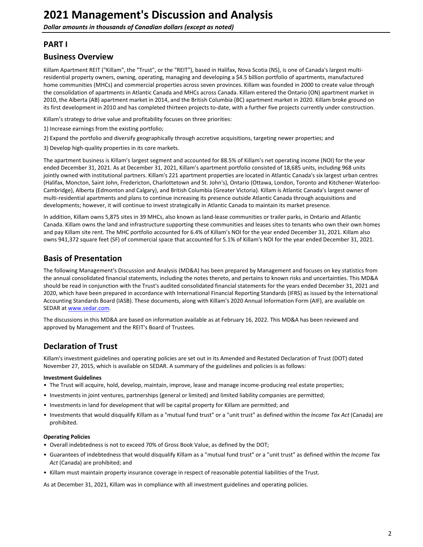## <span id="page-1-0"></span>**PART I**

### **Business Overview**

Killam Apartment REIT ("Killam", the "Trust", or the "REIT"), based in Halifax, Nova Scotia (NS), is one of Canada's largest multiresidential property owners, owning, operating, managing and developing a \$4.5 billion portfolio of apartments, manufactured home communities (MHCs) and commercial properties across seven provinces. Killam was founded in 2000 to create value through the consolidation of apartments in Atlantic Canada and MHCs across Canada. Killam entered the Ontario (ON) apartment market in 2010, the Alberta (AB) apartment market in 2014, and the British Columbia (BC) apartment market in 2020. Killam broke ground on its first development in 2010 and has completed thirteen projects to-date, with a further five projects currently under construction.

Killam's strategy to drive value and profitability focuses on three priorities:

- 1) Increase earnings from the existing portfolio;
- 2) Expand the portfolio and diversify geographically through accretive acquisitions, targeting newer properties; and
- 3) Develop high-quality properties in its core markets.

The apartment business is Killam's largest segment and accounted for 88.5% of Killam's net operating income (NOI) for the year ended December 31, 2021. As at December 31, 2021, Killam's apartment portfolio consisted of 18,685 units, including 968 units jointly owned with institutional partners. Killam's 221 apartment properties are located in Atlantic Canada's six largest urban centres (Halifax, Moncton, Saint John, Fredericton, Charlottetown and St. John's), Ontario (Ottawa, London, Toronto and Kitchener-Waterloo-Cambridge), Alberta (Edmonton and Calgary), and British Columbia (Greater Victoria). Killam is Atlantic Canada's largest owner of multi-residential apartments and plans to continue increasing its presence outside Atlantic Canada through acquisitions and developments; however, it will continue to invest strategically in Atlantic Canada to maintain its market presence.

In addition, Killam owns 5,875 sites in 39 MHCs, also known as land-lease communities or trailer parks, in Ontario and Atlantic Canada. Killam owns the land and infrastructure supporting these communities and leases sites to tenants who own their own homes and pay Killam site rent. The MHC portfolio accounted for 6.4% of Killam's NOI for the year ended December 31, 2021. Killam also owns 941,372 square feet (SF) of commercial space that accounted for 5.1% of Killam's NOI for the year ended December 31, 2021.

## **Basis of Presentation**

The following Management's Discussion and Analysis (MD&A) has been prepared by Management and focuses on key statistics from the annual consolidated financial statements, including the notes thereto, and pertains to known risks and uncertainties. This MD&A should be read in conjunction with the Trust's audited consolidated financial statements for the years ended December 31, 2021 and 2020, which have been prepared in accordance with International Financial Reporting Standards (IFRS) as issued by the International Accounting Standards Board (IASB). These documents, along with Killam's 2020 Annual Information Form (AIF), are available on SEDAR at [www.sedar.com](http://www.sedar.com).

The discussions in this MD&A are based on information available as at February 16, 2022. This MD&A has been reviewed and approved by Management and the REIT's Board of Trustees.

# **Declaration of Trust**

Killam's investment guidelines and operating policies are set out in its Amended and Restated Declaration of Trust (DOT) dated November 27, 2015, which is available on SEDAR. A summary of the guidelines and policies is as follows:

#### **Investment Guidelines**

- The Trust will acquire, hold, develop, maintain, improve, lease and manage income-producing real estate properties;
- Investments in joint ventures, partnerships (general or limited) and limited liability companies are permitted;
- Investments in land for development that will be capital property for Killam are permitted; and
- Investments that would disqualify Killam as a "mutual fund trust" or a "unit trust" as defined within the *Income Tax Act* (Canada) are prohibited.

#### **Operating Policies**

- Overall indebtedness is not to exceed 70% of Gross Book Value, as defined by the DOT;
- Guarantees of indebtedness that would disqualify Killam as a "mutual fund trust" or a "unit trust" as defined within the *Income Tax* Act (Canada) are prohibited; and
- Killam must maintain property insurance coverage in respect of reasonable potential liabilities of the Trust.

As at December 31, 2021, Killam was in compliance with all investment guidelines and operating policies.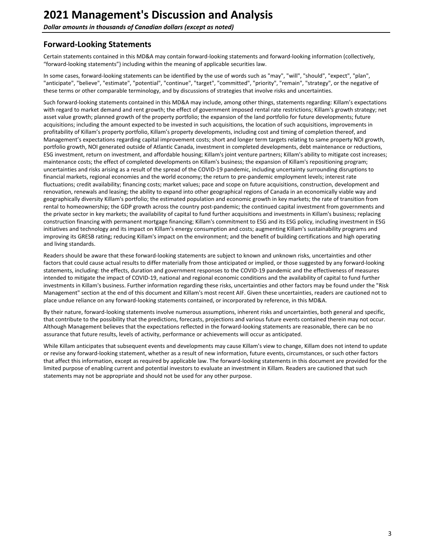# <span id="page-2-0"></span>**Forward-Looking Statements**

Certain statements contained in this MD&A may contain forward-looking statements and forward-looking information (collectively, "forward-looking statements") including within the meaning of applicable securities law.

In some cases, forward-looking statements can be identified by the use of words such as "may", "will", "should", "expect", "plan", "anticipate", "believe", "estimate", "potential", "continue", "target", "committed", "priority", "remain", "strategy", or the negative of these terms or other comparable terminology, and by discussions of strategies that involve risks and uncertainties.

Such forward-looking statements contained in this MD&A may include, among other things, statements regarding: Killam's expectations with regard to market demand and rent growth; the effect of government imposed rental rate restrictions; Killam's growth strategy; net asset value growth; planned growth of the property portfolio; the expansion of the land portfolio for future developments; future acquisitions; including the amount expected to be invested in such acquisitions, the location of such acquisitions, improvements in profitability of Killam's property portfolio, Killam's property developments, including cost and timing of completion thereof, and Management's expectations regarding capital improvement costs; short and longer term targets relating to same property NOI growth, portfolio growth, NOI generated outside of Atlantic Canada, investment in completed developments, debt maintenance or reductions, ESG investment, return on investment, and affordable housing; Killam's joint venture partners; Killam's ability to mitigate cost increases; maintenance costs; the effect of completed developments on Killam's business; the expansion of Killam's repositioning program; uncertainties and risks arising as a result of the spread of the COVID-19 pandemic, including uncertainty surrounding disruptions to financial markets, regional economies and the world economy; the return to pre-pandemic employment levels; interest rate fluctuations; credit availability; financing costs; market values; pace and scope on future acquisitions, construction, development and renovation, renewals and leasing; the ability to expand into other geographical regions of Canada in an economically viable way and geographically diversity Killam's portfolio; the estimated population and economic growth in key markets; the rate of transition from rental to homeownership; the GDP growth across the country post-pandemic; the continued capital investment from governments and the private sector in key markets; the availability of capital to fund further acquisitions and investments in Killam's business; replacing construction financing with permanent mortgage financing; Killam's commitment to ESG and its ESG policy, including investment in ESG initiatives and technology and its impact on Killam's energy consumption and costs; augmenting Killam's sustainability programs and improving its GRESB rating; reducing Killam's impact on the environment; and the benefit of building certifications and high operating and living standards.

Readers should be aware that these forward-looking statements are subject to known and unknown risks, uncertainties and other factors that could cause actual results to differ materially from those anticipated or implied, or those suggested by any forward-looking statements, including: the effects, duration and government responses to the COVID-19 pandemic and the effectiveness of measures intended to mitigate the impact of COVID-19, national and regional economic conditions and the availability of capital to fund further investments in Killam's business. Further information regarding these risks, uncertainties and other factors may be found under the "Risk Management" section at the end of this document and Killam's most recent AIF. Given these uncertainties, readers are cautioned not to place undue reliance on any forward-looking statements contained, or incorporated by reference, in this MD&A.

By their nature, forward-looking statements involve numerous assumptions, inherent risks and uncertainties, both general and specific, that contribute to the possibility that the predictions, forecasts, projections and various future events contained therein may not occur. Although Management believes that the expectations reflected in the forward-looking statements are reasonable, there can be no assurance that future results, levels of activity, performance or achievements will occur as anticipated.

While Killam anticipates that subsequent events and developments may cause Killam's view to change, Killam does not intend to update or revise any forward-looking statement, whether as a result of new information, future events, circumstances, or such other factors that affect this information, except as required by applicable law. The forward-looking statements in this document are provided for the limited purpose of enabling current and potential investors to evaluate an investment in Killam. Readers are cautioned that such statements may not be appropriate and should not be used for any other purpose.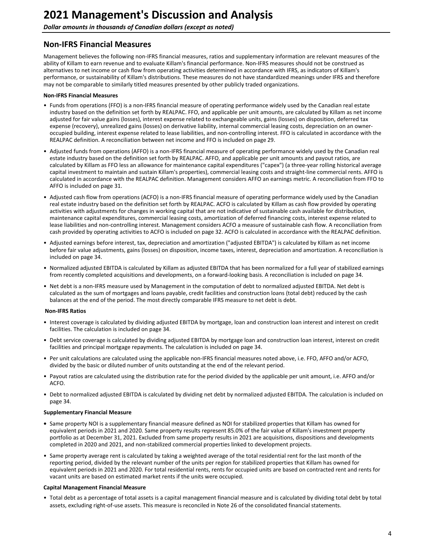<span id="page-3-0"></span>**Dollar amounts in thousands of Canadian dollars (except as noted)** 

# **Non-IFRS Financial Measures**

Management believes the following non-IFRS financial measures, ratios and supplementary information are relevant measures of the ability of Killam to earn revenue and to evaluate Killam's financial performance. Non-IFRS measures should not be construed as alternatives to net income or cash flow from operating activities determined in accordance with IFRS, as indicators of Killam's performance, or sustainability of Killam's distributions. These measures do not have standardized meanings under IFRS and therefore may not be comparable to similarly titled measures presented by other publicly traded organizations.

#### **Non-IFRS Financial Measures**

- Funds from operations (FFO) is a non-IFRS financial measure of operating performance widely used by the Canadian real estate industry based on the definition set forth by REALPAC. FFO, and applicable per unit amounts, are calculated by Killam as net income adjusted for fair value gains (losses), interest expense related to exchangeable units, gains (losses) on disposition, deferred tax expense (recovery), unrealized gains (losses) on derivative liability, internal commercial leasing costs, depreciation on an owneroccupied building, interest expense related to lease liabilities, and non-controlling interest. FFO is calculated in accordance with the REALPAC definition. A reconciliation between net income and FFO is included on page 29.
- Adjusted funds from operations (AFFO) is a non-IFRS financial measure of operating performance widely used by the Canadian real estate industry based on the definition set forth by REALPAC. AFFO, and applicable per unit amounts and payout ratios, are calculated by Killam as FFO less an allowance for maintenance capital expenditures ("capex") (a three-year rolling historical average capital investment to maintain and sustain Killam's properties), commercial leasing costs and straight-line commercial rents. AFFO is calculated in accordance with the REALPAC definition. Management considers AFFO an earnings metric. A reconciliation from FFO to AFFO is included on page 31.
- Adjusted cash flow from operations (ACFO) is a non-IFRS financial measure of operating performance widely used by the Canadian real estate industry based on the definition set forth by REALPAC. ACFO is calculated by Killam as cash flow provided by operating activities with adjustments for changes in working capital that are not indicative of sustainable cash available for distribution, maintenance capital expenditures, commercial leasing costs, amortization of deferred financing costs, interest expense related to lease liabilities and non-controlling interest. Management considers ACFO a measure of sustainable cash flow. A reconciliation from cash provided by operating activities to ACFO is included on page [32.](#page-31-0) ACFO is calculated in accordance with the REALPAC definition.
- Adjusted earnings before interest, tax, depreciation and amortization ("adjusted EBITDA") is calculated by Killam as net income before fair value adjustments, gains (losses) on disposition, income taxes, interest, depreciation and amortization. A reconciliation is included on page 34.
- Normalized adjusted EBITDA is calculated by Killam as adjusted EBITDA that has been normalized for a full year of stabilized earnings from recently completed acquisitions and developments, on a forward-looking basis. A reconciliation is included on page 34.
- Net debt is a non-IFRS measure used by Management in the computation of debt to normalized adjusted EBITDA. Net debt is calculated as the sum of mortgages and loans payable, credit facilities and construction loans (total debt) reduced by the cash balances at the end of the period. The most directly comparable IFRS measure to net debt is debt.

#### **Non-IFRS Ratios**

- Interest coverage is calculated by dividing adjusted EBITDA by mortgage, loan and construction loan interest and interest on credit facilities. The calculation is included on page 34.
- Debt service coverage is calculated by dividing adjusted EBITDA by mortgage loan and construction loan interest, interest on credit facilities and principal mortgage repayments. The calculation is included on page 34.
- Per unit calculations are calculated using the applicable non-IFRS financial measures noted above, i.e. FFO, AFFO and/or ACFO, divided by the basic or diluted number of units outstanding at the end of the relevant period.
- Payout ratios are calculated using the distribution rate for the period divided by the applicable per unit amount, i.e. AFFO and/or ACFO.
- Debt to normalized adjusted EBITDA is calculated by dividing net debt by normalized adjusted EBITDA. The calculation is included on page 34.

#### **Supplementary Financial Measure**

- Same property NOI is a supplementary financial measure defined as NOI for stabilized properties that Killam has owned for equivalent periods in 2021 and 2020. Same property results represent 85.0% of the fair value of Killam's investment property portfolio as at December 31, 2021. Excluded from same property results in 2021 are acquisitions, dispositions and developments completed in 2020 and 2021, and non-stabilized commercial properties linked to development projects.
- Same property average rent is calculated by taking a weighted average of the total residential rent for the last month of the reporting period, divided by the relevant number of the units per region for stabilized properties that Killam has owned for equivalent periods in 2021 and 2020. For total residential rents, rents for occupied units are based on contracted rent and rents for vacant units are based on estimated market rents if the units were occupied.

#### **Capital Management Financial Measure**

• Total debt as a percentage of total assets is a capital management financial measure and is calculated by dividing total debt by total assets, excluding right-of-use assets. This measure is reconciled in Note 26 of the consolidated financial statements.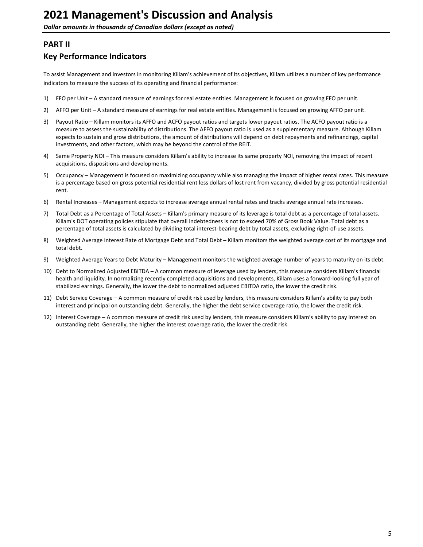# <span id="page-4-0"></span>**PART II**

# **Key Performance Indicators**

To assist Management and investors in monitoring Killam's achievement of its objectives, Killam utilizes a number of key performance indicators to measure the success of its operating and financial performance:

- 1) FFO per Unit A standard measure of earnings for real estate entities. Management is focused on growing FFO per unit.
- 2) AFFO per Unit A standard measure of earnings for real estate entities. Management is focused on growing AFFO per unit.
- 3) Payout Ratio Killam monitors its AFFO and ACFO payout ratios and targets lower payout ratios. The ACFO payout ratio is a measure to assess the sustainability of distributions. The AFFO payout ratio is used as a supplementary measure. Although Killam expects to sustain and grow distributions, the amount of distributions will depend on debt repayments and refinancings, capital investments, and other factors, which may be beyond the control of the REIT.
- 4) Same Property NOI This measure considers Killam's ability to increase its same property NOI, removing the impact of recent acquisitions, dispositions and developments.
- 5) Occupancy Management is focused on maximizing occupancy while also managing the impact of higher rental rates. This measure is a percentage based on gross potential residential rent less dollars of lost rent from vacancy, divided by gross potential residential rent.
- 6) Rental Increases Management expects to increase average annual rental rates and tracks average annual rate increases.
- 7) Total Debt as a Percentage of Total Assets Killam's primary measure of its leverage is total debt as a percentage of total assets. Killam's DOT operating policies stipulate that overall indebtedness is not to exceed 70% of Gross Book Value. Total debt as a percentage of total assets is calculated by dividing total interest-bearing debt by total assets, excluding right-of-use assets.
- 8) Weighted Average Interest Rate of Mortgage Debt and Total Debt Killam monitors the weighted average cost of its mortgage and total debt.
- 9) Weighted Average Years to Debt Maturity Management monitors the weighted average number of years to maturity on its debt.
- 10) Debt to Normalized Adjusted EBITDA A common measure of leverage used by lenders, this measure considers Killam's financial health and liquidity. In normalizing recently completed acquisitions and developments, Killam uses a forward-looking full year of stabilized earnings. Generally, the lower the debt to normalized adjusted EBITDA ratio, the lower the credit risk.
- 11) Debt Service Coverage A common measure of credit risk used by lenders, this measure considers Killam's ability to pay both interest and principal on outstanding debt. Generally, the higher the debt service coverage ratio, the lower the credit risk.
- 12) Interest Coverage A common measure of credit risk used by lenders, this measure considers Killam's ability to pay interest on outstanding debt. Generally, the higher the interest coverage ratio, the lower the credit risk.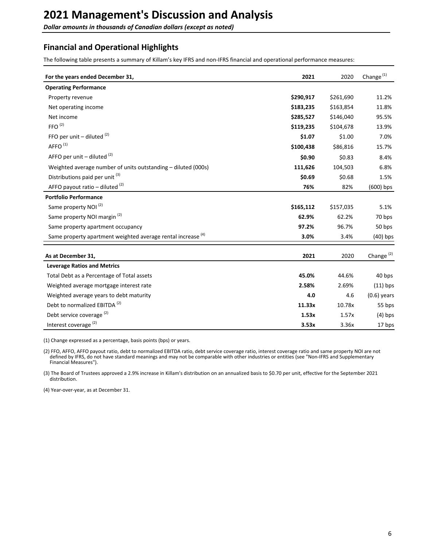<span id="page-5-0"></span>**Dollar amounts in thousands of Canadian dollars (except as noted)** 

# **Financial and Operational Highlights**

The following table presents a summary of Killam's key IFRS and non-IFRS financial and operational performance measures:

| For the years ended December 31,                                        | 2021      | 2020      | Change $(1)$          |
|-------------------------------------------------------------------------|-----------|-----------|-----------------------|
| <b>Operating Performance</b>                                            |           |           |                       |
| Property revenue                                                        | \$290,917 | \$261,690 | 11.2%                 |
| Net operating income                                                    | \$183,235 | \$163,854 | 11.8%                 |
| Net income                                                              | \$285,527 | \$146,040 | 95.5%                 |
| FFO <sup>(2)</sup>                                                      | \$119,235 | \$104,678 | 13.9%                 |
| FFO per unit $-$ diluted $(2)$                                          | \$1.07    | \$1.00    | 7.0%                  |
| AFFO <sup>(1)</sup>                                                     | \$100,438 | \$86,816  | 15.7%                 |
| AFFO per unit $-$ diluted $(2)$                                         | \$0.90    | \$0.83    | 8.4%                  |
| Weighted average number of units outstanding - diluted (000s)           | 111,626   | 104,503   | 6.8%                  |
| Distributions paid per unit (3)                                         | \$0.69    | \$0.68    | 1.5%                  |
| AFFO payout ratio – diluted $(2)$                                       | 76%       | 82%       | $(600)$ bps           |
| <b>Portfolio Performance</b>                                            |           |           |                       |
| Same property NOI <sup>(2)</sup>                                        | \$165,112 | \$157,035 | 5.1%                  |
| Same property NOI margin <sup>(2)</sup>                                 | 62.9%     | 62.2%     | 70 bps                |
| Same property apartment occupancy                                       | 97.2%     | 96.7%     | 50 bps                |
| Same property apartment weighted average rental increase <sup>(4)</sup> | 3.0%      | 3.4%      | $(40)$ bps            |
| As at December 31,                                                      | 2021      | 2020      | Change <sup>(2)</sup> |
| <b>Leverage Ratios and Metrics</b>                                      |           |           |                       |
| Total Debt as a Percentage of Total assets                              | 45.0%     | 44.6%     | 40 bps                |
| Weighted average mortgage interest rate                                 | 2.58%     | 2.69%     | $(11)$ bps            |
| Weighted average years to debt maturity                                 | 4.0       | 4.6       | $(0.6)$ years         |
| Debt to normalized EBITDA <sup>(2)</sup>                                | 11.33x    | 10.78x    | 55 bps                |
| Debt service coverage <sup>(2)</sup>                                    | 1.53x     | 1.57x     | $(4)$ bps             |
| Interest coverage <sup>(2)</sup>                                        | 3.53x     | 3.36x     | 17 bps                |

(1) Change expressed as a percentage, basis points (bps) or years.

(2) FFO, AFFO, AFFO payout ratio, debt to normalized EBITDA ratio, debt service coverage ratio, interest coverage ratio and same property NOI are not defined by IFRS, do not have standard meanings and may not be comparable with other industries or entities (see "Non-IFRS and Supplementary Financial Measures").

(3) The Board of Trustees approved a 2.9% increase in Killam's distribution on an annualized basis to \$0.70 per unit, effective for the September 2021 distribution. 

(4) Year-over-year, as at December 31.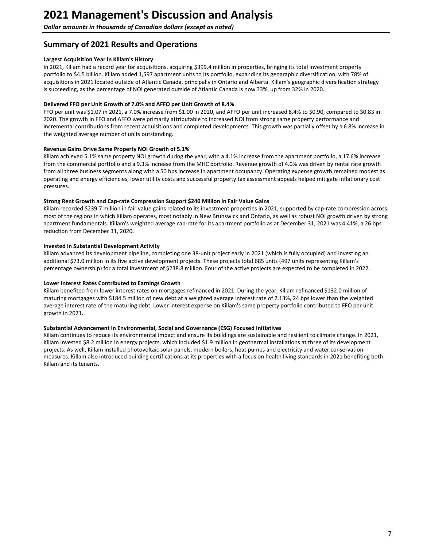<span id="page-6-0"></span>**Dollar amounts in thousands of Canadian dollars (except as noted)** 

# **Summary of 2021 Results and Operations**

#### **Largest Acquisition Year in Killam's History**

In 2021, Killam had a record year for acquisitions, acquiring \$399.4 million in properties, bringing its total investment property portfolio to \$4.5 billion. Killam added 1,597 apartment units to its portfolio, expanding its geographic diversification, with 78% of acquisitions in 2021 located outside of Atlantic Canada, principally in Ontario and Alberta. Killam's geographic diversification strategy is succeeding, as the percentage of NOI generated outside of Atlantic Canada is now 33%, up from 32% in 2020.

#### Delivered FFO per Unit Growth of 7.0% and AFFO per Unit Growth of 8.4%

FFO per unit was \$1.07 in 2021, a 7.0% increase from \$1.00 in 2020, and AFFO per unit increased 8.4% to \$0.90, compared to \$0.83 in 2020. The growth in FFO and AFFO were primarily attributable to increased NOI from strong same property performance and incremental contributions from recent acquisitions and completed developments. This growth was partially offset by a 6.8% increase in the weighted average number of units outstanding.

#### **Revenue Gains Drive Same Property NOI Growth of 5.1%**

Killam achieved 5.1% same property NOI growth during the year, with a 4.1% increase from the apartment portfolio, a 17.6% increase from the commercial portfolio and a 9.3% increase from the MHC portfolio. Revenue growth of 4.0% was driven by rental rate growth from all three business segments along with a 50 bps increase in apartment occupancy. Operating expense growth remained modest as operating and energy efficiencies, lower utility costs and successful property tax assessment appeals helped mitigate inflationary cost pressures. 

#### Strong Rent Growth and Cap-rate Compression Support \$240 Million in Fair Value Gains

Killam recorded \$239.7 million in fair value gains related to its investment properties in 2021, supported by cap-rate compression across most of the regions in which Killam operates, most notably in New Brunswick and Ontario, as well as robust NOI growth driven by strong apartment fundamentals. Killam's weighted average cap-rate for its apartment portfolio as at December 31, 2021 was 4.41%, a 26 bps reduction from December 31, 2020.

#### **Invested in Substantial Development Activity**

Killam advanced its development pipeline, completing one 38-unit project early in 2021 (which is fully occupied) and investing an additional \$73.0 million in its five active development projects. These projects total 685 units (497 units representing Killam's percentage ownership) for a total investment of \$238.8 million. Four of the active projects are expected to be completed in 2022.

#### Lower Interest Rates Contributed to Earnings Growth

Killam benefited from lower interest rates on mortgages refinanced in 2021. During the year, Killam refinanced \$132.0 million of maturing mortgages with \$184.5 million of new debt at a weighted average interest rate of 2.13%, 24 bps lower than the weighted average interest rate of the maturing debt. Lower interest expense on Killam's same property portfolio contributed to FFO per unit growth in 2021.

#### Substantial Advancement in Environmental, Social and Governance (ESG) Focused Initiatives

Killam continues to reduce its environmental impact and ensure its buildings are sustainable and resilient to climate change. In 2021, Killam invested \$8.2 million in energy projects, which included \$1.9 million in geothermal installations at three of its development projects. As well, Killam installed photovoltaic solar panels, modern boilers, heat pumps and electricity and water conservation measures. Killam also introduced building certifications at its properties with a focus on health living standards in 2021 benefiting both Killam and its tenants.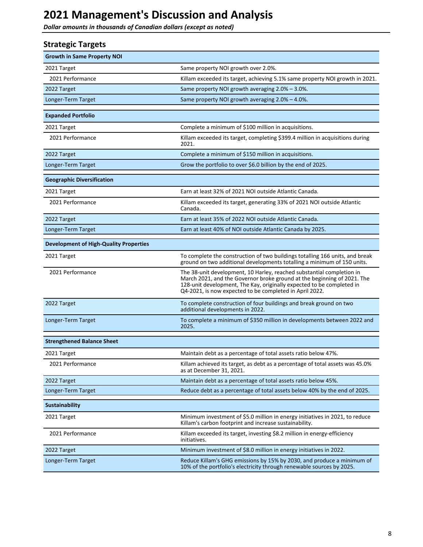<span id="page-7-0"></span>**Dollar amounts in thousands of Canadian dollars (except as noted)** 

| <b>Strategic Targets</b>                      |                                                                                                                                                                                                                                                                                      |
|-----------------------------------------------|--------------------------------------------------------------------------------------------------------------------------------------------------------------------------------------------------------------------------------------------------------------------------------------|
| <b>Growth in Same Property NOI</b>            |                                                                                                                                                                                                                                                                                      |
| 2021 Target                                   | Same property NOI growth over 2.0%.                                                                                                                                                                                                                                                  |
| 2021 Performance                              | Killam exceeded its target, achieving 5.1% same property NOI growth in 2021.                                                                                                                                                                                                         |
| 2022 Target                                   | Same property NOI growth averaging 2.0% - 3.0%.                                                                                                                                                                                                                                      |
| Longer-Term Target                            | Same property NOI growth averaging 2.0% - 4.0%.                                                                                                                                                                                                                                      |
| <b>Expanded Portfolio</b>                     |                                                                                                                                                                                                                                                                                      |
| 2021 Target                                   | Complete a minimum of \$100 million in acquisitions.                                                                                                                                                                                                                                 |
| 2021 Performance                              | Killam exceeded its target, completing \$399.4 million in acquisitions during<br>2021.                                                                                                                                                                                               |
| 2022 Target                                   | Complete a minimum of \$150 million in acquisitions.                                                                                                                                                                                                                                 |
| Longer-Term Target                            | Grow the portfolio to over \$6.0 billion by the end of 2025.                                                                                                                                                                                                                         |
| <b>Geographic Diversification</b>             |                                                                                                                                                                                                                                                                                      |
| 2021 Target                                   | Earn at least 32% of 2021 NOI outside Atlantic Canada.                                                                                                                                                                                                                               |
| 2021 Performance                              | Killam exceeded its target, generating 33% of 2021 NOI outside Atlantic<br>Canada.                                                                                                                                                                                                   |
| 2022 Target                                   | Earn at least 35% of 2022 NOI outside Atlantic Canada.                                                                                                                                                                                                                               |
| Longer-Term Target                            | Earn at least 40% of NOI outside Atlantic Canada by 2025.                                                                                                                                                                                                                            |
| <b>Development of High-Quality Properties</b> |                                                                                                                                                                                                                                                                                      |
| 2021 Target                                   | To complete the construction of two buildings totalling 166 units, and break<br>ground on two additional developments totalling a minimum of 150 units.                                                                                                                              |
| 2021 Performance                              | The 38-unit development, 10 Harley, reached substantial completion in<br>March 2021, and the Governor broke ground at the beginning of 2021. The<br>128-unit development, The Kay, originally expected to be completed in<br>Q4-2021, is now expected to be completed in April 2022. |
| 2022 Target                                   | To complete construction of four buildings and break ground on two<br>additional developments in 2022.                                                                                                                                                                               |
| Longer-Term Target                            | To complete a minimum of \$350 million in developments between 2022 and<br>2025.                                                                                                                                                                                                     |
| <b>Strengthened Balance Sheet</b>             |                                                                                                                                                                                                                                                                                      |
| 2021 Target                                   | Maintain debt as a percentage of total assets ratio below 47%.                                                                                                                                                                                                                       |
| 2021 Performance                              | Killam achieved its target, as debt as a percentage of total assets was 45.0%<br>as at December 31, 2021.                                                                                                                                                                            |
| 2022 Target                                   | Maintain debt as a percentage of total assets ratio below 45%.                                                                                                                                                                                                                       |
| Longer-Term Target                            | Reduce debt as a percentage of total assets below 40% by the end of 2025.                                                                                                                                                                                                            |
| <b>Sustainability</b>                         |                                                                                                                                                                                                                                                                                      |
| 2021 Target                                   | Minimum investment of \$5.0 million in energy initiatives in 2021, to reduce<br>Killam's carbon footprint and increase sustainability.                                                                                                                                               |
| 2021 Performance                              | Killam exceeded its target, investing \$8.2 million in energy-efficiency<br>initiatives.                                                                                                                                                                                             |
| 2022 Target                                   | Minimum investment of \$8.0 million in energy initiatives in 2022.                                                                                                                                                                                                                   |
| Longer-Term Target                            | Reduce Killam's GHG emissions by 15% by 2030, and produce a minimum of<br>10% of the portfolio's electricity through renewable sources by 2025.                                                                                                                                      |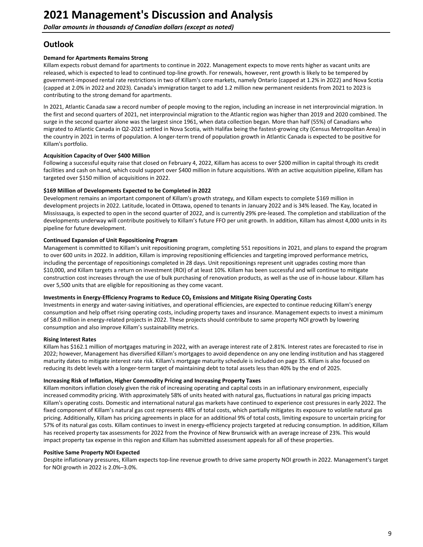# <span id="page-8-0"></span>**Outlook**

#### **Demand for Apartments Remains Strong**

Killam expects robust demand for apartments to continue in 2022. Management expects to move rents higher as vacant units are released, which is expected to lead to continued top-line growth. For renewals, however, rent growth is likely to be tempered by government-imposed rental rate restrictions in two of Killam's core markets, namely Ontario (capped at 1.2% in 2022) and Nova Scotia (capped at 2.0% in 2022 and 2023). Canada's immigration target to add 1.2 million new permanent residents from 2021 to 2023 is contributing to the strong demand for apartments.

In 2021, Atlantic Canada saw a record number of people moving to the region, including an increase in net interprovincial migration. In the first and second quarters of 2021, net interprovincial migration to the Atlantic region was higher than 2019 and 2020 combined. The surge in the second quarter alone was the largest since 1961, when data collection began. More than half (55%) of Canadians who migrated to Atlantic Canada in Q2-2021 settled in Nova Scotia, with Halifax being the fastest-growing city (Census Metropolitan Area) in the country in 2021 in terms of population. A longer-term trend of population growth in Atlantic Canada is expected to be positive for Killam's portfolio.

#### **Acquisition Capacity of Over \$400 Million**

Following a successful equity raise that closed on February 4, 2022, Killam has access to over \$200 million in capital through its credit facilities and cash on hand, which could support over \$400 million in future acquisitions. With an active acquisition pipeline, Killam has targeted over \$150 million of acquisitions in 2022.

#### \$169 Million of Developments Expected to be Completed in 2022

Development remains an important component of Killam's growth strategy, and Killam expects to complete \$169 million in development projects in 2022. Latitude, located in Ottawa, opened to tenants in January 2022 and is 34% leased. The Kay, located in Mississauga, is expected to open in the second quarter of 2022, and is currently 29% pre-leased. The completion and stabilization of the developments underway will contribute positively to Killam's future FFO per unit growth. In addition, Killam has almost 4,000 units in its pipeline for future development.

#### **Continued Expansion of Unit Repositioning Program**

Management is committed to Killam's unit repositioning program, completing 551 repositions in 2021, and plans to expand the program to over 600 units in 2022. In addition, Killam is improving repositioning efficiencies and targeting improved performance metrics, including the percentage of repositionings completed in 28 days. Unit repositionings represent unit upgrades costing more than \$10,000, and Killam targets a return on investment (ROI) of at least 10%. Killam has been successful and will continue to mitigate construction cost increases through the use of bulk purchasing of renovation products, as well as the use of in-house labour. Killam has over 5,500 units that are eligible for repositioning as they come vacant.

#### Investments in Energy-Efficiency Programs to Reduce CO<sub>2</sub> Emissions and Mitigate Rising Operating Costs

Investments in energy and water-saving initiatives, and operational efficiencies, are expected to continue reducing Killam's energy consumption and help offset rising operating costs, including property taxes and insurance. Management expects to invest a minimum of \$8.0 million in energy-related projects in 2022. These projects should contribute to same property NOI growth by lowering consumption and also improve Killam's sustainability metrics.

#### **Rising Interest Rates**

Killam has \$162.1 million of mortgages maturing in 2022, with an average interest rate of 2.81%. Interest rates are forecasted to rise in 2022; however, Management has diversified Killam's mortgages to avoid dependence on any one lending institution and has staggered maturity dates to mitigate interest rate risk. Killam's mortgage maturity schedule is included on page 35. Killam is also focused on reducing its debt levels with a longer-term target of maintaining debt to total assets less than 40% by the end of 2025.

#### **Increasing Risk of Inflation, Higher Commodity Pricing and Increasing Property Taxes**

Killam monitors inflation closely given the risk of increasing operating and capital costs in an inflationary environment, especially increased commodity pricing. With approximately 58% of units heated with natural gas, fluctuations in natural gas pricing impacts Killam's operating costs. Domestic and international natural gas markets have continued to experience cost pressures in early 2022. The fixed component of Killam's natural gas cost represents 48% of total costs, which partially mitigates its exposure to volatile natural gas pricing. Additionally, Killam has pricing agreements in place for an additional 9% of total costs, limiting exposure to uncertain pricing for 57% of its natural gas costs. Killam continues to invest in energy-efficiency projects targeted at reducing consumption. In addition, Killam has received property tax assessments for 2022 from the Province of New Brunswick with an average increase of 23%. This would impact property tax expense in this region and Killam has submitted assessment appeals for all of these properties.

#### **Positive Same Property NOI Expected**

Despite inflationary pressures, Killam expects top-line revenue growth to drive same property NOI growth in 2022. Management's target for NOI growth in 2022 is 2.0%–3.0%.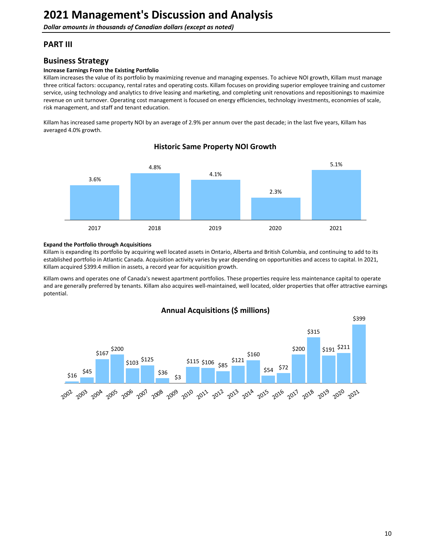# <span id="page-9-0"></span>**PART III**

# **Business Strategy**

#### **Increase Earnings From the Existing Portfolio**

Killam increases the value of its portfolio by maximizing revenue and managing expenses. To achieve NOI growth, Killam must manage three critical factors: occupancy, rental rates and operating costs. Killam focuses on providing superior employee training and customer service, using technology and analytics to drive leasing and marketing, and completing unit renovations and repositionings to maximize revenue on unit turnover. Operating cost management is focused on energy efficiencies, technology investments, economies of scale, risk management, and staff and tenant education.

Killam has increased same property NOI by an average of 2.9% per annum over the past decade; in the last five years, Killam has averaged 4.0% growth.



### **Historic Same Property NOI Growth**

#### **Expand the Portfolio through Acquisitions**

Killam is expanding its portfolio by acquiring well located assets in Ontario, Alberta and British Columbia, and continuing to add to its established portfolio in Atlantic Canada. Acquisition activity varies by year depending on opportunities and access to capital. In 2021, Killam acquired \$399.4 million in assets, a record year for acquisition growth.

Killam owns and operates one of Canada's newest apartment portfolios. These properties require less maintenance capital to operate and are generally preferred by tenants. Killam also acquires well-maintained, well located, older properties that offer attractive earnings potential.



# **Annual Acquisitions (\$ millions)**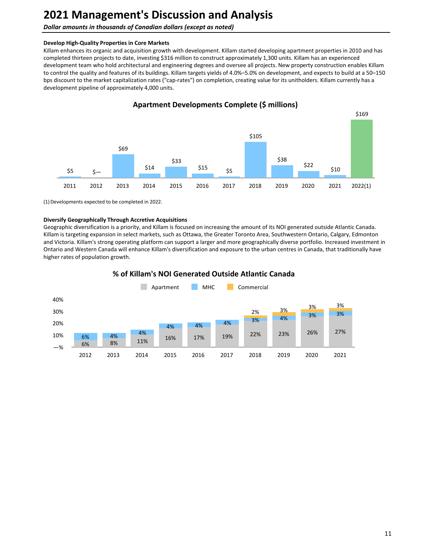#### **Dollar amounts in thousands of Canadian dollars (except as noted)**

#### **Develop High-Quality Properties in Core Markets**

Killam enhances its organic and acquisition growth with development. Killam started developing apartment properties in 2010 and has completed thirteen projects to date, investing \$316 million to construct approximately 1,300 units. Killam has an experienced development team who hold architectural and engineering degrees and oversee all projects. New property construction enables Killam to control the quality and features of its buildings. Killam targets yields of 4.0%–5.0% on development, and expects to build at a 50–150 bps discount to the market capitalization rates ("cap-rates") on completion, creating value for its unitholders. Killam currently has a development pipeline of approximately 4,000 units.



### **Apartment Developments Complete (\$ millions)**

(1) Developments expected to be completed in 2022.

#### **Diversify Geographically Through Accretive Acquisitions**

Geographic diversification is a priority, and Killam is focused on increasing the amount of its NOI generated outside Atlantic Canada. Killam is targeting expansion in select markets, such as Ottawa, the Greater Toronto Area, Southwestern Ontario, Calgary, Edmonton and Victoria. Killam's strong operating platform can support a larger and more geographically diverse portfolio. Increased investment in Ontario and Western Canada will enhance Killam's diversification and exposure to the urban centres in Canada, that traditionally have higher rates of population growth.



### **% of Killam's NOI Generated Outside Atlantic Canada**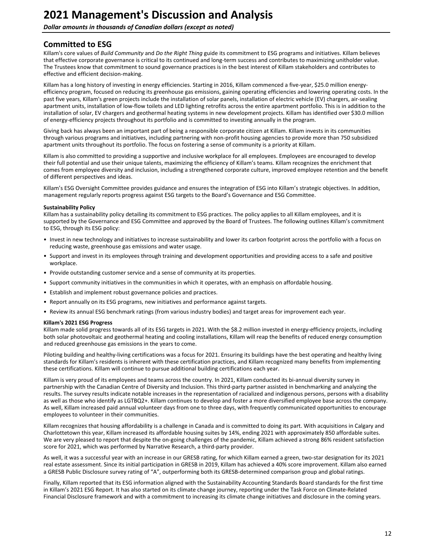<span id="page-11-0"></span>**Dollar amounts in thousands of Canadian dollars (except as noted)** 

# **Committed to ESG**

Killam's core values of *Build Community* and *Do the Right Thing* guide its commitment to ESG programs and initiatives. Killam believes that effective corporate governance is critical to its continued and long-term success and contributes to maximizing unitholder value. The Trustees know that commitment to sound governance practices is in the best interest of Killam stakeholders and contributes to effective and efficient decision-making.

Killam has a long history of investing in energy efficiencies. Starting in 2016, Killam commenced a five-year, \$25.0 million energyefficiency program, focused on reducing its greenhouse gas emissions, gaining operating efficiencies and lowering operating costs. In the past five years, Killam's green projects include the installation of solar panels, installation of electric vehicle (EV) chargers, air-sealing apartment units, installation of low-flow toilets and LED lighting retrofits across the entire apartment portfolio. This is in addition to the installation of solar, EV chargers and geothermal heating systems in new development projects. Killam has identified over \$30.0 million of energy-efficiency projects throughout its portfolio and is committed to investing annually in the program.

Giving back has always been an important part of being a responsible corporate citizen at Killam. Killam invests in its communities through various programs and initiatives, including partnering with non-profit housing agencies to provide more than 750 subsidized apartment units throughout its portfolio. The focus on fostering a sense of community is a priority at Killam.

Killam is also committed to providing a supportive and inclusive workplace for all employees. Employees are encouraged to develop their full potential and use their unique talents, maximizing the efficiency of Killam's teams. Killam recognizes the enrichment that comes from employee diversity and inclusion, including a strengthened corporate culture, improved employee retention and the benefit of different perspectives and ideas.

Killam's ESG Oversight Committee provides guidance and ensures the integration of ESG into Killam's strategic objectives. In addition, management regularly reports progress against ESG targets to the Board's Governance and ESG Committee.

#### **Sustainability Policy**

Killam has a sustainability policy detailing its commitment to ESG practices. The policy applies to all Killam employees, and it is supported by the Governance and ESG Committee and approved by the Board of Trustees. The following outlines Killam's commitment to ESG, through its ESG policy:

- Invest in new technology and initiatives to increase sustainability and lower its carbon footprint across the portfolio with a focus on reducing waste, greenhouse gas emissions and water usage.
- Support and invest in its employees through training and development opportunities and providing access to a safe and positive workplace.
- Provide outstanding customer service and a sense of community at its properties.
- Support community initiatives in the communities in which it operates, with an emphasis on affordable housing.
- Establish and implement robust governance policies and practices.
- Report annually on its ESG programs, new initiatives and performance against targets.
- Review its annual ESG benchmark ratings (from various industry bodies) and target areas for improvement each year.

#### **Killam's 2021 ESG Progress**

Killam made solid progress towards all of its ESG targets in 2021. With the \$8.2 million invested in energy-efficiency projects, including both solar photovoltaic and geothermal heating and cooling installations, Killam will reap the benefits of reduced energy consumption and reduced greenhouse gas emissions in the years to come.

Piloting building and healthy-living certifications was a focus for 2021. Ensuring its buildings have the best operating and healthy living standards for Killam's residents is inherent with these certification practices, and Killam recognized many benefits from implementing these certifications. Killam will continue to pursue additional building certifications each year.

Killam is very proud of its employees and teams across the country. In 2021, Killam conducted its bi-annual diversity survey in partnership with the Canadian Centre of Diversity and Inclusion. This third-party partner assisted in benchmarking and analyzing the results. The survey results indicate notable increases in the representation of racialized and indigenous persons, persons with a disability as well as those who identify as LGTBQ2+. Killam continues to develop and foster a more diversified employee base across the company. As well, Killam increased paid annual volunteer days from one to three days, with frequently communicated opportunities to encourage employees to volunteer in their communities.

Killam recognizes that housing affordability is a challenge in Canada and is committed to doing its part. With acquisitions in Calgary and Charlottetown this year, Killam increased its affordable housing suites by 14%, ending 2021 with approximately 850 affordable suites. We are very pleased to report that despite the on-going challenges of the pandemic, Killam achieved a strong 86% resident satisfaction score for 2021, which was performed by Narrative Research, a third-party provider.

As well, it was a successful year with an increase in our GRESB rating, for which Killam earned a green, two-star designation for its 2021 real estate assessment. Since its initial participation in GRESB in 2019, Killam has achieved a 40% score improvement. Killam also earned a GRESB Public Disclosure survey rating of "A", outperforming both its GRESB-determined comparison group and global ratings.

Finally, Killam reported that its ESG information aligned with the Sustainability Accounting Standards Board standards for the first time in Killam's 2021 ESG Report. It has also started on its climate change journey, reporting under the Task Force on Climate-Related Financial Disclosure framework and with a commitment to increasing its climate change initiatives and disclosure in the coming years.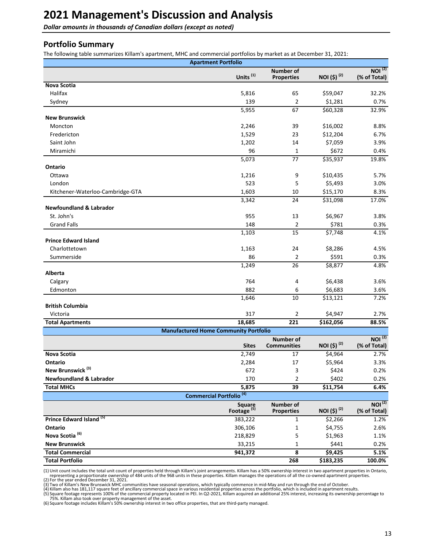<span id="page-12-0"></span>**Dollar amounts in thousands of Canadian dollars (except as noted)** 

### **Portfolio Summary**

The following table summarizes Killam's apartment, MHC and commercial portfolios by market as at December 31, 2021:

|                                     | <b>Apartment Portfolio</b>                   |                                        |                         |                                    |
|-------------------------------------|----------------------------------------------|----------------------------------------|-------------------------|------------------------------------|
|                                     | Units <sup>(1)</sup>                         | <b>Number of</b><br><b>Properties</b>  | NOI (\$) <sup>(2)</sup> | NOI <sup>(2)</sup><br>(% of Total) |
| <b>Nova Scotia</b>                  |                                              |                                        |                         |                                    |
| Halifax                             | 5,816                                        | 65                                     | \$59,047                | 32.2%                              |
| Sydney                              | 139                                          | $\overline{2}$                         | \$1,281                 | 0.7%                               |
|                                     | 5,955                                        | 67                                     | \$60,328                | 32.9%                              |
| <b>New Brunswick</b>                |                                              |                                        |                         |                                    |
| Moncton                             | 2,246                                        | 39                                     | \$16,002                | 8.8%                               |
| Fredericton                         | 1,529                                        | 23                                     | \$12,204                | 6.7%                               |
| Saint John                          | 1,202                                        | 14                                     | \$7,059                 | 3.9%                               |
| Miramichi                           | 96                                           | 1                                      | \$672                   | 0.4%                               |
|                                     | 5,073                                        | 77                                     | \$35,937                | 19.8%                              |
| Ontario                             |                                              |                                        |                         |                                    |
| Ottawa                              | 1,216                                        | 9                                      | \$10,435                | 5.7%                               |
| London                              | 523                                          | 5                                      | \$5,493                 | 3.0%                               |
| Kitchener-Waterloo-Cambridge-GTA    | 1,603                                        | 10                                     | \$15,170                | 8.3%                               |
|                                     | 3,342                                        | 24                                     | \$31,098                | 17.0%                              |
| <b>Newfoundland &amp; Labrador</b>  |                                              |                                        |                         |                                    |
| St. John's                          | 955                                          | 13                                     | \$6,967                 | 3.8%                               |
| <b>Grand Falls</b>                  | 148                                          | $\overline{2}$                         | \$781                   | 0.3%                               |
|                                     | 1,103                                        | 15                                     | \$7,748                 | 4.1%                               |
| <b>Prince Edward Island</b>         |                                              |                                        |                         |                                    |
| Charlottetown                       | 1,163                                        | 24                                     | \$8,286                 | 4.5%                               |
| Summerside                          | 86                                           | $\overline{2}$                         | \$591                   | 0.3%                               |
|                                     | 1,249                                        | $\overline{26}$                        | \$8,877                 | 4.8%                               |
| Alberta                             |                                              |                                        |                         |                                    |
| Calgary                             | 764                                          | 4                                      | \$6,438                 | 3.6%                               |
| Edmonton                            | 882                                          | 6                                      | \$6,683                 | 3.6%                               |
|                                     | 1,646                                        | 10                                     | \$13,121                | 7.2%                               |
| <b>British Columbia</b>             |                                              |                                        |                         |                                    |
| Victoria                            | 317                                          | $\overline{2}$                         | \$4,947                 | 2.7%                               |
| <b>Total Apartments</b>             | 18,685                                       | 221                                    | \$162,056               | 88.5%                              |
|                                     | <b>Manufactured Home Community Portfolio</b> |                                        |                         |                                    |
|                                     | <b>Sites</b>                                 | <b>Number of</b><br><b>Communities</b> | NOI (\$) <sup>(2)</sup> | NOI <sup>(2)</sup><br>(% of Total) |
| Nova Scotia                         | 2,749                                        | 17                                     | \$4,964                 | 2.7%                               |
| Ontario                             | 2,284                                        | 17                                     | \$5,964                 | 3.3%                               |
| New Brunswick <sup>(3)</sup>        | 672                                          | 3                                      | \$424                   | 0.2%                               |
| <b>Newfoundland &amp; Labrador</b>  | 170                                          | 2                                      | \$402                   | 0.2%                               |
| <b>Total MHCs</b>                   | 5,875                                        | 39                                     | \$11,754                | 6.4%                               |
|                                     | Commercial Portfolio <sup>(4)</sup>          |                                        |                         |                                    |
|                                     | Square<br>Footage <sup>(5)</sup>             | <b>Number of</b><br><b>Properties</b>  | NOI (\$) <sup>(2)</sup> | NOI <sup>(2)</sup><br>(% of Total) |
| Prince Edward Island <sup>(5)</sup> | 383,222                                      | 1                                      | \$2,266                 | 1.2%                               |
| Ontario                             | 306,106                                      | 1                                      | \$4,755                 | 2.6%                               |
| Nova Scotia <sup>(6)</sup>          | 218,829                                      | 5                                      | \$1,963                 | 1.1%                               |
| <b>New Brunswick</b>                | 33,215                                       | $\mathbf{1}$                           | \$441                   | 0.2%                               |
| <b>Total Commercial</b>             | 941,372                                      | 8                                      | \$9,425                 | 5.1%                               |
| <b>Total Portfolio</b>              |                                              | 268                                    | \$183,235               | 100.0%                             |

(1) Unit count includes the total unit count of properties held through Killam's joint arrangements. Killam has a 50% ownership interest in two apartment properties in Ontario,<br>representing a proportionate ownership of 484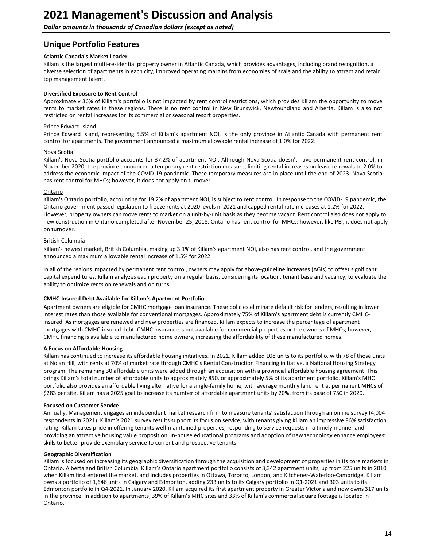<span id="page-13-0"></span>**Dollar amounts in thousands of Canadian dollars (except as noted)** 

# **Unique Portfolio Features**

#### **Atlantic Canada's Market Leader**

Killam is the largest multi-residential property owner in Atlantic Canada, which provides advantages, including brand recognition, a diverse selection of apartments in each city, improved operating margins from economies of scale and the ability to attract and retain top management talent.

#### **Diversified Exposure to Rent Control**

Approximately 36% of Killam's portfolio is not impacted by rent control restrictions, which provides Killam the opportunity to move rents to market rates in these regions. There is no rent control in New Brunswick, Newfoundland and Alberta. Killam is also not restricted on rental increases for its commercial or seasonal resort properties.

#### Prince Edward Island

Prince Edward Island, representing 5.5% of Killam's apartment NOI, is the only province in Atlantic Canada with permanent rent control for apartments. The government announced a maximum allowable rental increase of 1.0% for 2022.

#### **Nova Scotia**

Killam's Nova Scotia portfolio accounts for 37.2% of apartment NOI. Although Nova Scotia doesn't have permanent rent control, in November 2020, the province announced a temporary rent restriction measure, limiting rental increases on lease renewals to 2.0% to address the economic impact of the COVID-19 pandemic. These temporary measures are in place until the end of 2023. Nova Scotia has rent control for MHCs; however, it does not apply on turnover.

#### Ontario

Killam's Ontario portfolio, accounting for 19.2% of apartment NOI, is subject to rent control. In response to the COVID-19 pandemic, the Ontario government passed legislation to freeze rents at 2020 levels in 2021 and capped rental rate increases at 1.2% for 2022. However, property owners can move rents to market on a unit-by-unit basis as they become vacant. Rent control also does not apply to new construction in Ontario completed after November 25, 2018. Ontario has rent control for MHCs; however, like PEI, it does not apply on turnover.

#### British Columbia

Killam's newest market, British Columbia, making up 3.1% of Killam's apartment NOI, also has rent control, and the government announced a maximum allowable rental increase of 1.5% for 2022.

In all of the regions impacted by permanent rent control, owners may apply for above-guideline increases (AGIs) to offset significant capital expenditures. Killam analyzes each property on a regular basis, considering its location, tenant base and vacancy, to evaluate the ability to optimize rents on renewals and on turns.

#### **CMHC-Insured Debt Available for Killam's Apartment Portfolio**

Apartment owners are eligible for CMHC mortgage loan insurance. These policies eliminate default risk for lenders, resulting in lower interest rates than those available for conventional mortgages. Approximately 75% of Killam's apartment debt is currently CMHCinsured. As mortgages are renewed and new properties are financed, Killam expects to increase the percentage of apartment mortgages with CMHC-insured debt. CMHC insurance is not available for commercial properties or the owners of MHCs; however, CMHC financing is available to manufactured home owners, increasing the affordability of these manufactured homes.

#### **A Focus on Affordable Housing**

Killam has continued to increase its affordable housing initiatives. In 2021, Killam added 108 units to its portfolio, with 78 of those units at Nolan Hill, with rents at 70% of market rate through CMHC's Rental Construction Financing initiative, a National Housing Strategy program. The remaining 30 affordable units were added through an acquisition with a provincial affordable housing agreement. This brings Killam's total number of affordable units to approximately 850, or approximately 5% of its apartment portfolio. Killam's MHC portfolio also provides an affordable living alternative for a single-family home, with average monthly land rent at permanent MHCs of \$283 per site. Killam has a 2025 goal to increase its number of affordable apartment units by 20%, from its base of 750 in 2020.

#### **Focused on Customer Service**

Annually, Management engages an independent market research firm to measure tenants' satisfaction through an online survey (4,004 respondents in 2021). Killam's 2021 survey results support its focus on service, with tenants giving Killam an impressive 86% satisfaction rating. Killam takes pride in offering tenants well-maintained properties, responding to service requests in a timely manner and providing an attractive housing value proposition. In-house educational programs and adoption of new technology enhance employees' skills to better provide exemplary service to current and prospective tenants.

#### **Geographic Diversification**

Killam is focused on increasing its geographic diversification through the acquisition and development of properties in its core markets in Ontario, Alberta and British Columbia. Killam's Ontario apartment portfolio consists of 3,342 apartment units, up from 225 units in 2010 when Killam first entered the market, and includes properties in Ottawa, Toronto, London, and Kitchener-Waterloo-Cambridge. Killam owns a portfolio of 1,646 units in Calgary and Edmonton, adding 233 units to its Calgary portfolio in Q1-2021 and 303 units to its Edmonton portfolio in Q4-2021. In January 2020, Killam acquired its first apartment property in Greater Victoria and now owns 317 units in the province. In addition to apartments, 39% of Killam's MHC sites and 33% of Killam's commercial square footage is located in Ontario.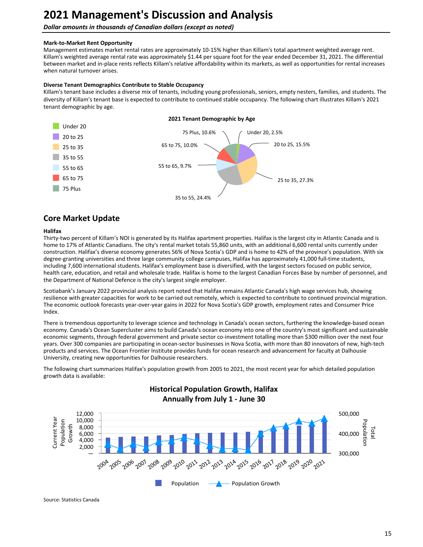### <span id="page-14-0"></span>**Dollar amounts in thousands of Canadian dollars (except as noted)**

### **Mark-to-Market Rent Opportunity**

Management estimates market rental rates are approximately 10-15% higher than Killam's total apartment weighted average rent. Killam's weighted average rental rate was approximately \$1.44 per square foot for the year ended December 31, 2021. The differential between market and in-place rents reflects Killam's relative affordability within its markets, as well as opportunities for rental increases when natural turnover arises.

### **Diverse Tenant Demographics Contribute to Stable Occupancy**

Killam's tenant base includes a diverse mix of tenants, including young professionals, seniors, empty nesters, families, and students. The diversity of Killam's tenant base is expected to contribute to continued stable occupancy. The following chart illustrates Killam's 2021 tenant demographic by age.



# **Core Market Update**

#### **Halifax**

Thirty-two percent of Killam's NOI is generated by its Halifax apartment properties. Halifax is the largest city in Atlantic Canada and is home to 17% of Atlantic Canadians. The city's rental market totals 55,860 units, with an additional 6,600 rental units currently under construction. Halifax's diverse economy generates 56% of Nova Scotia's GDP and is home to 42% of the province's population. With six degree-granting universities and three large community college campuses, Halifax has approximately 41,000 full-time students, including 7,600 international students. Halifax's employment base is diversified, with the largest sectors focused on public service, health care, education, and retail and wholesale trade. Halifax is home to the largest Canadian Forces Base by number of personnel, and the Department of National Defence is the city's largest single employer.

Scotiabank's January 2022 provincial analysis report noted that Halifax remains Atlantic Canada's high wage services hub, showing resilience with greater capacities for work to be carried out remotely, which is expected to contribute to continued provincial migration. The economic outlook forecasts year-over-year gains in 2022 for Nova Scotia's GDP growth, employment rates and Consumer Price Index. 

There is tremendous opportunity to leverage science and technology in Canada's ocean sectors, furthering the knowledge-based ocean economy. Canada's Ocean Supercluster aims to build Canada's ocean economy into one of the country's most significant and sustainable economic segments, through federal government and private sector co-investment totalling more than \$300 million over the next four years. Over 300 companies are participating in ocean-sector businesses in Nova Scotia, with more than 80 innovators of new, high-tech products and services. The Ocean Frontier Institute provides funds for ocean research and advancement for faculty at Dalhousie University, creating new opportunities for Dalhousie researchers.

The following chart summarizes Halifax's population growth from 2005 to 2021, the most recent year for which detailed population growth data is available:

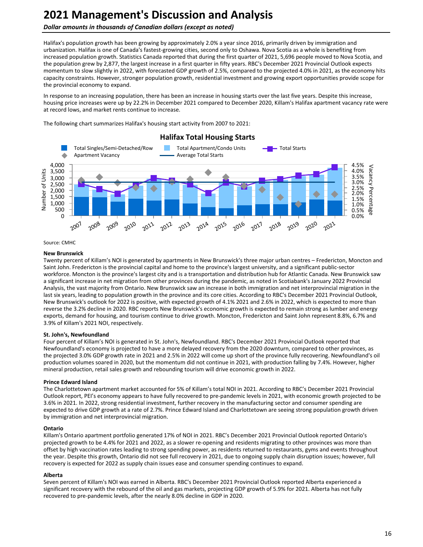#### **Dollar amounts in thousands of Canadian dollars (except as noted)**

Halifax's population growth has been growing by approximately 2.0% a year since 2016, primarily driven by immigration and urbanization. Halifax is one of Canada's fastest-growing cities, second only to Oshawa. Nova Scotia as a whole is benefiting from increased population growth. Statistics Canada reported that during the first quarter of 2021, 5,696 people moved to Nova Scotia, and the population grew by 2,877, the largest increase in a first quarter in fifty years. RBC's December 2021 Provincial Outlook expects momentum to slow slightly in 2022, with forecasted GDP growth of 2.5%, compared to the projected 4.0% in 2021, as the economy hits capacity constraints. However, stronger population growth, residential investment and growing export opportunities provide scope for the provincial economy to expand.

In response to an increasing population, there has been an increase in housing starts over the last five years. Despite this increase, housing price increases were up by 22.2% in December 2021 compared to December 2020, Killam's Halifax apartment vacancy rate were at record lows, and market rents continue to increase.

The following chart summarizes Halifax's housing start activity from 2007 to 2021:



Source: CMHC

#### **New Brunswick**

Twenty percent of Killam's NOI is generated by apartments in New Brunswick's three major urban centres – Fredericton, Moncton and Saint John. Fredericton is the provincial capital and home to the province's largest university, and a significant public-sector workforce. Moncton is the province's largest city and is a transportation and distribution hub for Atlantic Canada. New Brunswick saw a significant increase in net migration from other provinces during the pandemic, as noted in Scotiabank's January 2022 Provincial Analysis, the vast majority from Ontario. New Brunswick saw an increase in both immigration and net interprovincial migration in the last six years, leading to population growth in the province and its core cities. According to RBC's December 2021 Provincial Outlook, New Brunswick's outlook for 2022 is positive, with expected growth of 4.1% 2021 and 2.6% in 2022, which is expected to more than reverse the 3.2% decline in 2020. RBC reports New Brunswick's economic growth is expected to remain strong as lumber and energy exports, demand for housing, and tourism continue to drive growth. Moncton, Fredericton and Saint John represent 8.8%, 6.7% and 3.9% of Killam's 2021 NOI, respectively.

#### **St. John's, Newfoundland**

Four percent of Killam's NOI is generated in St. John's, Newfoundland. RBC's December 2021 Provincial Outlook reported that Newfoundland's economy is projected to have a more delayed recovery from the 2020 downturn, compared to other provinces, as the projected 3.0% GDP growth rate in 2021 and 2.5% in 2022 will come up short of the province fully recovering. Newfoundland's oil production volumes soared in 2020, but the momentum did not continue in 2021, with production falling by 7.4%. However, higher mineral production, retail sales growth and rebounding tourism will drive economic growth in 2022.

#### **Prince Edward Island**

The Charlottetown apartment market accounted for 5% of Killam's total NOI in 2021. According to RBC's December 2021 Provincial Outlook report, PEI's economy appears to have fully recovered to pre-pandemic levels in 2021, with economic growth projected to be 3.6% in 2021. In 2022, strong residential investment, further recovery in the manufacturing sector and consumer spending are expected to drive GDP growth at a rate of 2.7%. Prince Edward Island and Charlottetown are seeing strong population growth driven by immigration and net interprovincial migration.

#### **Ontario**

Killam's Ontario apartment portfolio generated 17% of NOI in 2021. RBC's December 2021 Provincial Outlook reported Ontario's projected growth to be 4.4% for 2021 and 2022, as a slower re-opening and residents migrating to other provinces was more than offset by high vaccination rates leading to strong spending power, as residents returned to restaurants, gyms and events throughout the year. Despite this growth, Ontario did not see full recovery in 2021, due to ongoing supply chain disruption issues; however, full recovery is expected for 2022 as supply chain issues ease and consumer spending continues to expand.

#### **Alberta**

Seven percent of Killam's NOI was earned in Alberta. RBC's December 2021 Provincial Outlook reported Alberta experienced a significant recovery with the rebound of the oil and gas markets, projecting GDP growth of 5.9% for 2021. Alberta has not fully recovered to pre-pandemic levels, after the nearly 8.0% decline in GDP in 2020.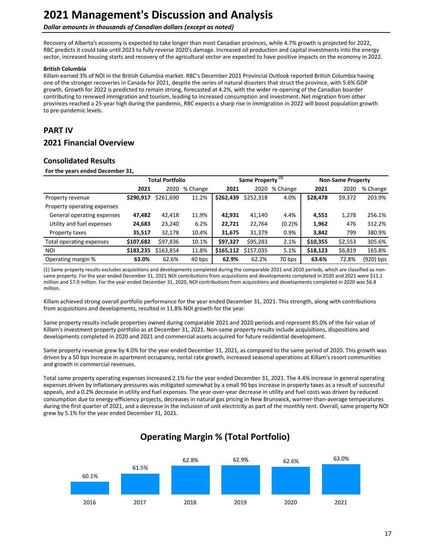#### <span id="page-16-0"></span>**Dollar amounts in thousands of Canadian dollars (except as noted)**

Recovery of Alberta's economy is expected to take longer than most Canadian provinces, while 4.7% growth is projected for 2022, RBC predicts it could take until 2023 to fully reverse 2020's damage. Increased oil production and capital investments into the energy sector, increased housing starts and recovery of the agricultural sector are expected to have positive impacts on the economy in 2022.

#### **British Columbia**

Killam earned 3% of NOI in the British Columbia market. RBC's December 2021 Provincial Outlook reported British Columbia having one of the stronger recoveries in Canada for 2021, despite the series of natural disasters that struct the province, with 5.6% GDP growth. Growth for 2022 is predicted to remain strong, forecasted at 4.2%, with the wider re-opening of the Canadian boarder contributing to renewed immigration and tourism, leading to increased consumption and investment. Net migration from other provinces reached a 25-year high during the pandemic, RBC expects a sharp rise in immigration in 2022 will boost population growth to pre-pandemic levels.

# **PART IV**

# **2021 Financial Overview**

### **Consolidated Results**

For the years ended December 31,

|                             | <b>Total Portfolio</b> |           |          |           | Same Property <sup>(1)</sup> |          | <b>Non-Same Property</b> |         |             |
|-----------------------------|------------------------|-----------|----------|-----------|------------------------------|----------|--------------------------|---------|-------------|
|                             | 2021                   | 2020      | % Change | 2021      | 2020                         | % Change | 2021                     | 2020    | % Change    |
| Property revenue            | \$290,917              | \$261,690 | 11.2%    | \$262,439 | \$252,318                    | 4.0%     | \$28,478                 | \$9,372 | 203.9%      |
| Property operating expenses |                        |           |          |           |                              |          |                          |         |             |
| General operating expenses  | 47,482                 | 42,418    | 11.9%    | 42,931    | 41,140                       | 4.4%     | 4,551                    | 1,278   | 256.1%      |
| Utility and fuel expenses   | 24,683                 | 23,240    | 6.2%     | 22,721    | 22,764                       | (0.2)%   | 1,962                    | 476     | 312.2%      |
| Property taxes              | 35,517                 | 32,178    | 10.4%    | 31,675    | 31,379                       | 0.9%     | 3,842                    | 799     | 380.9%      |
| Total operating expenses    | \$107,682              | \$97,836  | 10.1%    | \$97,327  | \$95,283                     | 2.1%     | \$10,355                 | \$2,553 | 305.6%      |
| <b>NOI</b>                  | \$183,235              | \$163,854 | 11.8%    | \$165,112 | \$157.035                    | 5.1%     | \$18,123                 | \$6,819 | 165.8%      |
| Operating margin %          | 63.0%                  | 62.6%     | 40 bps   | 62.9%     | 62.2%                        | 70 bps   | 63.6%                    | 72.8%   | $(920)$ bps |

(1) Same property results excludes acquisitions and developments completed during the comparable 2021 and 2020 periods, which are classified as nonsame property. For the year ended December 31, 2021 NOI contributions from acquisitions and developments completed in 2020 and 2021 were \$11.1 million and \$7.0 million. For the year ended December 31, 2020, NOI contributions from acquisitions and developments completed in 2020 was \$6.8 million.

Killam achieved strong overall portfolio performance for the year ended December 31, 2021. This strength, along with contributions from acquisitions and developments, resulted in 11.8% NOI growth for the year.

Same property results include properties owned during comparable 2021 and 2020 periods and represent 85.0% of the fair value of Killam's investment property portfolio as at December 31, 2021. Non-same property results include acquisitions, dispositions and developments completed in 2020 and 2021 and commercial assets acquired for future residential development.

Same property revenue grew by 4.0% for the year ended December 31, 2021, as compared to the same period of 2020. This growth was driven by a 50 bps increase in apartment occupancy, rental rate growth, increased seasonal operations at Killam's resort communities and growth in commercial revenues.

Total same property operating expenses increased 2.1% for the year ended December 31, 2021. The 4.4% increase in general operating expenses driven by inflationary pressures was mitigated somewhat by a small 90 bps increase in property taxes as a result of successful appeals, and a 0.2% decrease in utility and fuel expenses. The year-over-year decrease in utility and fuel costs was driven by reduced consumption due to energy-efficiency projects, decreases in natural gas pricing in New Brunswick, warmer-than-average temperatures during the first quarter of 2021, and a decrease in the inclusion of unit electricity as part of the monthly rent. Overall, same property NOI grew by 5.1% for the year ended December 31, 2021.



# **Operating Margin % (Total Portfolio)**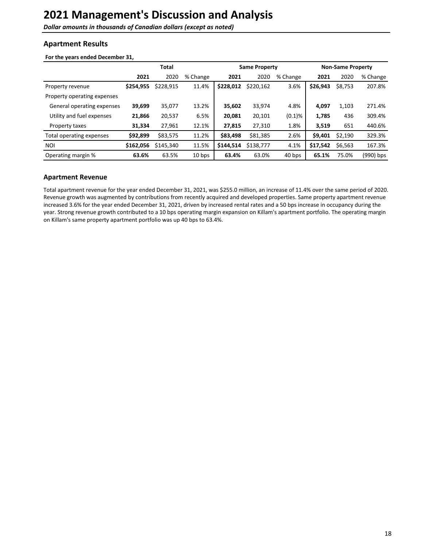<span id="page-17-0"></span>**Dollar amounts in thousands of Canadian dollars (except as noted)** 

### **Apartment Results**

#### For the years ended December 31,

|                             | Total     |           |          | <b>Same Property</b> |           |           | <b>Non-Same Property</b> |         |           |
|-----------------------------|-----------|-----------|----------|----------------------|-----------|-----------|--------------------------|---------|-----------|
|                             | 2021      | 2020      | % Change | 2021                 | 2020      | % Change  | 2021                     | 2020    | % Change  |
| Property revenue            | \$254,955 | \$228,915 | 11.4%    | \$228,012            | \$220,162 | 3.6%      | \$26,943                 | \$8,753 | 207.8%    |
| Property operating expenses |           |           |          |                      |           |           |                          |         |           |
| General operating expenses  | 39,699    | 35,077    | 13.2%    | 35,602               | 33,974    | 4.8%      | 4,097                    | 1,103   | 271.4%    |
| Utility and fuel expenses   | 21,866    | 20,537    | 6.5%     | 20,081               | 20,101    | $(0.1)$ % | 1,785                    | 436     | 309.4%    |
| Property taxes              | 31,334    | 27,961    | 12.1%    | 27,815               | 27,310    | 1.8%      | 3,519                    | 651     | 440.6%    |
| Total operating expenses    | \$92,899  | \$83,575  | 11.2%    | \$83,498             | \$81,385  | 2.6%      | \$9,401                  | \$2,190 | 329.3%    |
| <b>NOI</b>                  | \$162,056 | \$145,340 | 11.5%    | \$144,514            | \$138,777 | 4.1%      | \$17,542                 | \$6,563 | 167.3%    |
| Operating margin %          | 63.6%     | 63.5%     | 10 bps   | 63.4%                | 63.0%     | 40 bps    | 65.1%                    | 75.0%   | (990) bps |

### **Apartment Revenue**

Total apartment revenue for the year ended December 31, 2021, was \$255.0 million, an increase of 11.4% over the same period of 2020. Revenue growth was augmented by contributions from recently acquired and developed properties. Same property apartment revenue increased 3.6% for the year ended December 31, 2021, driven by increased rental rates and a 50 bps increase in occupancy during the year. Strong revenue growth contributed to a 10 bps operating margin expansion on Killam's apartment portfolio. The operating margin on Killam's same property apartment portfolio was up 40 bps to 63.4%.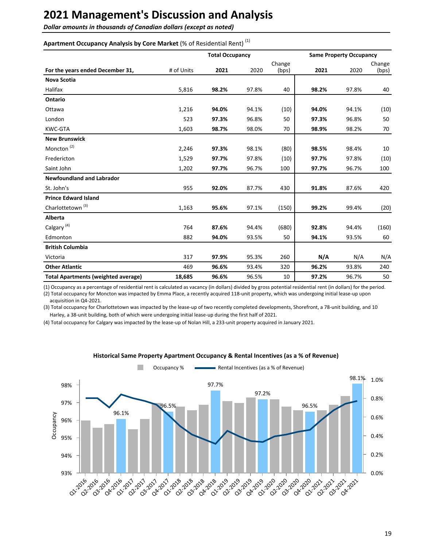**Dollar amounts in thousands of Canadian dollars (except as noted)** 

### Apartment Occupancy Analysis by Core Market (% of Residential Rent)<sup>(1)</sup>

|                                            |            | <b>Total Occupancy</b> |       |                 |       | <b>Same Property Occupancy</b> |                 |  |
|--------------------------------------------|------------|------------------------|-------|-----------------|-------|--------------------------------|-----------------|--|
| For the years ended December 31,           | # of Units | 2021                   | 2020  | Change<br>(bps) | 2021  | 2020                           | Change<br>(bps) |  |
| <b>Nova Scotia</b>                         |            |                        |       |                 |       |                                |                 |  |
| <b>Halifax</b>                             | 5,816      | 98.2%                  | 97.8% | 40              | 98.2% | 97.8%                          | 40              |  |
| Ontario                                    |            |                        |       |                 |       |                                |                 |  |
| Ottawa                                     | 1,216      | 94.0%                  | 94.1% | (10)            | 94.0% | 94.1%                          | (10)            |  |
| London                                     | 523        | 97.3%                  | 96.8% | 50              | 97.3% | 96.8%                          | 50              |  |
| <b>KWC-GTA</b>                             | 1,603      | 98.7%                  | 98.0% | 70              | 98.9% | 98.2%                          | 70              |  |
| <b>New Brunswick</b>                       |            |                        |       |                 |       |                                |                 |  |
| Moncton <sup>(2)</sup>                     | 2,246      | 97.3%                  | 98.1% | (80)            | 98.5% | 98.4%                          | 10              |  |
| Fredericton                                | 1,529      | 97.7%                  | 97.8% | (10)            | 97.7% | 97.8%                          | (10)            |  |
| Saint John                                 | 1,202      | 97.7%                  | 96.7% | 100             | 97.7% | 96.7%                          | 100             |  |
| <b>Newfoundland and Labrador</b>           |            |                        |       |                 |       |                                |                 |  |
| St. John's                                 | 955        | 92.0%                  | 87.7% | 430             | 91.8% | 87.6%                          | 420             |  |
| <b>Prince Edward Island</b>                |            |                        |       |                 |       |                                |                 |  |
| Charlottetown <sup>(3)</sup>               | 1,163      | 95.6%                  | 97.1% | (150)           | 99.2% | 99.4%                          | (20)            |  |
| Alberta                                    |            |                        |       |                 |       |                                |                 |  |
| Calgary <sup>(4)</sup>                     | 764        | 87.6%                  | 94.4% | (680)           | 92.8% | 94.4%                          | (160)           |  |
| Edmonton                                   | 882        | 94.0%                  | 93.5% | 50              | 94.1% | 93.5%                          | 60              |  |
| <b>British Columbia</b>                    |            |                        |       |                 |       |                                |                 |  |
| Victoria                                   | 317        | 97.9%                  | 95.3% | 260             | N/A   | N/A                            | N/A             |  |
| <b>Other Atlantic</b>                      | 469        | 96.6%                  | 93.4% | 320             | 96.2% | 93.8%                          | 240             |  |
| <b>Total Apartments (weighted average)</b> | 18,685     | 96.6%                  | 96.5% | 10              | 97.2% | 96.7%                          | 50              |  |

(1) Occupancy as a percentage of residential rent is calculated as vacancy (in dollars) divided by gross potential residential rent (in dollars) for the period.

(2) Total occupancy for Moncton was impacted by Emma Place, a recently acquired 118-unit property, which was undergoing initial lease-up upon acquisition in Q4-2021.

(3) Total occupancy for Charlottetown was impacted by the lease-up of two recently completed developments, Shorefront, a 78-unit building, and 10 Harley, a 38-unit building, both of which were undergoing initial lease-up during the first half of 2021.

(4) Total occupancy for Calgary was impacted by the lease-up of Nolan Hill, a 233-unit property acquired in January 2021.



#### **Historical Same Property Apartment Occupancy & Rental Incentives (as a % of Revenue)**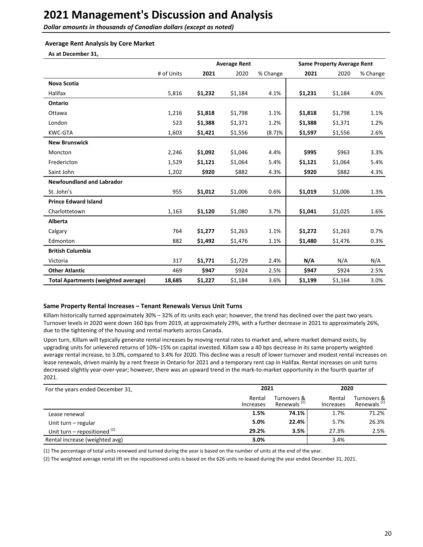**Dollar amounts in thousands of Canadian dollars (except as noted)** 

#### **Average Rent Analysis by Core Market**

As at December 31,

|                                            |            |         | <b>Average Rent</b> |          |         | <b>Same Property Average Rent</b> |          |  |
|--------------------------------------------|------------|---------|---------------------|----------|---------|-----------------------------------|----------|--|
|                                            | # of Units | 2021    | 2020                | % Change | 2021    | 2020                              | % Change |  |
| <b>Nova Scotia</b>                         |            |         |                     |          |         |                                   |          |  |
| <b>Halifax</b>                             | 5,816      | \$1,232 | \$1,184             | 4.1%     | \$1,231 | \$1,184                           | 4.0%     |  |
| Ontario                                    |            |         |                     |          |         |                                   |          |  |
| Ottawa                                     | 1,216      | \$1,818 | \$1,798             | 1.1%     | \$1,818 | \$1,798                           | 1.1%     |  |
| London                                     | 523        | \$1,388 | \$1,371             | 1.2%     | \$1,388 | \$1,371                           | 1.2%     |  |
| <b>KWC-GTA</b>                             | 1,603      | \$1,421 | \$1,556             | (8.7)%   | \$1,597 | \$1,556                           | 2.6%     |  |
| <b>New Brunswick</b>                       |            |         |                     |          |         |                                   |          |  |
| Moncton                                    | 2,246      | \$1,092 | \$1,046             | 4.4%     | \$995   | \$963                             | 3.3%     |  |
| Fredericton                                | 1,529      | \$1,121 | \$1,064             | 5.4%     | \$1,121 | \$1,064                           | 5.4%     |  |
| Saint John                                 | 1,202      | \$920   | \$882               | 4.3%     | \$920   | \$882                             | 4.3%     |  |
| <b>Newfoundland and Labrador</b>           |            |         |                     |          |         |                                   |          |  |
| St. John's                                 | 955        | \$1,012 | \$1,006             | 0.6%     | \$1,019 | \$1,006                           | 1.3%     |  |
| <b>Prince Edward Island</b>                |            |         |                     |          |         |                                   |          |  |
| Charlottetown                              | 1,163      | \$1,120 | \$1,080             | 3.7%     | \$1,041 | \$1,025                           | 1.6%     |  |
| Alberta                                    |            |         |                     |          |         |                                   |          |  |
| Calgary                                    | 764        | \$1,277 | \$1,263             | 1.1%     | \$1,272 | \$1,263                           | 0.7%     |  |
| Edmonton                                   | 882        | \$1,492 | \$1,476             | 1.1%     | \$1,480 | \$1,476                           | 0.3%     |  |
| <b>British Columbia</b>                    |            |         |                     |          |         |                                   |          |  |
| Victoria                                   | 317        | \$1,771 | \$1,729             | 2.4%     | N/A     | N/A                               | N/A      |  |
| <b>Other Atlantic</b>                      | 469        | \$947   | \$924               | 2.5%     | \$947   | \$924                             | 2.5%     |  |
| <b>Total Apartments (weighted average)</b> | 18,685     | \$1,227 | \$1,184             | 3.6%     | \$1,199 | \$1,164                           | 3.0%     |  |

#### Same Property Rental Increases - Tenant Renewals Versus Unit Turns

Killam historically turned approximately 30% – 32% of its units each year; however, the trend has declined over the past two years. Turnover levels in 2020 were down 160 bps from 2019, at approximately 29%, with a further decrease in 2021 to approximately 26%, due to the tightening of the housing and rental markets across Canada.

Upon turn, Killam will typically generate rental increases by moving rental rates to market and, where market demand exists, by upgrading units for unlevered returns of 10%–15% on capital invested. Killam saw a 40 bps decrease in its same property weighted average rental increase, to 3.0%, compared to 3.4% for 2020. This decline was a result of lower turnover and modest rental increases on lease renewals, driven mainly by a rent freeze in Ontario for 2021 and a temporary rent cap in Halifax. Rental increases on unit turns decreased slightly year-over-year; however, there was an upward trend in the mark-to-market opportunity in the fourth quarter of 2021.

| For the years ended December 31, | 2021                |                                        | 2020                |                                        |  |
|----------------------------------|---------------------|----------------------------------------|---------------------|----------------------------------------|--|
|                                  | Rental<br>Increases | Turnovers &<br>Renewals <sup>(1)</sup> | Rental<br>Increases | Turnovers &<br>Renewals <sup>(1)</sup> |  |
| Lease renewal                    | 1.5%                | 74.1%                                  | 1.7%                | 71.2%                                  |  |
| Unit turn – regular              | 5.0%                | 22.4%                                  | 5.7%                | 26.3%                                  |  |
| Unit turn – repositioned $(2)$   | 29.2%               | 3.5%                                   | 27.3%               | 2.5%                                   |  |
| Rental increase (weighted avg)   | 3.0%                |                                        | 3.4%                |                                        |  |

(1) The percentage of total units renewed and turned during the year is based on the number of units at the end of the year.

(2) The weighted average rental lift on the repositioned units is based on the 626 units re-leased during the year ended December 31, 2021.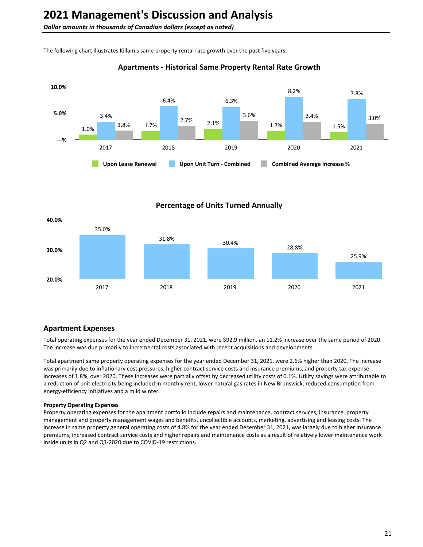The following chart illustrates Killam's same property rental rate growth over the past five years.

### **Apartments - Historical Same Property Rental Rate Growth**



**Percentage of Units Turned Annually** 



### **Apartment Expenses**

Total operating expenses for the year ended December 31, 2021, were \$92.9 million, an 11.2% increase over the same period of 2020. The increase was due primarily to incremental costs associated with recent acquisitions and developments.

Total apartment same property operating expenses for the year ended December 31, 2021, were 2.6% higher than 2020. The increase was primarily due to inflationary cost pressures, higher contract service costs and insurance premiums, and property tax expense increases of 1.8%, over 2020. These increases were partially offset by decreased utility costs of 0.1%. Utility savings were attributable to a reduction of unit electricity being included in monthly rent, lower natural gas rates in New Brunswick, reduced consumption from energy-efficiency initiatives and a mild winter.

#### **Property Operating Expenses**

Property operating expenses for the apartment portfolio include repairs and maintenance, contract services, insurance, property management and property management wages and benefits, uncollectible accounts, marketing, advertising and leasing costs. The increase in same property general operating costs of 4.8% for the year ended December 31, 2021, was largely due to higher insurance premiums, increased contract service costs and higher repairs and maintenance costs as a result of relatively lower maintenance work inside units in Q2 and Q3-2020 due to COVID-19 restrictions.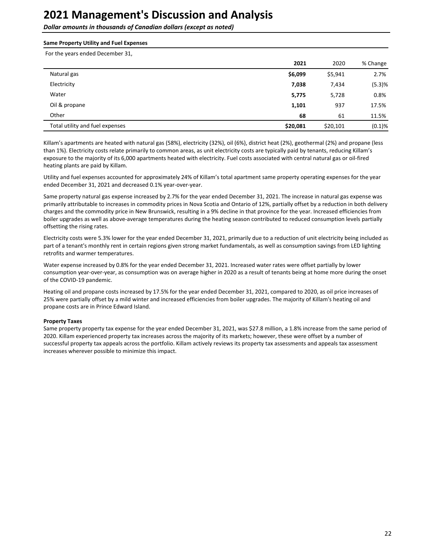**Dollar amounts in thousands of Canadian dollars (except as noted)** 

#### **Same Property Utility and Fuel Expenses**

For the years ended December 31,

|                                 | 2021     | 2020     | % Change  |
|---------------------------------|----------|----------|-----------|
| Natural gas                     | \$6,099  | \$5,941  | 2.7%      |
| Electricity                     | 7,038    | 7,434    | (5.3)%    |
| Water                           | 5,775    | 5,728    | 0.8%      |
| Oil & propane                   | 1,101    | 937      | 17.5%     |
| Other                           | 68       | 61       | 11.5%     |
| Total utility and fuel expenses | \$20,081 | \$20,101 | $(0.1)$ % |

Killam's apartments are heated with natural gas (58%), electricity (32%), oil (6%), district heat (2%), geothermal (2%) and propane (less than 1%). Electricity costs relate primarily to common areas, as unit electricity costs are typically paid by tenants, reducing Killam's exposure to the majority of its 6,000 apartments heated with electricity. Fuel costs associated with central natural gas or oil-fired heating plants are paid by Killam.

Utility and fuel expenses accounted for approximately 24% of Killam's total apartment same property operating expenses for the year ended December 31, 2021 and decreased 0.1% year-over-year.

Same property natural gas expense increased by 2.7% for the year ended December 31, 2021. The increase in natural gas expense was primarily attributable to increases in commodity prices in Nova Scotia and Ontario of 12%, partially offset by a reduction in both delivery charges and the commodity price in New Brunswick, resulting in a 9% decline in that province for the year. Increased efficiencies from boiler upgrades as well as above-average temperatures during the heating season contributed to reduced consumption levels partially offsetting the rising rates.

Electricity costs were 5.3% lower for the year ended December 31, 2021, primarily due to a reduction of unit electricity being included as part of a tenant's monthly rent in certain regions given strong market fundamentals, as well as consumption savings from LED lighting retrofits and warmer temperatures.

Water expense increased by 0.8% for the year ended December 31, 2021. Increased water rates were offset partially by lower consumption year-over-year, as consumption was on average higher in 2020 as a result of tenants being at home more during the onset of the COVID-19 pandemic.

Heating oil and propane costs increased by 17.5% for the year ended December 31, 2021, compared to 2020, as oil price increases of 25% were partially offset by a mild winter and increased efficiencies from boiler upgrades. The majority of Killam's heating oil and propane costs are in Prince Edward Island.

#### **Property Taxes**

Same property property tax expense for the year ended December 31, 2021, was \$27.8 million, a 1.8% increase from the same period of 2020. Killam experienced property tax increases across the majority of its markets; however, these were offset by a number of successful property tax appeals across the portfolio. Killam actively reviews its property tax assessments and appeals tax assessment increases wherever possible to minimize this impact.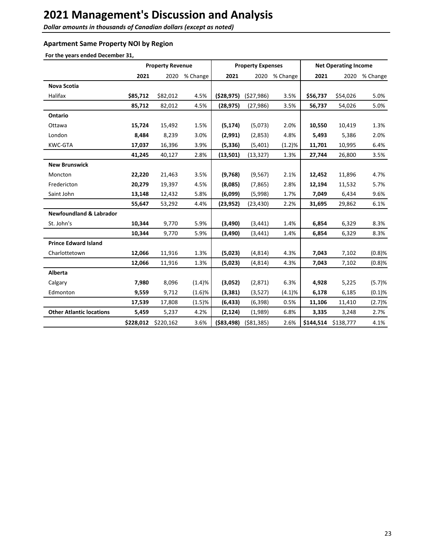**Dollar amounts in thousands of Canadian dollars (except as noted)** 

### **Apartment Same Property NOI by Region**

For the years ended December 31,

|                                    |          | <b>Property Revenue</b> |          |             | <b>Property Expenses</b> |          | <b>Net Operating Income</b> |           |               |
|------------------------------------|----------|-------------------------|----------|-------------|--------------------------|----------|-----------------------------|-----------|---------------|
|                                    | 2021     | 2020                    | % Change | 2021        | 2020                     | % Change | 2021                        |           | 2020 % Change |
| <b>Nova Scotia</b>                 |          |                         |          |             |                          |          |                             |           |               |
| Halifax                            | \$85,712 | \$82,012                | 4.5%     | (528, 975)  | (527,986)                | 3.5%     | \$56,737                    | \$54,026  | 5.0%          |
|                                    | 85,712   | 82,012                  | 4.5%     | (28, 975)   | (27, 986)                | 3.5%     | 56,737                      | 54,026    | 5.0%          |
| Ontario                            |          |                         |          |             |                          |          |                             |           |               |
| Ottawa                             | 15,724   | 15,492                  | 1.5%     | (5, 174)    | (5,073)                  | 2.0%     | 10,550                      | 10,419    | 1.3%          |
| London                             | 8,484    | 8,239                   | 3.0%     | (2,991)     | (2,853)                  | 4.8%     | 5,493                       | 5,386     | 2.0%          |
| <b>KWC-GTA</b>                     | 17,037   | 16,396                  | 3.9%     | (5, 336)    | (5,401)                  | (1.2)%   | 11,701                      | 10,995    | 6.4%          |
|                                    | 41,245   | 40,127                  | 2.8%     | (13,501)    | (13, 327)                | 1.3%     | 27,744                      | 26,800    | 3.5%          |
| <b>New Brunswick</b>               |          |                         |          |             |                          |          |                             |           |               |
| Moncton                            | 22,220   | 21,463                  | 3.5%     | (9,768)     | (9, 567)                 | 2.1%     | 12,452                      | 11,896    | 4.7%          |
| Fredericton                        | 20,279   | 19,397                  | 4.5%     | (8,085)     | (7, 865)                 | 2.8%     | 12,194                      | 11,532    | 5.7%          |
| Saint John                         | 13,148   | 12,432                  | 5.8%     | (6,099)     | (5,998)                  | 1.7%     | 7,049                       | 6,434     | 9.6%          |
|                                    | 55,647   | 53,292                  | 4.4%     | (23, 952)   | (23, 430)                | 2.2%     | 31,695                      | 29,862    | 6.1%          |
| <b>Newfoundland &amp; Labrador</b> |          |                         |          |             |                          |          |                             |           |               |
| St. John's                         | 10,344   | 9,770                   | 5.9%     | (3,490)     | (3, 441)                 | 1.4%     | 6,854                       | 6,329     | 8.3%          |
|                                    | 10,344   | 9,770                   | 5.9%     | (3, 490)    | (3, 441)                 | 1.4%     | 6,854                       | 6,329     | 8.3%          |
| <b>Prince Edward Island</b>        |          |                         |          |             |                          |          |                             |           |               |
| Charlottetown                      | 12,066   | 11,916                  | 1.3%     | (5,023)     | (4, 814)                 | 4.3%     | 7,043                       | 7,102     | (0.8)%        |
|                                    | 12,066   | 11,916                  | 1.3%     | (5,023)     | (4, 814)                 | 4.3%     | 7,043                       | 7,102     | $(0.8)$ %     |
| Alberta                            |          |                         |          |             |                          |          |                             |           |               |
| Calgary                            | 7,980    | 8,096                   | (1.4)%   | (3,052)     | (2,871)                  | 6.3%     | 4,928                       | 5,225     | (5.7)%        |
| Edmonton                           | 9,559    | 9,712                   | (1.6)%   | (3, 381)    | (3,527)                  | (4.1)%   | 6,178                       | 6,185     | (0.1)%        |
|                                    | 17,539   | 17,808                  | (1.5)%   | (6, 433)    | (6, 398)                 | 0.5%     | 11,106                      | 11,410    | (2.7)%        |
| <b>Other Atlantic locations</b>    | 5,459    | 5,237                   | 4.2%     | (2, 124)    | (1,989)                  | 6.8%     | 3,335                       | 3,248     | 2.7%          |
|                                    |          | \$228,012 \$220,162     | 3.6%     | ( \$83,498) | ( \$81, 385)             | 2.6%     | \$144,514                   | \$138,777 | 4.1%          |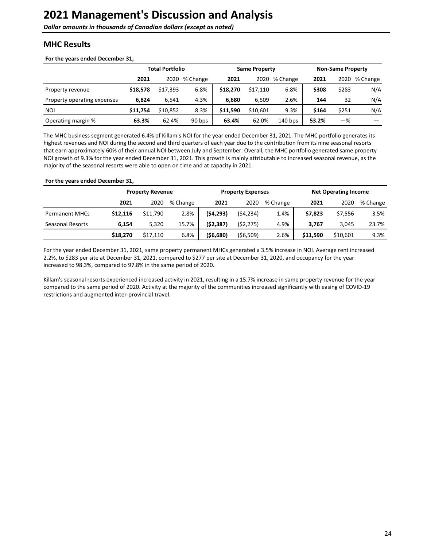<span id="page-23-0"></span>**Dollar amounts in thousands of Canadian dollars (except as noted)** 

# **MHC Results**

#### For the years ended December 31,

|                             | <b>Total Portfolio</b> |          |          | <b>Same Property</b> |          |           | <b>Non-Same Property</b> |       |          |
|-----------------------------|------------------------|----------|----------|----------------------|----------|-----------|--------------------------|-------|----------|
|                             | 2021                   | 2020     | % Change | 2021                 | 2020     | % Change  | 2021                     | 2020  | % Change |
| Property revenue            | \$18,578               | \$17,393 | 6.8%     | \$18,270             | \$17.110 | 6.8%      | \$308                    | \$283 | N/A      |
| Property operating expenses | 6,824                  | 6.541    | 4.3%     | 6.680                | 6.509    | 2.6%      | 144                      | 32    | N/A      |
| <b>NOI</b>                  | \$11.754               | \$10,852 | 8.3%     | \$11,590             | \$10.601 | 9.3%      | \$164                    | \$251 | N/A      |
| Operating margin %          | 63.3%                  | 62.4%    | 90 bps   | 63.4%                | 62.0%    | $140$ bps | 53.2%                    | -%    |          |

The MHC business segment generated 6.4% of Killam's NOI for the year ended December 31, 2021. The MHC portfolio generates its highest revenues and NOI during the second and third quarters of each year due to the contribution from its nine seasonal resorts that earn approximately 60% of their annual NOI between July and September. Overall, the MHC portfolio generated same property NOI growth of 9.3% for the year ended December 31, 2021. This growth is mainly attributable to increased seasonal revenue, as the majority of the seasonal resorts were able to open on time and at capacity in 2021.

#### For the years ended December 31,

|                       | <b>Property Revenue</b> |          |          |           | <b>Property Expenses</b> |          | <b>Net Operating Income</b> |          |          |  |
|-----------------------|-------------------------|----------|----------|-----------|--------------------------|----------|-----------------------------|----------|----------|--|
|                       | 2021                    | 2020     | % Change | 2021      | 2020                     | % Change | 2021                        | 2020     | % Change |  |
| <b>Permanent MHCs</b> | \$12.116                | \$11,790 | 2.8%     | (54, 293) | (54, 234)                | 1.4%     | \$7,823                     | \$7,556  | 3.5%     |  |
| Seasonal Resorts      | 6.154                   | 5,320    | 15.7%    | (52, 387) | (52, 275)                | 4.9%     | 3.767                       | 3.045    | 23.7%    |  |
|                       | \$18,270                | \$17,110 | 6.8%     | (\$6,680) | ( \$6,509)               | 2.6%     | \$11,590                    | \$10,601 | 9.3%     |  |

For the year ended December 31, 2021, same property permanent MHCs generated a 3.5% increase in NOI. Average rent increased 2.2%, to \$283 per site at December 31, 2021, compared to \$277 per site at December 31, 2020, and occupancy for the year increased to 98.3%, compared to 97.8% in the same period of 2020.

Killam's seasonal resorts experienced increased activity in 2021, resulting in a 15.7% increase in same property revenue for the year compared to the same period of 2020. Activity at the majority of the communities increased significantly with easing of COVID-19 restrictions and augmented inter-provincial travel.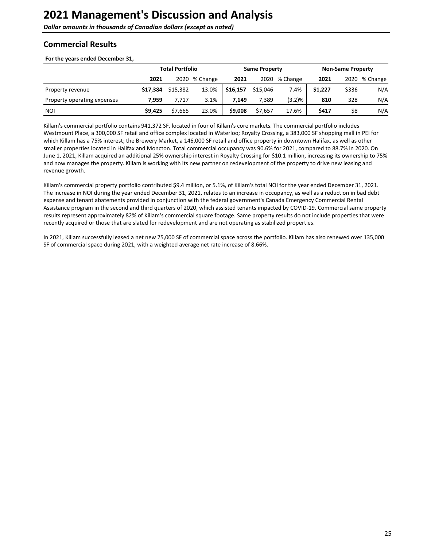# <span id="page-24-0"></span>**Commercial Results**

#### For the years ended December 31,

|                             | <b>Total Portfolio</b> |          |               |          | <b>Same Property</b> |          | <b>Non-Same Property</b> |       |               |
|-----------------------------|------------------------|----------|---------------|----------|----------------------|----------|--------------------------|-------|---------------|
|                             | 2021                   |          | 2020 % Change | 2021     | 2020                 | % Change | 2021                     |       | 2020 % Change |
| Property revenue            | \$17,384               | \$15,382 | 13.0%         | \$16,157 | \$15,046             | 7.4%     | \$1,227                  | \$336 | N/A           |
| Property operating expenses | 7.959                  | 7.717    | 3.1%          | 7.149    | 7,389                | (3.2)%   | 810                      | 328   | N/A           |
| <b>NOI</b>                  | \$9,425                | \$7,665  | 23.0%         | \$9,008  | \$7,657              | 17.6%    | \$417                    | \$8   | N/A           |

Killam's commercial portfolio contains 941,372 SF, located in four of Killam's core markets. The commercial portfolio includes Westmount Place, a 300,000 SF retail and office complex located in Waterloo; Royalty Crossing, a 383,000 SF shopping mall in PEI for which Killam has a 75% interest; the Brewery Market, a 146,000 SF retail and office property in downtown Halifax, as well as other smaller properties located in Halifax and Moncton. Total commercial occupancy was 90.6% for 2021, compared to 88.7% in 2020. On June 1, 2021, Killam acquired an additional 25% ownership interest in Royalty Crossing for \$10.1 million, increasing its ownership to 75% and now manages the property. Killam is working with its new partner on redevelopment of the property to drive new leasing and revenue growth.

Killam's commercial property portfolio contributed \$9.4 million, or 5.1%, of Killam's total NOI for the year ended December 31, 2021. The increase in NOI during the year ended December 31, 2021, relates to an increase in occupancy, as well as a reduction in bad debt expense and tenant abatements provided in conjunction with the federal government's Canada Emergency Commercial Rental Assistance program in the second and third quarters of 2020, which assisted tenants impacted by COVID-19. Commercial same property results represent approximately 82% of Killam's commercial square footage. Same property results do not include properties that were recently acquired or those that are slated for redevelopment and are not operating as stabilized properties.

In 2021, Killam successfully leased a net new 75,000 SF of commercial space across the portfolio. Killam has also renewed over 135,000 SF of commercial space during 2021, with a weighted average net rate increase of 8.66%.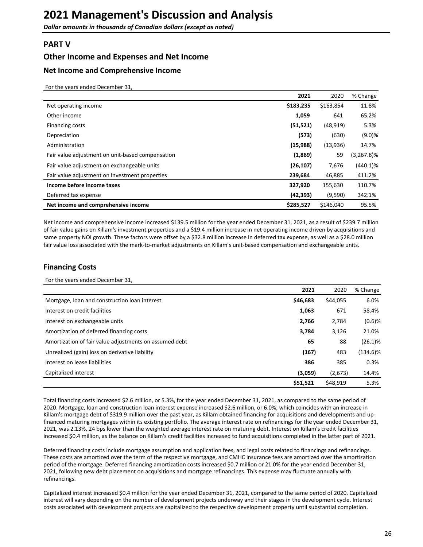### <span id="page-25-0"></span>**PART V**

### **Other Income and Expenses and Net Income**

#### **Net Income and Comprehensive Income**

For the years ended December 31,

|                                                  | 2021      | 2020      | % Change      |
|--------------------------------------------------|-----------|-----------|---------------|
| Net operating income                             | \$183,235 | \$163,854 | 11.8%         |
| Other income                                     | 1,059     | 641       | 65.2%         |
| Financing costs                                  | (51, 521) | (48, 919) | 5.3%          |
| Depreciation                                     | (573)     | (630)     | (9.0)%        |
| Administration                                   | (15,988)  | (13,936)  | 14.7%         |
| Fair value adjustment on unit-based compensation | (1,869)   | 59        | $(3,267.8)\%$ |
| Fair value adjustment on exchangeable units      | (26, 107) | 7,676     | $(440.1)\%$   |
| Fair value adjustment on investment properties   | 239,684   | 46,885    | 411.2%        |
| Income before income taxes                       | 327,920   | 155,630   | 110.7%        |
| Deferred tax expense                             | (42, 393) | (9,590)   | 342.1%        |
| Net income and comprehensive income              | \$285,527 | \$146,040 | 95.5%         |

Net income and comprehensive income increased \$139.5 million for the year ended December 31, 2021, as a result of \$239.7 million of fair value gains on Killam's investment properties and a \$19.4 million increase in net operating income driven by acquisitions and same property NOI growth. These factors were offset by a \$32.8 million increase in deferred tax expense, as well as a \$28.0 million fair value loss associated with the mark-to-market adjustments on Killam's unit-based compensation and exchangeable units.

## **Financing Costs**

For the years ended December 31,

|                                                        | 2021     | 2020     | % Change   |
|--------------------------------------------------------|----------|----------|------------|
| Mortgage, loan and construction loan interest          | \$46,683 | \$44,055 | 6.0%       |
| Interest on credit facilities                          | 1,063    | 671      | 58.4%      |
| Interest on exchangeable units                         | 2,766    | 2,784    | $(0.6)$ %  |
| Amortization of deferred financing costs               | 3,784    | 3,126    | 21.0%      |
| Amortization of fair value adjustments on assumed debt | 65       | 88       | $(26.1)\%$ |
| Unrealized (gain) loss on derivative liability         | (167)    | 483      | (134.6)%   |
| Interest on lease liabilities                          | 386      | 385      | 0.3%       |
| Capitalized interest                                   | (3,059)  | (2,673)  | 14.4%      |
|                                                        | \$51,521 | \$48.919 | 5.3%       |

Total financing costs increased \$2.6 million, or 5.3%, for the year ended December 31, 2021, as compared to the same period of 2020. Mortgage, loan and construction loan interest expense increased \$2.6 million, or 6.0%, which coincides with an increase in Killam's mortgage debt of \$319.9 million over the past year, as Killam obtained financing for acquisitions and developments and upfinanced maturing mortgages within its existing portfolio. The average interest rate on refinancings for the year ended December 31, 2021, was 2.13%, 24 bps lower than the weighted average interest rate on maturing debt. Interest on Killam's credit facilities increased \$0.4 million, as the balance on Killam's credit facilities increased to fund acquisitions completed in the latter part of 2021.

Deferred financing costs include mortgage assumption and application fees, and legal costs related to financings and refinancings. These costs are amortized over the term of the respective mortgage, and CMHC insurance fees are amortized over the amortization period of the mortgage. Deferred financing amortization costs increased \$0.7 million or 21.0% for the year ended December 31, 2021, following new debt placement on acquisitions and mortgage refinancings. This expense may fluctuate annually with refinancings. 

Capitalized interest increased \$0.4 million for the year ended December 31, 2021, compared to the same period of 2020. Capitalized interest will vary depending on the number of development projects underway and their stages in the development cycle. Interest costs associated with development projects are capitalized to the respective development property until substantial completion.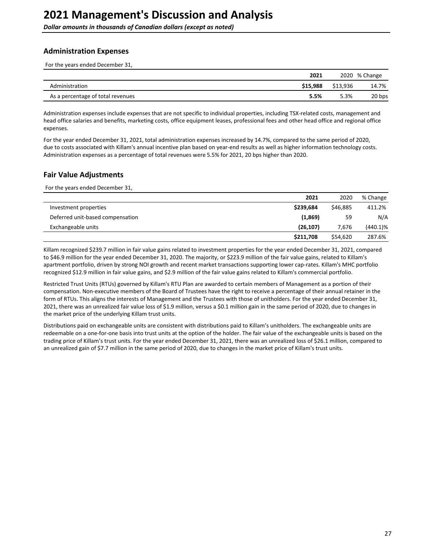### <span id="page-26-0"></span>**Administration Expenses**

For the years ended December 31,

|                                   | 2021     |          | 2020 % Change |
|-----------------------------------|----------|----------|---------------|
| Administration                    | \$15.988 | \$13.936 | 14.7%         |
| As a percentage of total revenues | 5.5%     | 5.3%     | 20 bps        |

Administration expenses include expenses that are not specific to individual properties, including TSX-related costs, management and head office salaries and benefits, marketing costs, office equipment leases, professional fees and other head office and regional office expenses. 

For the year ended December 31, 2021, total administration expenses increased by 14.7%, compared to the same period of 2020, due to costs associated with Killam's annual incentive plan based on year-end results as well as higher information technology costs. Administration expenses as a percentage of total revenues were 5.5% for 2021, 20 bps higher than 2020.

### **Fair Value Adjustments**

For the years ended December 31,

|                                  | 2021      | 2020     | % Change    |
|----------------------------------|-----------|----------|-------------|
| Investment properties            | \$239,684 | \$46,885 | 411.2%      |
| Deferred unit-based compensation | (1,869)   | 59       | N/A         |
| Exchangeable units               | (26, 107) | 7.676    | $(440.1)\%$ |
|                                  | \$211,708 | \$54,620 | 287.6%      |

Killam recognized \$239.7 million in fair value gains related to investment properties for the year ended December 31, 2021, compared to \$46.9 million for the year ended December 31, 2020. The majority, or \$223.9 million of the fair value gains, related to Killam's apartment portfolio, driven by strong NOI growth and recent market transactions supporting lower cap-rates. Killam's MHC portfolio recognized \$12.9 million in fair value gains, and \$2.9 million of the fair value gains related to Killam's commercial portfolio.

Restricted Trust Units (RTUs) governed by Killam's RTU Plan are awarded to certain members of Management as a portion of their compensation. Non-executive members of the Board of Trustees have the right to receive a percentage of their annual retainer in the form of RTUs. This aligns the interests of Management and the Trustees with those of unitholders. For the year ended December 31, 2021, there was an unrealized fair value loss of \$1.9 million, versus a \$0.1 million gain in the same period of 2020, due to changes in the market price of the underlying Killam trust units.

Distributions paid on exchangeable units are consistent with distributions paid to Killam's unitholders. The exchangeable units are redeemable on a one-for-one basis into trust units at the option of the holder. The fair value of the exchangeable units is based on the trading price of Killam's trust units. For the year ended December 31, 2021, there was an unrealized loss of \$26.1 million, compared to an unrealized gain of \$7.7 million in the same period of 2020, due to changes in the market price of Killam's trust units.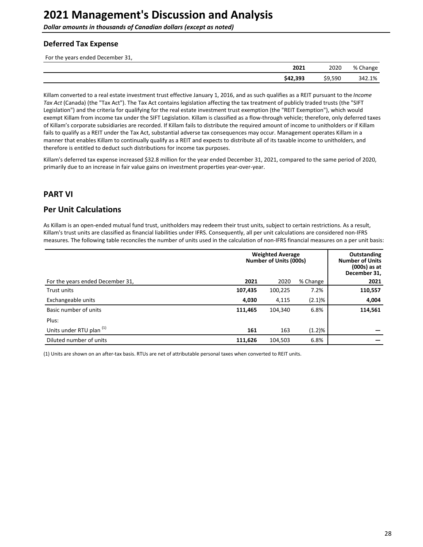<span id="page-27-0"></span>**Dollar amounts in thousands of Canadian dollars (except as noted)** 

### **Deferred Tax Expense**

For the years ended December 31,

| 2021     | 2020    | % Change |
|----------|---------|----------|
| \$42,393 | \$9,590 | 342.1%   |

Killam converted to a real estate investment trust effective January 1, 2016, and as such qualifies as a REIT pursuant to the Income Tax Act (Canada) (the "Tax Act"). The Tax Act contains legislation affecting the tax treatment of publicly traded trusts (the "SIFT Legislation") and the criteria for qualifying for the real estate investment trust exemption (the "REIT Exemption"), which would exempt Killam from income tax under the SIFT Legislation. Killam is classified as a flow-through vehicle; therefore, only deferred taxes of Killam's corporate subsidiaries are recorded. If Killam fails to distribute the required amount of income to unitholders or if Killam fails to qualify as a REIT under the Tax Act, substantial adverse tax consequences may occur. Management operates Killam in a manner that enables Killam to continually qualify as a REIT and expects to distribute all of its taxable income to unitholders, and therefore is entitled to deduct such distributions for income tax purposes.

Killam's deferred tax expense increased \$32.8 million for the year ended December 31, 2021, compared to the same period of 2020, primarily due to an increase in fair value gains on investment properties year-over-year.

# **PART VI**

# **Per Unit Calculations**

As Killam is an open-ended mutual fund trust, unitholders may redeem their trust units, subject to certain restrictions. As a result, Killam's trust units are classified as financial liabilities under IFRS. Consequently, all per unit calculations are considered non-IFRS measures. The following table reconciles the number of units used in the calculation of non-IFRS financial measures on a per unit basis:

|                                     | <b>Weighted Average</b><br>Number of Units (000s) | Outstanding<br><b>Number of Units</b><br>$(000s)$ as at<br>December 31, |           |         |
|-------------------------------------|---------------------------------------------------|-------------------------------------------------------------------------|-----------|---------|
| For the years ended December 31,    | 2021                                              | 2020                                                                    | % Change  | 2021    |
| Trust units                         | 107,435                                           | 100,225                                                                 | 7.2%      | 110,557 |
| Exchangeable units                  | 4,030                                             | 4,115                                                                   | $(2.1)\%$ | 4,004   |
| Basic number of units               | 111,465                                           | 104,340                                                                 | 6.8%      | 114,561 |
| Plus:                               |                                                   |                                                                         |           |         |
| Units under RTU plan <sup>(1)</sup> | 161                                               | 163                                                                     | (1.2)%    |         |
| Diluted number of units             | 111,626                                           | 104,503                                                                 | 6.8%      |         |

(1) Units are shown on an after-tax basis. RTUs are net of attributable personal taxes when converted to REIT units.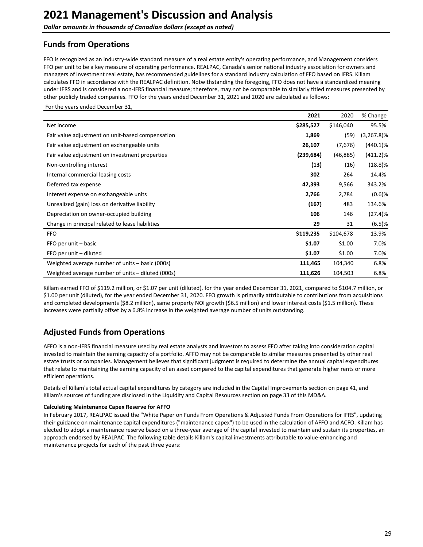<span id="page-28-0"></span>**Dollar amounts in thousands of Canadian dollars (except as noted)** 

# **Funds from Operations**

FFO is recognized as an industry-wide standard measure of a real estate entity's operating performance, and Management considers FFO per unit to be a key measure of operating performance. REALPAC, Canada's senior national industry association for owners and managers of investment real estate, has recommended guidelines for a standard industry calculation of FFO based on IFRS. Killam calculates FFO in accordance with the REALPAC definition. Notwithstanding the foregoing, FFO does not have a standardized meaning under IFRS and is considered a non-IFRS financial measure; therefore, may not be comparable to similarly titled measures presented by other publicly traded companies. FFO for the years ended December 31, 2021 and 2020 are calculated as follows:

For the years ended December 31,

|                                                   | 2021       | 2020      | % Change      |
|---------------------------------------------------|------------|-----------|---------------|
| Net income                                        | \$285,527  | \$146,040 | 95.5%         |
| Fair value adjustment on unit-based compensation  | 1,869      | (59)      | $(3,267.8)\%$ |
| Fair value adjustment on exchangeable units       | 26,107     | (7,676)   | $(440.1)\%$   |
| Fair value adjustment on investment properties    | (239, 684) | (46, 885) | $(411.2)\%$   |
| Non-controlling interest                          | (13)       | (16)      | $(18.8)\%$    |
| Internal commercial leasing costs                 | 302        | 264       | 14.4%         |
| Deferred tax expense                              | 42,393     | 9,566     | 343.2%        |
| Interest expense on exchangeable units            | 2,766      | 2,784     | $(0.6)$ %     |
| Unrealized (gain) loss on derivative liability    | (167)      | 483       | 134.6%        |
| Depreciation on owner-occupied building           | 106        | 146       | (27.4)%       |
| Change in principal related to lease liabilities  | 29         | 31        | (6.5)%        |
| <b>FFO</b>                                        | \$119,235  | \$104,678 | 13.9%         |
| FFO per unit - basic                              | \$1.07     | \$1.00    | 7.0%          |
| FFO per unit - diluted                            | \$1.07     | \$1.00    | 7.0%          |
| Weighted average number of units – basic (000s)   | 111,465    | 104,340   | 6.8%          |
| Weighted average number of units – diluted (000s) | 111,626    | 104,503   | 6.8%          |

Killam earned FFO of \$119.2 million, or \$1.07 per unit (diluted), for the year ended December 31, 2021, compared to \$104.7 million, or \$1.00 per unit (diluted), for the year ended December 31, 2020. FFO growth is primarily attributable to contributions from acquisitions and completed developments (\$8.2 million), same property NOI growth (\$6.5 million) and lower interest costs (\$1.5 million). These increases were partially offset by a 6.8% increase in the weighted average number of units outstanding.

# **Adjusted Funds from Operations**

AFFO is a non-IFRS financial measure used by real estate analysts and investors to assess FFO after taking into consideration capital invested to maintain the earning capacity of a portfolio. AFFO may not be comparable to similar measures presented by other real estate trusts or companies. Management believes that significant judgment is required to determine the annual capital expenditures that relate to maintaining the earning capacity of an asset compared to the capital expenditures that generate higher rents or more efficient operations.

Details of Killam's total actual capital expenditures by category are included in the Capital Improvements section on page 41, and Killam's sources of funding are disclosed in the Liquidity and Capital Resources section on page 33 of this MD&A.

#### **Calculating Maintenance Capex Reserve for AFFO**

In February 2017, REALPAC issued the "White Paper on Funds From Operations & Adjusted Funds From Operations for IFRS", updating their guidance on maintenance capital expenditures ("maintenance capex") to be used in the calculation of AFFO and ACFO. Killam has elected to adopt a maintenance reserve based on a three-year average of the capital invested to maintain and sustain its properties, an approach endorsed by REALPAC. The following table details Killam's capital investments attributable to value-enhancing and maintenance projects for each of the past three years: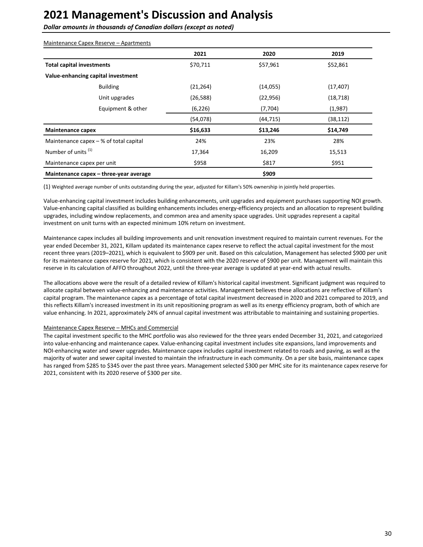**Dollar amounts in thousands of Canadian dollars (except as noted)** 

| Maintenance Capex Reserve – Apartments   |           |           |           |
|------------------------------------------|-----------|-----------|-----------|
|                                          | 2021      | 2020      | 2019      |
| <b>Total capital investments</b>         | \$70,711  | \$57,961  | \$52,861  |
| Value-enhancing capital investment       |           |           |           |
| <b>Building</b>                          | (21, 264) | (14, 055) | (17, 407) |
| Unit upgrades                            | (26, 588) | (22, 956) | (18, 718) |
| Equipment & other                        | (6, 226)  | (7,704)   | (1,987)   |
|                                          | (54,078)  | (44, 715) | (38, 112) |
| <b>Maintenance capex</b>                 | \$16,633  | \$13,246  | \$14,749  |
| Maintenance capex $-$ % of total capital | 24%       | 23%       | 28%       |
| Number of units <sup>(1)</sup>           | 17,364    | 16,209    | 15,513    |
| Maintenance capex per unit               | \$958     | \$817     | \$951     |
| Maintenance capex – three-year average   |           | \$909     |           |

(1) Weighted average number of units outstanding during the year, adjusted for Killam's 50% ownership in jointly held properties.

Value-enhancing capital investment includes building enhancements, unit upgrades and equipment purchases supporting NOI growth. Value-enhancing capital classified as building enhancements includes energy-efficiency projects and an allocation to represent building upgrades, including window replacements, and common area and amenity space upgrades. Unit upgrades represent a capital investment on unit turns with an expected minimum 10% return on investment.

Maintenance capex includes all building improvements and unit renovation investment required to maintain current revenues. For the year ended December 31, 2021, Killam updated its maintenance capex reserve to reflect the actual capital investment for the most recent three years (2019–2021), which is equivalent to \$909 per unit. Based on this calculation, Management has selected \$900 per unit for its maintenance capex reserve for 2021, which is consistent with the 2020 reserve of \$900 per unit. Management will maintain this reserve in its calculation of AFFO throughout 2022, until the three-year average is updated at year-end with actual results.

The allocations above were the result of a detailed review of Killam's historical capital investment. Significant judgment was required to allocate capital between value-enhancing and maintenance activities. Management believes these allocations are reflective of Killam's capital program. The maintenance capex as a percentage of total capital investment decreased in 2020 and 2021 compared to 2019, and this reflects Killam's increased investment in its unit repositioning program as well as its energy efficiency program, both of which are value enhancing. In 2021, approximately 24% of annual capital investment was attributable to maintaining and sustaining properties.

#### Maintenance Capex Reserve - MHCs and Commercial

The capital investment specific to the MHC portfolio was also reviewed for the three years ended December 31, 2021, and categorized into value-enhancing and maintenance capex. Value-enhancing capital investment includes site expansions, land improvements and NOI-enhancing water and sewer upgrades. Maintenance capex includes capital investment related to roads and paving, as well as the majority of water and sewer capital invested to maintain the infrastructure in each community. On a per site basis, maintenance capex has ranged from \$285 to \$345 over the past three years. Management selected \$300 per MHC site for its maintenance capex reserve for 2021, consistent with its 2020 reserve of \$300 per site.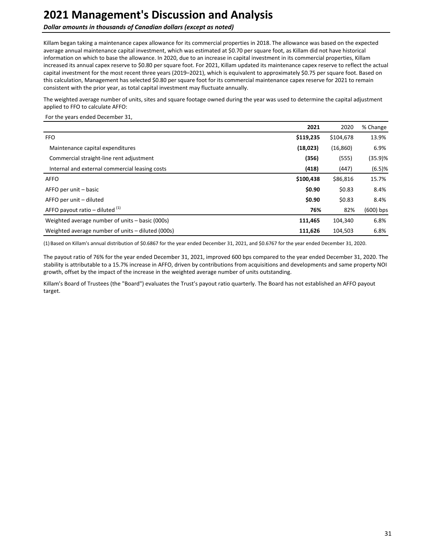**Dollar amounts in thousands of Canadian dollars (except as noted)** 

Killam began taking a maintenance capex allowance for its commercial properties in 2018. The allowance was based on the expected average annual maintenance capital investment, which was estimated at \$0.70 per square foot, as Killam did not have historical information on which to base the allowance. In 2020, due to an increase in capital investment in its commercial properties, Killam increased its annual capex reserve to \$0.80 per square foot. For 2021, Killam updated its maintenance capex reserve to reflect the actual capital investment for the most recent three years (2019–2021), which is equivalent to approximately \$0.75 per square foot. Based on this calculation, Management has selected \$0.80 per square foot for its commercial maintenance capex reserve for 2021 to remain consistent with the prior year, as total capital investment may fluctuate annually.

The weighted average number of units, sites and square footage owned during the year was used to determine the capital adjustment applied to FFO to calculate AFFO:

#### For the years ended December 31,

|                                                   | 2021      | 2020      | % Change    |
|---------------------------------------------------|-----------|-----------|-------------|
| <b>FFO</b>                                        | \$119,235 | \$104,678 | 13.9%       |
| Maintenance capital expenditures                  | (18,023)  | (16, 860) | 6.9%        |
| Commercial straight-line rent adjustment          | (356)     | (555)     | (35.9)%     |
| Internal and external commercial leasing costs    | (418)     | (447)     | $(6.5)$ %   |
| <b>AFFO</b>                                       | \$100,438 | \$86,816  | 15.7%       |
| AFFO per unit – basic                             | \$0.90    | \$0.83    | 8.4%        |
| AFFO per unit – diluted                           | \$0.90    | \$0.83    | 8.4%        |
| AFFO payout ratio – diluted $(1)$                 | 76%       | 82%       | $(600)$ bps |
| Weighted average number of units – basic (000s)   | 111,465   | 104,340   | 6.8%        |
| Weighted average number of units – diluted (000s) | 111,626   | 104,503   | 6.8%        |

(1) Based on Killam's annual distribution of \$0.6867 for the year ended December 31, 2021, and \$0.6767 for the year ended December 31, 2020.

The payout ratio of 76% for the year ended December 31, 2021, improved 600 bps compared to the year ended December 31, 2020. The stability is attributable to a 15.7% increase in AFFO, driven by contributions from acquisitions and developments and same property NOI growth, offset by the impact of the increase in the weighted average number of units outstanding.

Killam's Board of Trustees (the "Board") evaluates the Trust's payout ratio quarterly. The Board has not established an AFFO payout target.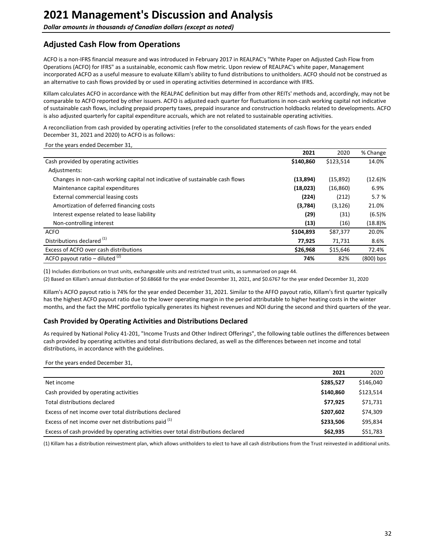# <span id="page-31-0"></span>**Adjusted Cash Flow from Operations**

ACFO is a non-IFRS financial measure and was introduced in February 2017 in REALPAC's "White Paper on Adjusted Cash Flow from Operations (ACFO) for IFRS" as a sustainable, economic cash flow metric. Upon review of REALPAC's white paper, Management incorporated ACFO as a useful measure to evaluate Killam's ability to fund distributions to unitholders. ACFO should not be construed as an alternative to cash flows provided by or used in operating activities determined in accordance with IFRS.

Killam calculates ACFO in accordance with the REALPAC definition but may differ from other REITs' methods and, accordingly, may not be comparable to ACFO reported by other issuers. ACFO is adjusted each quarter for fluctuations in non-cash working capital not indicative of sustainable cash flows, including prepaid property taxes, prepaid insurance and construction holdbacks related to developments. ACFO is also adjusted quarterly for capital expenditure accruals, which are not related to sustainable operating activities.

A reconciliation from cash provided by operating activities (refer to the consolidated statements of cash flows for the years ended December 31, 2021 and 2020) to ACFO is as follows:

For the years ended December 31,

|                                                                              | 2021      | 2020      | % Change   |
|------------------------------------------------------------------------------|-----------|-----------|------------|
| Cash provided by operating activities                                        | \$140,860 | \$123,514 | 14.0%      |
| Adjustments:                                                                 |           |           |            |
| Changes in non-cash working capital not indicative of sustainable cash flows | (13,894)  | (15,892)  | $(12.6)\%$ |
| Maintenance capital expenditures                                             | (18,023)  | (16, 860) | 6.9%       |
| External commercial leasing costs                                            | (224)     | (212)     | 5.7%       |
| Amortization of deferred financing costs                                     | (3,784)   | (3, 126)  | 21.0%      |
| Interest expense related to lease liability                                  | (29)      | (31)      | $(6.5)$ %  |
| Non-controlling interest                                                     | (13)      | (16)      | $(18.8)\%$ |
| <b>ACFO</b>                                                                  | \$104,893 | \$87,377  | 20.0%      |
| Distributions declared <sup>(1)</sup>                                        | 77,925    | 71,731    | 8.6%       |
| Excess of ACFO over cash distributions                                       | \$26,968  | \$15,646  | 72.4%      |
| ACFO payout ratio – diluted $(2)$                                            | 74%       | 82%       | (800) bps  |

(1) Includes distributions on trust units, exchangeable units and restricted trust units, as summarized on page 44.

(2) Based on Killam's annual distribution of \$0.68668 for the year ended December 31, 2021, and \$0.6767 for the year ended December 31, 2020

Killam's ACFO payout ratio is 74% for the year ended December 31, 2021. Similar to the AFFO payout ratio, Killam's first quarter typically has the highest ACFO payout ratio due to the lower operating margin in the period attributable to higher heating costs in the winter months, and the fact the MHC portfolio typically generates its highest revenues and NOI during the second and third quarters of the year.

#### **Cash Provided by Operating Activities and Distributions Declared**

As required by National Policy 41-201, "Income Trusts and Other Indirect Offerings", the following table outlines the differences between cash provided by operating activities and total distributions declared, as well as the differences between net income and total distributions, in accordance with the guidelines.

#### For the years ended December 31,

|                                                                                   | 2021      | 2020      |
|-----------------------------------------------------------------------------------|-----------|-----------|
| Net income                                                                        | \$285,527 | \$146,040 |
| Cash provided by operating activities                                             | \$140.860 | \$123,514 |
| Total distributions declared                                                      | \$77,925  | \$71,731  |
| Excess of net income over total distributions declared                            | \$207,602 | \$74,309  |
| Excess of net income over net distributions paid (1)                              | \$233,506 | \$95,834  |
| Excess of cash provided by operating activities over total distributions declared | \$62,935  | \$51,783  |

(1) Killam has a distribution reinvestment plan, which allows unitholders to elect to have all cash distributions from the Trust reinvested in additional units.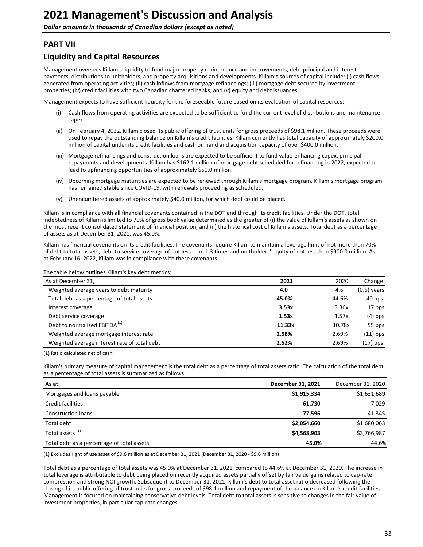# <span id="page-32-0"></span>**PART VII**

# **Liquidity and Capital Resources**

Management oversees Killam's liquidity to fund major property maintenance and improvements, debt principal and interest payments, distributions to unitholders, and property acquisitions and developments. Killam's sources of capital include: (i) cash flows generated from operating activities; (ii) cash inflows from mortgage refinancings; (iii) mortgage debt secured by investment properties; (iv) credit facilities with two Canadian chartered banks; and (v) equity and debt issuances.

Management expects to have sufficient liquidity for the foreseeable future based on its evaluation of capital resources:

- Cash flows from operating activities are expected to be sufficient to fund the current level of distributions and maintenance capex.
- (ii) On February 4, 2022, Killam closed its public offering of trust units for gross proceeds of \$98.1 million. These proceeds were used to repay the outstanding balance on Killam's credit facilities. Killam currently has total capacity of approximately \$200.0 million of capital under its credit facilities and cash on hand and acquisition capacity of over \$400.0 million.
- (iii) Mortgage refinancings and construction loans are expected to be sufficient to fund value-enhancing capex, principal repayments and developments. Killam has \$162.1 million of mortgage debt scheduled for refinancing in 2022, expected to lead to upfinancing opportunities of approximately \$50.0 million.
- (iv) Upcoming mortgage maturities are expected to be renewed through Killam's mortgage program. Killam's mortgage program has remained stable since COVID-19, with renewals proceeding as scheduled.
- (v) Unencumbered assets of approximately \$40.0 million, for which debt could be placed.

Killam is in compliance with all financial covenants contained in the DOT and through its credit facilities. Under the DOT, total indebtedness of Killam is limited to 70% of gross book value determined as the greater of (i) the value of Killam's assets as shown on the most recent consolidated statement of financial position, and (ii) the historical cost of Killam's assets. Total debt as a percentage of assets as at December 31, 2021, was 45.0%.

Killam has financial covenants on its credit facilities. The covenants require Killam to maintain a leverage limit of not more than 70% of debt to total assets, debt to service coverage of not less than 1.3 times and unitholders' equity of not less than \$900.0 million. As at February 16, 2022, Killam was in compliance with these covenants.

The table below outlines Killam's key debt metrics:

| As at December 31,                           | 2021   | 2020   | Change        |
|----------------------------------------------|--------|--------|---------------|
| Weighted average years to debt maturity      | 4.0    | 4.6    | $(0.6)$ years |
| Total debt as a percentage of total assets   | 45.0%  | 44.6%  | 40 bps        |
| Interest coverage                            | 3.53x  | 3.36x  | 17 bps        |
| Debt service coverage                        | 1.53x  | 1.57x  | $(4)$ bps     |
| Debt to normalized EBITDA <sup>(1)</sup>     | 11.33x | 10.78x | 55 bps        |
| Weighted average mortgage interest rate      | 2.58%  | 2.69%  | $(11)$ bps    |
| Weighted average interest rate of total debt | 2.52%  | 2.69%  | $(17)$ bps    |

(1) Ratio calculated net of cash.

Killam's primary measure of capital management is the total debt as a percentage of total assets ratio. The calculation of the total debt as a percentage of total assets is summarized as follows:

| As at                                      | December 31, 2021 | December 31, 2020 |
|--------------------------------------------|-------------------|-------------------|
| Mortgages and loans payable                | \$1,915,334       | \$1,631,689       |
| Credit facilities                          | 61,730            | 7,029             |
| <b>Construction loans</b>                  | 77.596            | 41,345            |
| Total debt                                 | \$2,054,660       | \$1,680,063       |
| Total assets <sup>(1)</sup>                | \$4,568,903       | \$3,766,987       |
| Total debt as a percentage of total assets | 45.0%             | 44.6%             |

(1) Excludes right of use asset of \$9.6 million as at December 31, 2021 (December 31, 2020 - \$9.6 million)

Total debt as a percentage of total assets was 45.0% at December 31, 2021, compared to 44.6% at December 31, 2020. The increase in total leverage is attributable to debt being placed on recently acquired assets partially offset by fair value gains related to cap-rate compression and strong NOI growth. Subsequent to December 31, 2021, Killam's debt to total asset ratio decreased following the closing of its public offering of trust units for gross proceeds of \$98.1 million and repayment of the balance on Killam's credit facilities. Management is focused on maintaining conservative debt levels. Total debt to total assets is sensitive to changes in the fair value of investment properties, in particular cap-rate changes.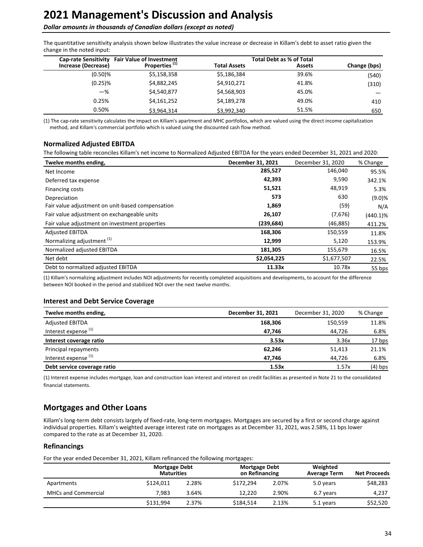#### <span id="page-33-0"></span>**Dollar amounts in thousands of Canadian dollars (except as noted)**

The quantitative sensitivity analysis shown below illustrates the value increase or decrease in Killam's debt to asset ratio given the change in the noted input:

| <b>Cap-rate Sensitivity</b> | <b>Fair Value of Investment</b> |                     | <b>Total Debt as % of Total</b> |              |
|-----------------------------|---------------------------------|---------------------|---------------------------------|--------------|
| Increase (Decrease)         | Properties <sup>(1)</sup>       | <b>Total Assets</b> | <b>Assets</b>                   | Change (bps) |
| $(0.50)$ %                  | \$5,158,358                     | \$5,186,384         | 39.6%                           | (540)        |
| $(0.25)$ %                  | \$4,882,245                     | \$4,910,271         | 41.8%                           | (310)        |
| $-$ %                       | \$4,540,877                     | \$4,568,903         | 45.0%                           |              |
| 0.25%                       | \$4,161,252                     | \$4,189,278         | 49.0%                           | 410          |
| 0.50%                       | \$3,964,314                     | \$3,992,340         | 51.5%                           | 650          |

(1) The cap-rate sensitivity calculates the impact on Killam's apartment and MHC portfolios, which are valued using the direct income capitalization method, and Killam's commercial portfolio which is valued using the discounted cash flow method.

### **Normalized Adjusted EBITDA**

The following table reconciles Killam's net income to Normalized Adjusted EBITDA for the years ended December 31, 2021 and 2020:

| Twelve months ending,                            | December 31, 2021 | December 31, 2020 | % Change    |
|--------------------------------------------------|-------------------|-------------------|-------------|
| Net Income                                       | 285,527           | 146,040           | 95.5%       |
| Deferred tax expense                             | 42,393            | 9,590             | 342.1%      |
| Financing costs                                  | 51,521            | 48,919            | 5.3%        |
| Depreciation                                     | 573               | 630               | (9.0)%      |
| Fair value adjustment on unit-based compensation | 1,869             | (59)              | N/A         |
| Fair value adjustment on exchangeable units      | 26,107            | (7,676)           | $(440.1)\%$ |
| Fair value adjustment on investment properties   | (239,684)         | (46, 885)         | 411.2%      |
| <b>Adjusted EBITDA</b>                           | 168,306           | 150,559           | 11.8%       |
| Normalizing adjustment <sup>(1)</sup>            | 12,999            | 5,120             | 153.9%      |
| Normalized adjusted EBITDA                       | 181,305           | 155,679           | 16.5%       |
| Net debt                                         | \$2,054,225       | \$1,677,507       | 22.5%       |
| Debt to normalized adjusted EBITDA               | 11.33x            | 10.78x            | 55 bps      |

(1) Killam's normalizing adjustment includes NOI adjustments for recently completed acquisitions and developments, to account for the difference between NOI booked in the period and stabilized NOI over the next twelve months.

#### **Interest and Debt Service Coverage**

| Twelve months ending,           | December 31, 2021 | December 31, 2020 | % Change  |
|---------------------------------|-------------------|-------------------|-----------|
| <b>Adjusted EBITDA</b>          | 168,306           | 150,559           | 11.8%     |
| Interest expense <sup>(1)</sup> | 47,746            | 44,726            | 6.8%      |
| Interest coverage ratio         | 3.53x             | 3.36x             | 17 bps    |
| Principal repayments            | 62,246            | 51,413            | 21.1%     |
| Interest expense <sup>(1)</sup> | 47,746            | 44,726            | 6.8%      |
| Debt service coverage ratio     | 1.53x             | 1.57x             | $(4)$ bps |

(1) Interest expense includes mortgage, loan and construction loan interest and interest on credit facilities as presented in Note 21 to the consolidated financial statements.

## **Mortgages and Other Loans**

Killam's long-term debt consists largely of fixed-rate, long-term mortgages. Mortgages are secured by a first or second charge against individual properties. Killam's weighted average interest rate on mortgages as at December 31, 2021, was 2.58%, 11 bps lower compared to the rate as at December 31, 2020.

#### **Refinancings**

For the year ended December 31, 2021, Killam refinanced the following mortgages:

|                            | <b>Mortgage Debt</b><br><b>Maturities</b> |       |           | <b>Mortgage Debt</b><br>on Refinancing |           | <b>Net Proceeds</b> |
|----------------------------|-------------------------------------------|-------|-----------|----------------------------------------|-----------|---------------------|
| Apartments                 | \$124.011                                 | 2.28% | \$172.294 | 2.07%                                  | 5.0 years | \$48,283            |
| <b>MHCs and Commercial</b> | 7,983                                     | 3.64% | 12.220    | 2.90%                                  | 6.7 years | 4,237               |
|                            | \$131.994                                 | 2.37% | \$184,514 | 2.13%                                  | 5.1 years | \$52,520            |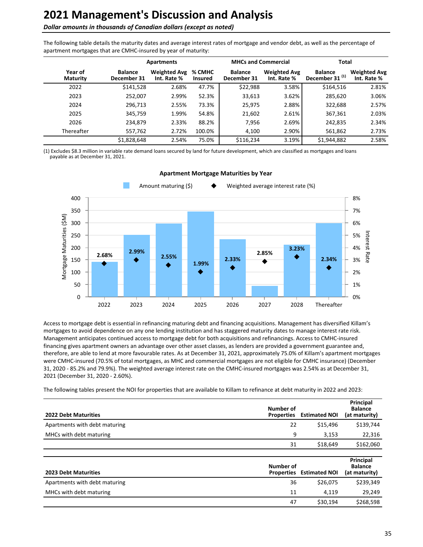#### **Dollar amounts in thousands of Canadian dollars (except as noted)**

The following table details the maturity dates and average interest rates of mortgage and vendor debt, as well as the percentage of apartment mortgages that are CMHC-insured by year of maturity:

|                            |                               | <b>Apartments</b>                  |                          | <b>MHCs and Commercial</b>    |                                    | Total                                        |                                    |
|----------------------------|-------------------------------|------------------------------------|--------------------------|-------------------------------|------------------------------------|----------------------------------------------|------------------------------------|
| Year of<br><b>Maturity</b> | <b>Balance</b><br>December 31 | <b>Weighted Avg</b><br>Int. Rate % | % CMHC<br><b>Insured</b> | <b>Balance</b><br>December 31 | <b>Weighted Avg</b><br>Int. Rate % | <b>Balance</b><br>December 31 <sup>(1)</sup> | <b>Weighted Avg</b><br>Int. Rate % |
| 2022                       | \$141,528                     | 2.68%                              | 47.7%                    | \$22,988                      | 3.58%                              | \$164,516                                    | 2.81%                              |
| 2023                       | 252,007                       | 2.99%                              | 52.3%                    | 33,613                        | 3.62%                              | 285,620                                      | 3.06%                              |
| 2024                       | 296,713                       | 2.55%                              | 73.3%                    | 25,975                        | 2.88%                              | 322,688                                      | 2.57%                              |
| 2025                       | 345,759                       | 1.99%                              | 54.8%                    | 21,602                        | 2.61%                              | 367,361                                      | 2.03%                              |
| 2026                       | 234.879                       | 2.33%                              | 88.2%                    | 7,956                         | 2.69%                              | 242,835                                      | 2.34%                              |
| Thereafter                 | 557,762                       | 2.72%                              | 100.0%                   | 4,100                         | 2.90%                              | 561,862                                      | 2.73%                              |
|                            | \$1,828,648                   | 2.54%                              | 75.0%                    | \$116,234                     | 3.19%                              | \$1,944,882                                  | 2.58%                              |

(1) Excludes \$8.3 million in variable rate demand loans secured by land for future development, which are classified as mortgages and loans payable as at December 31, 2021.



#### **Apartment Mortgage Maturities by Year**

Access to mortgage debt is essential in refinancing maturing debt and financing acquisitions. Management has diversified Killam's mortgages to avoid dependence on any one lending institution and has staggered maturity dates to manage interest rate risk. Management anticipates continued access to mortgage debt for both acquisitions and refinancings. Access to CMHC-insured financing gives apartment owners an advantage over other asset classes, as lenders are provided a government guarantee and, therefore, are able to lend at more favourable rates. As at December 31, 2021, approximately 75.0% of Killam's apartment mortgages were CMHC-insured (70.5% of total mortgages, as MHC and commercial mortgages are not eligible for CMHC insurance) (December 31, 2020 - 85.2% and 79.9%). The weighted average interest rate on the CMHC-insured mortgages was 2.54% as at December 31, 2021 (December 31, 2020 - 2.60%).

The following tables present the NOI for properties that are available to Killam to refinance at debt maturity in 2022 and 2023:

| <b>2022 Debt Maturities</b>   | Number of<br><b>Properties</b> | <b>Estimated NOI</b> | Principal<br><b>Balance</b><br>(at maturity) |
|-------------------------------|--------------------------------|----------------------|----------------------------------------------|
| Apartments with debt maturing | 22                             | \$15,496             | \$139,744                                    |
| MHCs with debt maturing       | 9                              | 3,153                | 22,316                                       |
|                               | 31                             | \$18,649             | \$162,060                                    |
|                               |                                |                      |                                              |
| <b>2023 Debt Maturities</b>   | Number of<br><b>Properties</b> | <b>Estimated NOI</b> | Principal<br><b>Balance</b><br>(at maturity) |
| Apartments with debt maturing | 36                             | \$26,075             | \$239,349                                    |
| MHCs with debt maturing       | 11                             | 4,119                | 29,249                                       |
|                               | 47                             | \$30,194             | \$268,598                                    |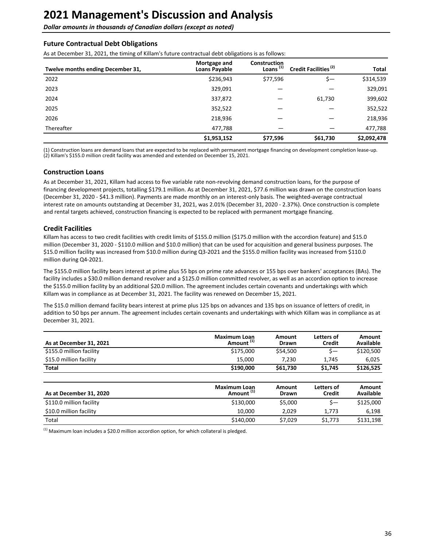**Dollar amounts in thousands of Canadian dollars (except as noted)** 

#### **Future Contractual Debt Obligations**

As at December 31, 2021, the timing of Killam's future contractual debt obligations is as follows:

| Twelve months ending December 31, | Mortgage and<br><b>Loans Payable</b> | <b>Construction</b><br>Loans $(1)$ | Credit Facilities <sup>(2)</sup> | Total       |
|-----------------------------------|--------------------------------------|------------------------------------|----------------------------------|-------------|
| 2022                              | \$236,943                            | \$77,596                           | \$—                              | \$314,539   |
| 2023                              | 329,091                              |                                    |                                  | 329,091     |
| 2024                              | 337,872                              |                                    | 61,730                           | 399,602     |
| 2025                              | 352,522                              |                                    |                                  | 352,522     |
| 2026                              | 218,936                              |                                    |                                  | 218,936     |
| Thereafter                        | 477,788                              |                                    |                                  | 477,788     |
|                                   | \$1,953,152                          | \$77,596                           | \$61,730                         | \$2,092,478 |

(1) Construction loans are demand loans that are expected to be replaced with permanent mortgage financing on development completion lease-up. (2) Killam's \$155.0 million credit facility was amended and extended on December 15, 2021.

### **Construction Loans**

As at December 31, 2021, Killam had access to five variable rate non-revolving demand construction loans, for the purpose of financing development projects, totalling \$179.1 million. As at December 31, 2021, \$77.6 million was drawn on the construction loans (December 31, 2020 - \$41.3 million). Payments are made monthly on an interest-only basis. The weighted-average contractual interest rate on amounts outstanding at December 31, 2021, was 2.01% (December 31, 2020 - 2.37%). Once construction is complete and rental targets achieved, construction financing is expected to be replaced with permanent mortgage financing.

### **Credit Facilities**

Killam has access to two credit facilities with credit limits of \$155.0 million (\$175.0 million with the accordion feature) and \$15.0 million (December 31, 2020 - \$110.0 million and \$10.0 million) that can be used for acquisition and general business purposes. The \$15.0 million facility was increased from \$10.0 million during Q3-2021 and the \$155.0 million facility was increased from \$110.0 million during Q4-2021.

The \$155.0 million facility bears interest at prime plus 55 bps on prime rate advances or 155 bps over bankers' acceptances (BAs). The facility includes a \$30.0 million demand revolver and a \$125.0 million committed revolver, as well as an accordion option to increase the \$155.0 million facility by an additional \$20.0 million. The agreement includes certain covenants and undertakings with which Killam was in compliance as at December 31, 2021. The facility was renewed on December 15, 2021.

The \$15.0 million demand facility bears interest at prime plus 125 bps on advances and 135 bps on issuance of letters of credit, in addition to 50 bps per annum. The agreement includes certain covenants and undertakings with which Killam was in compliance as at December 31, 2021.

| As at December 31, 2021  | Maximum Loan<br>Amount <sup>(1)</sup> | Amount<br>Drawn | Letters of<br><b>Credit</b> | Amount<br>Available |
|--------------------------|---------------------------------------|-----------------|-----------------------------|---------------------|
| \$155.0 million facility | \$175,000                             | \$54,500        | $S-$                        | \$120,500           |
| \$15.0 million facility  | 15.000                                | 7.230           | 1.745                       | 6.025               |
| <b>Total</b>             | \$190,000                             | \$61,730        | \$1,745                     | \$126.525           |

| As at December 31, 2020  | <b>Maximum Loan</b><br>Amount " | Amount<br><b>Drawn</b> | Letters of<br>Credit | Amount<br>Available |
|--------------------------|---------------------------------|------------------------|----------------------|---------------------|
| \$110.0 million facility | \$130,000                       | \$5,000                |                      | \$125,000           |
| \$10.0 million facility  | 10.000                          | 2.029                  | 1.773                | 6,198               |
| Total                    | \$140,000                       | \$7.029                | \$1,773              | \$131,198           |

 $<sup>(1)</sup>$  Maximum loan includes a \$20.0 million accordion option, for which collateral is pledged.</sup>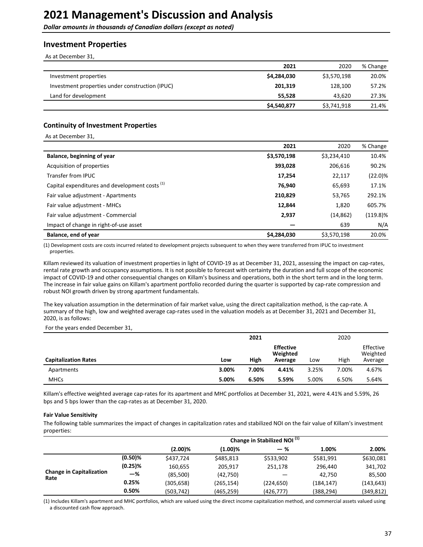<span id="page-36-0"></span>**Dollar amounts in thousands of Canadian dollars (except as noted)** 

### **Investment Properties**

As at December 31,

|                                                 | 2021        | 2020        | % Change |
|-------------------------------------------------|-------------|-------------|----------|
| Investment properties                           | \$4,284,030 | \$3,570,198 | 20.0%    |
| Investment properties under construction (IPUC) | 201,319     | 128,100     | 57.2%    |
| Land for development                            | 55,528      | 43,620      | 27.3%    |
|                                                 | \$4,540,877 | \$3,741,918 | 21.4%    |

#### **Continuity of Investment Properties**

As at December 31,

|                                                           | 2021        | 2020        | % Change    |
|-----------------------------------------------------------|-------------|-------------|-------------|
| Balance, beginning of year                                | \$3,570,198 | \$3,234,410 | 10.4%       |
| Acquisition of properties                                 | 393,028     | 206,616     | 90.2%       |
| Transfer from IPUC                                        | 17,254      | 22,117      | (22.0)%     |
| Capital expenditures and development costs <sup>(1)</sup> | 76,940      | 65,693      | 17.1%       |
| Fair value adjustment - Apartments                        | 210,829     | 53,765      | 292.1%      |
| Fair value adjustment - MHCs                              | 12,844      | 1,820       | 605.7%      |
| Fair value adjustment - Commercial                        | 2,937       | (14, 862)   | $(119.8)\%$ |
| Impact of change in right-of-use asset                    |             | 639         | N/A         |
| Balance, end of year                                      | \$4,284,030 | \$3,570,198 | 20.0%       |

(1) Development costs are costs incurred related to development projects subsequent to when they were transferred from IPUC to investment properties.

Killam reviewed its valuation of investment properties in light of COVID-19 as at December 31, 2021, assessing the impact on cap-rates, rental rate growth and occupancy assumptions. It is not possible to forecast with certainty the duration and full scope of the economic impact of COVID-19 and other consequential changes on Killam's business and operations, both in the short term and in the long term. The increase in fair value gains on Killam's apartment portfolio recorded during the quarter is supported by cap-rate compression and robust NOI growth driven by strong apartment fundamentals.

The key valuation assumption in the determination of fair market value, using the direct capitalization method, is the cap-rate. A summary of the high, low and weighted average cap-rates used in the valuation models as at December 31, 2021 and December 31, 2020, is as follows:

For the years ended December 31,

|                             |       | 2021  |                                         |       | 2020  |                                  |
|-----------------------------|-------|-------|-----------------------------------------|-------|-------|----------------------------------|
| <b>Capitalization Rates</b> | Low   | High  | <b>Effective</b><br>Weighted<br>Average | Low   | High  | Effective<br>Weighted<br>Average |
| Apartments                  | 3.00% | 7.00% | 4.41%                                   | 3.25% | 7.00% | 4.67%                            |
| <b>MHCs</b>                 | 5.00% | 6.50% | 5.59%                                   | 5.00% | 6.50% | 5.64%                            |

Killam's effective weighted average cap-rates for its apartment and MHC portfolios at December 31, 2021, were 4.41% and 5.59%, 26 bps and 5 bps lower than the cap-rates as at December 31, 2020.

#### **Fair Value Sensitivity**

The following table summarizes the impact of changes in capitalization rates and stabilized NOI on the fair value of Killam's investment properties:

|                                         |            | Change in Stabilized NOI $\overline{^{(1)}}$ |            |            |            |            |
|-----------------------------------------|------------|----------------------------------------------|------------|------------|------------|------------|
|                                         |            | $(2.00)\%$                                   | $(1.00)\%$ | — %        | 1.00%      | 2.00%      |
|                                         | $(0.50)\%$ | \$437,724                                    | \$485,813  | \$533,902  | \$581,991  | \$630,081  |
|                                         | $(0.25)\%$ | 160,655                                      | 205.917    | 251,178    | 296,440    | 341,702    |
| <b>Change in Capitalization</b><br>Rate | -%         | (85,500)                                     | (42,750)   |            | 42.750     | 85,500     |
|                                         | 0.25%      | (305,658)                                    | (265,154)  | (224, 650) | (184, 147) | (143, 643) |
|                                         | 0.50%      | (503,742)                                    | (465,259)  | (426, 777) | (388,294)  | (349,812)  |

(1) Includes Killam's apartment and MHC portfolios, which are valued using the direct income capitalization method, and commercial assets valued using a discounted cash flow approach.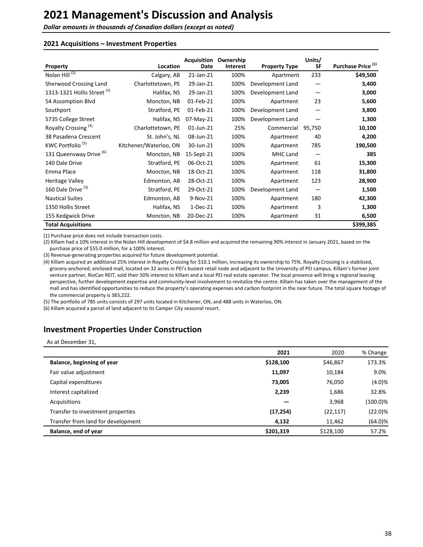**Dollar amounts in thousands of Canadian dollars (except as noted)** 

#### **2021 Acquisitions – Investment Properties**

| Property                               | Location               | <b>Acquisition</b><br>Date | Ownership<br><b>Interest</b> | <b>Property Type</b> | Units/<br><b>SF</b> | Purchase Price <sup>(1)</sup> |
|----------------------------------------|------------------------|----------------------------|------------------------------|----------------------|---------------------|-------------------------------|
| Nolan Hill <sup>(2)</sup>              | Calgary, AB            | 21-Jan-21                  | 100%                         | Apartment            | 233                 | \$49,500                      |
| Sherwood Crossing Land                 | Charlottetown, PE      | 29-Jan-21                  | 100%                         | Development Land     |                     | 3,400                         |
| 1313-1321 Hollis Street <sup>(3)</sup> | Halifax, NS            | 29-Jan-21                  | 100%                         | Development Land     | —                   | 3,000                         |
| 54 Assomption Blvd                     | Moncton, NB            | 01-Feb-21                  | 100%                         | Apartment            | 23                  | 5,600                         |
| Southport                              | Stratford, PE          | 01-Feb-21                  | 100%                         | Development Land     | —                   | 3,800                         |
| 5735 College Street                    | Halifax, NS            | 07-May-21                  | 100%                         | Development Land     |                     | 1,300                         |
| Royalty Crossing <sup>(4)</sup>        | Charlottetown, PE      | 01-Jun-21                  | 25%                          | Commercial           | 95,750              | 10,100                        |
| 38 Pasadena Crescent                   | St. John's, NL         | 08-Jun-21                  | 100%                         | Apartment            | 40                  | 4,200                         |
| KWC Portfolio <sup>(5)</sup>           | Kitchener/Waterloo, ON | 30-Jun-21                  | 100%                         | Apartment            | 785                 | 190,500                       |
| 131 Queensway Drive <sup>(6)</sup>     | Moncton, NB            | 15-Sept-21                 | 100%                         | MHC Land             |                     | 385                           |
| 140 Dale Drive                         | Stratford, PE          | 06-Oct-21                  | 100%                         | Apartment            | 61                  | 15,300                        |
| Emma Place                             | Moncton, NB            | 18-Oct-21                  | 100%                         | Apartment            | 118                 | 31,800                        |
| <b>Heritage Valley</b>                 | Edmonton, AB           | 28-Oct-21                  | 100%                         | Apartment            | 123                 | 28,900                        |
| 160 Dale Drive <sup>(3)</sup>          | Stratford, PE          | 29-Oct-21                  | 100%                         | Development Land     | —                   | 1,500                         |
| <b>Nautical Suites</b>                 | Edmonton, AB           | 9-Nov-21                   | 100%                         | Apartment            | 180                 | 42,300                        |
| 1350 Hollis Street                     | Halifax, NS            | $1-Dec-21$                 | 100%                         | Apartment            | 3                   | 1,300                         |
| 155 Kedgwick Drive                     | Moncton, NB            | 20-Dec-21                  | 100%                         | Apartment            | 31                  | 6,500                         |
| <b>Total Acquisitions</b>              |                        |                            |                              |                      |                     | \$399,385                     |

(1) Purchase price does not include transaction costs.

(2) Killam had a 10% interest in the Nolan Hill development of \$4.8 million and acquired the remaining 90% interest in January 2021, based on the purchase price of \$55.0 million, for a 100% interest.

(3) Revenue-generating properties acquired for future development potential.

(4) Killam acquired an additional 25% interest in Royalty Crossing for \$10.1 million, increasing its ownership to 75%. Royalty Crossing is a stabilized, grocery-anchored, enclosed mall, located on 32 acres in PEI's busiest retail node and adjacent to the University of PEI campus. Killam's former joint venture partner, RioCan REIT, sold their 50% interest to Killam and a local PEI real estate operator. The local presence will bring a regional leasing perspective, further development expertise and community-level involvement to revitalize the centre. Killam has taken over the management of the mall and has identified opportunities to reduce the property's operating expenses and carbon footprint in the near future. The total square footage of the commercial property is 383,222.

(5) The portfolio of 785 units consists of 297 units located in Kitchener, ON, and 488 units in Waterloo, ON.

(6) Killam acquired a parcel of land adjacent to its Camper City seasonal resort.

## **Investment Properties Under Construction**

As at December 31,

|                                    | 2021      | 2020      | % Change    |
|------------------------------------|-----------|-----------|-------------|
| Balance, beginning of year         | \$128,100 | \$46,867  | 173.3%      |
| Fair value adjustment              | 11,097    | 10,184    | 9.0%        |
| Capital expenditures               | 73,005    | 76,050    | (4.0)%      |
| Interest capitalized               | 2,239     | 1,686     | 32.8%       |
| Acquisitions                       |           | 3,968     | $(100.0)\%$ |
| Transfer to investment properties  | (17, 254) | (22, 117) | $(22.0)\%$  |
| Transfer from land for development | 4,132     | 11,462    | $(64.0)\%$  |
| Balance, end of year               | \$201,319 | \$128,100 | 57.2%       |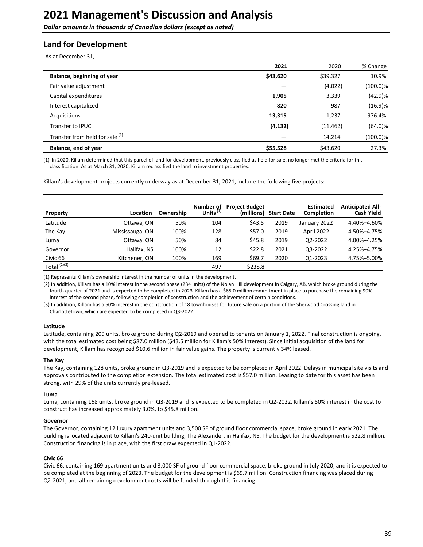**Dollar amounts in thousands of Canadian dollars (except as noted)** 

## **Land for Development**

As at December 31,

|                                            | 2021     | 2020      | % Change    |
|--------------------------------------------|----------|-----------|-------------|
| Balance, beginning of year                 | \$43,620 | \$39,327  | 10.9%       |
| Fair value adjustment                      |          | (4,022)   | $(100.0)\%$ |
| Capital expenditures                       | 1,905    | 3,339     | (42.9)%     |
| Interest capitalized                       | 820      | 987       | (16.9)%     |
| Acquisitions                               | 13,315   | 1,237     | 976.4%      |
| Transfer to <b>IPUC</b>                    | (4, 132) | (11, 462) | $(64.0)\%$  |
| Transfer from held for sale <sup>(1)</sup> |          | 14,214    | $(100.0)\%$ |
| Balance, end of year                       | \$55,528 | \$43,620  | 27.3%       |

(1) In 2020, Killam determined that this parcel of land for development, previously classified as held for sale, no longer met the criteria for this classification. As at March 31, 2020, Killam reclassified the land to investment properties.

Killam's development projects currently underway as at December 31, 2021, include the following five projects:

| Property       | Location        | Ownership | Number of<br>Units $^{(1)}$ | <b>Project Budget</b><br>(millions) | <b>Start Date</b> | <b>Estimated</b><br><b>Completion</b> | <b>Anticipated All-</b><br><b>Cash Yield</b> |
|----------------|-----------------|-----------|-----------------------------|-------------------------------------|-------------------|---------------------------------------|----------------------------------------------|
| Latitude       | Ottawa, ON      | 50%       | 104                         | \$43.5                              | 2019              | January 2022                          | 4.40%-4.60%                                  |
| The Kay        | Mississauga, ON | 100%      | 128                         | \$57.0                              | 2019              | April 2022                            | 4.50%-4.75%                                  |
| Luma           | Ottawa, ON      | 50%       | 84                          | \$45.8                              | 2019              | Q2-2022                               | 4.00%-4.25%                                  |
| Governor       | Halifax, NS     | 100%      | 12                          | \$22.8                              | 2021              | Q3-2022                               | 4.25%-4.75%                                  |
| Civic 66       | Kitchener, ON   | 100%      | 169                         | \$69.7                              | 2020              | Q1-2023                               | 4.75%-5.00%                                  |
| Total $(2)(3)$ |                 |           | 497                         | \$238.8                             |                   |                                       |                                              |

(1) Represents Killam's ownership interest in the number of units in the development.

(2) In addition, Killam has a 10% interest in the second phase (234 units) of the Nolan Hill development in Calgary, AB, which broke ground during the fourth quarter of 2021 and is expected to be completed in 2023. Killam has a \$65.0 million commitment in place to purchase the remaining 90% interest of the second phase, following completion of construction and the achievement of certain conditions.

(3) In addition, Killam has a 50% interest in the construction of 18 townhouses for future sale on a portion of the Sherwood Crossing land in Charlottetown, which are expected to be completed in Q3-2022.

#### **Latitude**

Latitude, containing 209 units, broke ground during Q2-2019 and opened to tenants on January 1, 2022. Final construction is ongoing, with the total estimated cost being \$87.0 million (\$43.5 million for Killam's 50% interest). Since initial acquisition of the land for development, Killam has recognized \$10.6 million in fair value gains. The property is currently 34% leased.

#### **The Kay**

The Kay, containing 128 units, broke ground in Q3-2019 and is expected to be completed in April 2022. Delays in municipal site visits and approvals contributed to the completion extension. The total estimated cost is \$57.0 million. Leasing to date for this asset has been strong, with 29% of the units currently pre-leased.

#### **Luma**

Luma, containing 168 units, broke ground in Q3-2019 and is expected to be completed in Q2-2022. Killam's 50% interest in the cost to construct has increased approximately 3.0%, to \$45.8 million.

#### **Governor**

The Governor, containing 12 luxury apartment units and 3,500 SF of ground floor commercial space, broke ground in early 2021. The building is located adjacent to Killam's 240-unit building, The Alexander, in Halifax, NS. The budget for the development is \$22.8 million. Construction financing is in place, with the first draw expected in Q1-2022.

#### **Civic 66**

Civic 66, containing 169 apartment units and 3,000 SF of ground floor commercial space, broke ground in July 2020, and it is expected to be completed at the beginning of 2023. The budget for the development is \$69.7 million. Construction financing was placed during Q2-2021, and all remaining development costs will be funded through this financing.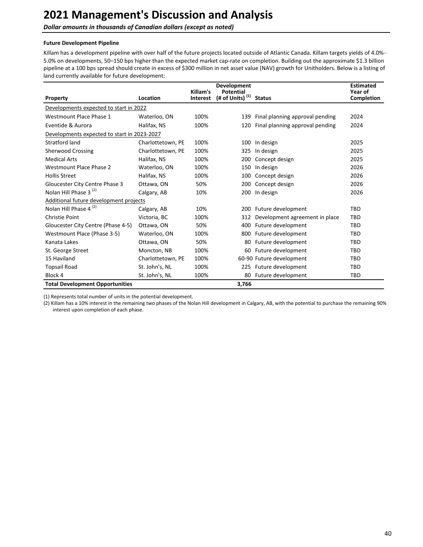**Dollar amounts in thousands of Canadian dollars (except as noted)** 

#### **Future Development Pipeline**

Killam has a development pipeline with over half of the future projects located outside of Atlantic Canada. Killam targets yields of 4.0%-5.0% on developments, 50-150 bps higher than the expected market cap-rate on completion. Building out the approximate \$1.3 billion pipeline at a 100 bps spread should create in excess of \$300 million in net asset value (NAV) growth for Unitholders. Below is a listing of land currently available for future development:

|                                             |                   | Killam's        | <b>Development</b><br>Potential |                                 | <b>Estimated</b><br>Year of |
|---------------------------------------------|-------------------|-----------------|---------------------------------|---------------------------------|-----------------------------|
| Property                                    | Location          | <b>Interest</b> | (1)<br>(# of Units)             | <b>Status</b>                   | Completion                  |
| Developments expected to start in 2022      |                   |                 |                                 |                                 |                             |
| Westmount Place Phase 1                     | Waterloo, ON      | 100%            | 139                             | Final planning approval pending | 2024                        |
| Eventide & Aurora                           | Halifax, NS       | 100%            | 120                             | Final planning approval pending | 2024                        |
| Developments expected to start in 2023-2027 |                   |                 |                                 |                                 |                             |
| Stratford land                              | Charlottetown, PE | 100%            | 100                             | In design                       | 2025                        |
| <b>Sherwood Crossing</b>                    | Charlottetown, PE | 100%            | 325                             | In design                       | 2025                        |
| <b>Medical Arts</b>                         | Halifax, NS       | 100%            | 200                             | Concept design                  | 2025                        |
| Westmount Place Phase 2                     | Waterloo, ON      | 100%            | 150                             | In design                       | 2026                        |
| <b>Hollis Street</b>                        | Halifax, NS       | 100%            | 100                             | Concept design                  | 2026                        |
| Gloucester City Centre Phase 3              | Ottawa, ON        | 50%             | 200                             | Concept design                  | 2026                        |
| Nolan Hill Phase 3 <sup>(2)</sup>           | Calgary, AB       | 10%             | 200                             | In design                       | 2026                        |
| Additional future development projects      |                   |                 |                                 |                                 |                             |
| Nolan Hill Phase 4 <sup>(2)</sup>           | Calgary, AB       | 10%             | 200                             | Future development              | <b>TBD</b>                  |
| <b>Christie Point</b>                       | Victoria, BC      | 100%            | 312                             | Development agreement in place  | TBD                         |
| Gloucester City Centre (Phase 4-5)          | Ottawa, ON        | 50%             | 400                             | Future development              | TBD                         |
| Westmount Place (Phase 3-5)                 | Waterloo, ON      | 100%            | 800                             | Future development              | TBD                         |
| Kanata Lakes                                | Ottawa, ON        | 50%             | 80                              | Future development              | TBD                         |
| St. George Street                           | Moncton, NB       | 100%            | 60                              | Future development              | <b>TBD</b>                  |
| 15 Haviland                                 | Charlottetown, PE | 100%            |                                 | 60-90 Future development        | <b>TBD</b>                  |
| <b>Topsail Road</b>                         | St. John's, NL    | 100%            | 225                             | Future development              | <b>TBD</b>                  |
| Block 4                                     | St. John's, NL    | 100%            | 80                              | Future development              | <b>TBD</b>                  |
| <b>Total Development Opportunities</b>      |                   |                 | 3,766                           |                                 |                             |

(1) Represents total number of units in the potential development.

(2) Killam has a 10% interest in the remaining two phases of the Nolan Hill development in Calgary, AB, with the potential to purchase the remaining 90% interest upon completion of each phase.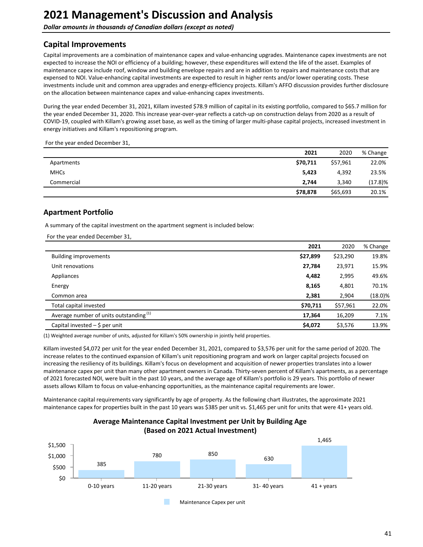<span id="page-40-0"></span>**Dollar amounts in thousands of Canadian dollars (except as noted)** 

# **Capital Improvements**

Capital improvements are a combination of maintenance capex and value-enhancing upgrades. Maintenance capex investments are not expected to increase the NOI or efficiency of a building; however, these expenditures will extend the life of the asset. Examples of maintenance capex include roof, window and building envelope repairs and are in addition to repairs and maintenance costs that are expensed to NOI. Value-enhancing capital investments are expected to result in higher rents and/or lower operating costs. These investments include unit and common area upgrades and energy-efficiency projects. Killam's AFFO discussion provides further disclosure on the allocation between maintenance capex and value-enhancing capex investments.

During the year ended December 31, 2021, Killam invested \$78.9 million of capital in its existing portfolio, compared to \$65.7 million for the year ended December 31, 2020. This increase year-over-year reflects a catch-up on construction delays from 2020 as a result of COVID-19, coupled with Killam's growing asset base, as well as the timing of larger multi-phase capital projects, increased investment in energy initiatives and Killam's repositioning program.

For the year ended December 31,

|             | 2021     | 2020     | % Change |
|-------------|----------|----------|----------|
| Apartments  | \$70,711 | \$57,961 | 22.0%    |
| <b>MHCs</b> | 5,423    | 4,392    | 23.5%    |
| Commercial  | 2,744    | 3,340    | (17.8)%  |
|             | \$78,878 | \$65,693 | 20.1%    |

## **Apartment Portfolio**

A summary of the capital investment on the apartment segment is included below:

For the year ended December 31,

|                                                    | 2021     | 2020     | % Change   |
|----------------------------------------------------|----------|----------|------------|
| <b>Building improvements</b>                       | \$27,899 | \$23,290 | 19.8%      |
| Unit renovations                                   | 27,784   | 23,971   | 15.9%      |
| Appliances                                         | 4,482    | 2,995    | 49.6%      |
| Energy                                             | 8,165    | 4,801    | 70.1%      |
| Common area                                        | 2,381    | 2,904    | $(18.0)\%$ |
| Total capital invested                             | \$70,711 | \$57,961 | 22.0%      |
| Average number of units outstanding <sup>(1)</sup> | 17,364   | 16,209   | 7.1%       |
| Capital invested $-$ \$ per unit                   | \$4,072  | \$3,576  | 13.9%      |

(1) Weighted average number of units, adjusted for Killam's 50% ownership in jointly held properties.

Killam invested \$4,072 per unit for the year ended December 31, 2021, compared to \$3,576 per unit for the same period of 2020. The increase relates to the continued expansion of Killam's unit repositioning program and work on larger capital projects focused on increasing the resiliency of its buildings. Killam's focus on development and acquisition of newer properties translates into a lower maintenance capex per unit than many other apartment owners in Canada. Thirty-seven percent of Killam's apartments, as a percentage of 2021 forecasted NOI, were built in the past 10 years, and the average age of Killam's portfolio is 29 years. This portfolio of newer assets allows Killam to focus on value-enhancing opportunities, as the maintenance capital requirements are lower.

Maintenance capital requirements vary significantly by age of property. As the following chart illustrates, the approximate 2021 maintenance capex for properties built in the past 10 years was \$385 per unit vs. \$1,465 per unit for units that were 41+ years old.



### **Average Maintenance Capital Investment per Unit by Building Age (Based on 2021 Actual Investment)**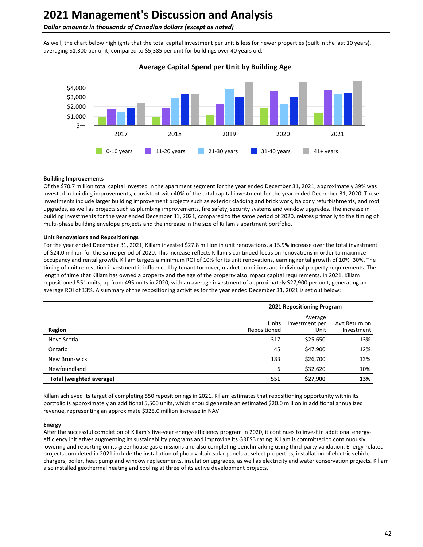#### **Dollar amounts in thousands of Canadian dollars (except as noted)**

As well, the chart below highlights that the total capital investment per unit is less for newer properties (built in the last 10 years), averaging \$1,300 per unit, compared to \$5,385 per unit for buildings over 40 years old.



#### **Average Capital Spend per Unit by Building Age**

#### **Building Improvements**

Of the \$70.7 million total capital invested in the apartment segment for the year ended December 31, 2021, approximately 39% was invested in building improvements, consistent with 40% of the total capital investment for the year ended December 31, 2020. These investments include larger building improvement projects such as exterior cladding and brick work, balcony refurbishments, and roof upgrades, as well as projects such as plumbing improvements, fire safety, security systems and window upgrades. The increase in building investments for the year ended December 31, 2021, compared to the same period of 2020, relates primarily to the timing of multi-phase building envelope projects and the increase in the size of Killam's apartment portfolio.

#### **Unit Renovations and Repositionings**

For the year ended December 31, 2021, Killam invested \$27.8 million in unit renovations, a 15.9% increase over the total investment of \$24.0 million for the same period of 2020. This increase reflects Killam's continued focus on renovations in order to maximize occupancy and rental growth. Killam targets a minimum ROI of 10% for its unit renovations, earning rental growth of 10%–30%. The timing of unit renovation investment is influenced by tenant turnover, market conditions and individual property requirements. The length of time that Killam has owned a property and the age of the property also impact capital requirements. In 2021, Killam repositioned 551 units, up from 495 units in 2020, with an average investment of approximately \$27,900 per unit, generating an average ROI of 13%. A summary of the repositioning activities for the year ended December 31, 2021 is set out below:

|                          |                       | 2021 Repositioning Program        |                             |  |  |
|--------------------------|-----------------------|-----------------------------------|-----------------------------|--|--|
| Region                   | Units<br>Repositioned | Average<br>Investment per<br>Unit | Avg Return on<br>Investment |  |  |
| Nova Scotia              | 317                   | \$25,650                          | 13%                         |  |  |
| Ontario                  | 45                    | \$47,900                          | 12%                         |  |  |
| New Brunswick            | 183                   | \$26,700                          | 13%                         |  |  |
| Newfoundland             | 6                     | \$32,620                          | 10%                         |  |  |
| Total (weighted average) | 551                   | \$27,900                          | 13%                         |  |  |

Killam achieved its target of completing 550 repositionings in 2021. Killam estimates that repositioning opportunity within its portfolio is approximately an additional 5,500 units, which should generate an estimated \$20.0 million in additional annualized revenue, representing an approximate \$325.0 million increase in NAV.

#### **Energy**

After the successful completion of Killam's five-year energy-efficiency program in 2020, it continues to invest in additional energyefficiency initiatives augmenting its sustainability programs and improving its GRESB rating. Killam is committed to continuously lowering and reporting on its greenhouse gas emissions and also completing benchmarking using third-party validation. Energy-related projects completed in 2021 include the installation of photovoltaic solar panels at select properties, installation of electric vehicle chargers, boiler, heat pump and window replacements, insulation upgrades, as well as electricity and water conservation projects. Killam also installed geothermal heating and cooling at three of its active development projects.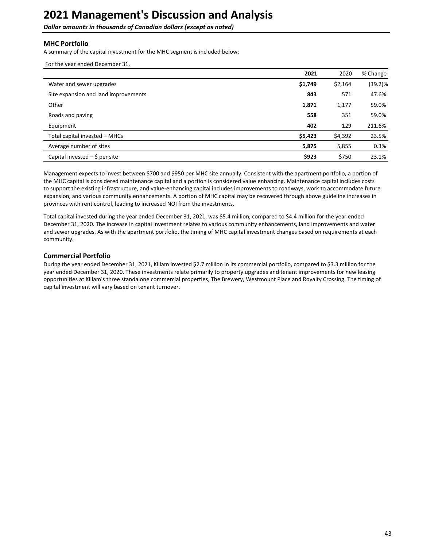**Dollar amounts in thousands of Canadian dollars (except as noted)** 

### **MHC** Portfolio

A summary of the capital investment for the MHC segment is included below:

|  | For the year ended December 31, |  |
|--|---------------------------------|--|
|  |                                 |  |

|                                      | 2021    | 2020    | % Change   |
|--------------------------------------|---------|---------|------------|
| Water and sewer upgrades             | \$1,749 | \$2,164 | $(19.2)\%$ |
| Site expansion and land improvements | 843     | 571     | 47.6%      |
| Other                                | 1,871   | 1,177   | 59.0%      |
| Roads and paving                     | 558     | 351     | 59.0%      |
| Equipment                            | 402     | 129     | 211.6%     |
| Total capital invested - MHCs        | \$5,423 | \$4,392 | 23.5%      |
| Average number of sites              | 5,875   | 5,855   | 0.3%       |
| Capital invested $-$ \$ per site     | \$923   | \$750   | 23.1%      |

Management expects to invest between \$700 and \$950 per MHC site annually. Consistent with the apartment portfolio, a portion of the MHC capital is considered maintenance capital and a portion is considered value enhancing. Maintenance capital includes costs to support the existing infrastructure, and value-enhancing capital includes improvements to roadways, work to accommodate future expansion, and various community enhancements. A portion of MHC capital may be recovered through above guideline increases in provinces with rent control, leading to increased NOI from the investments.

Total capital invested during the year ended December 31, 2021, was \$5.4 million, compared to \$4.4 million for the year ended December 31, 2020. The increase in capital investment relates to various community enhancements, land improvements and water and sewer upgrades. As with the apartment portfolio, the timing of MHC capital investment changes based on requirements at each community. 

### **Commercial Portfolio**

During the year ended December 31, 2021, Killam invested \$2.7 million in its commercial portfolio, compared to \$3.3 million for the year ended December 31, 2020. These investments relate primarily to property upgrades and tenant improvements for new leasing opportunities at Killam's three standalone commercial properties, The Brewery, Westmount Place and Royalty Crossing. The timing of capital investment will vary based on tenant turnover.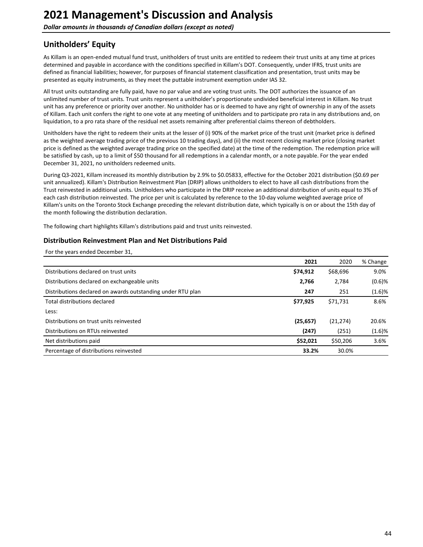<span id="page-43-0"></span>**Dollar amounts in thousands of Canadian dollars (except as noted)** 

# **Unitholders' Equity**

As Killam is an open-ended mutual fund trust, unitholders of trust units are entitled to redeem their trust units at any time at prices determined and payable in accordance with the conditions specified in Killam's DOT. Consequently, under IFRS, trust units are defined as financial liabilities; however, for purposes of financial statement classification and presentation, trust units may be presented as equity instruments, as they meet the puttable instrument exemption under IAS 32.

All trust units outstanding are fully paid, have no par value and are voting trust units. The DOT authorizes the issuance of an unlimited number of trust units. Trust units represent a unitholder's proportionate undivided beneficial interest in Killam. No trust unit has any preference or priority over another. No unitholder has or is deemed to have any right of ownership in any of the assets of Killam. Each unit confers the right to one vote at any meeting of unitholders and to participate pro rata in any distributions and, on liquidation, to a pro rata share of the residual net assets remaining after preferential claims thereon of debtholders.

Unitholders have the right to redeem their units at the lesser of (i) 90% of the market price of the trust unit (market price is defined as the weighted average trading price of the previous 10 trading days), and (ii) the most recent closing market price (closing market price is defined as the weighted average trading price on the specified date) at the time of the redemption. The redemption price will be satisfied by cash, up to a limit of \$50 thousand for all redemptions in a calendar month, or a note payable. For the year ended December 31, 2021, no unitholders redeemed units.

During Q3-2021, Killam increased its monthly distribution by 2.9% to \$0.05833, effective for the October 2021 distribution (\$0.69 per unit annualized). Killam's Distribution Reinvestment Plan (DRIP) allows unitholders to elect to have all cash distributions from the Trust reinvested in additional units. Unitholders who participate in the DRIP receive an additional distribution of units equal to 3% of each cash distribution reinvested. The price per unit is calculated by reference to the 10-day volume weighted average price of Killam's units on the Toronto Stock Exchange preceding the relevant distribution date, which typically is on or about the 15th day of the month following the distribution declaration.

The following chart highlights Killam's distributions paid and trust units reinvested.

#### **Distribution Reinvestment Plan and Net Distributions Paid**

For the years ended December 31,

|                                                             | 2021      | 2020      | % Change  |
|-------------------------------------------------------------|-----------|-----------|-----------|
| Distributions declared on trust units                       | \$74,912  | \$68,696  | 9.0%      |
| Distributions declared on exchangeable units                | 2,766     | 2,784     | $(0.6)$ % |
| Distributions declared on awards outstanding under RTU plan | 247       | 251       | (1.6)%    |
| Total distributions declared                                | \$77,925  | \$71,731  | 8.6%      |
| Less:                                                       |           |           |           |
| Distributions on trust units reinvested                     | (25, 657) | (21, 274) | 20.6%     |
| Distributions on RTUs reinvested                            | (247)     | (251)     | (1.6)%    |
| Net distributions paid                                      | \$52,021  | \$50,206  | 3.6%      |
| Percentage of distributions reinvested                      | 33.2%     | 30.0%     |           |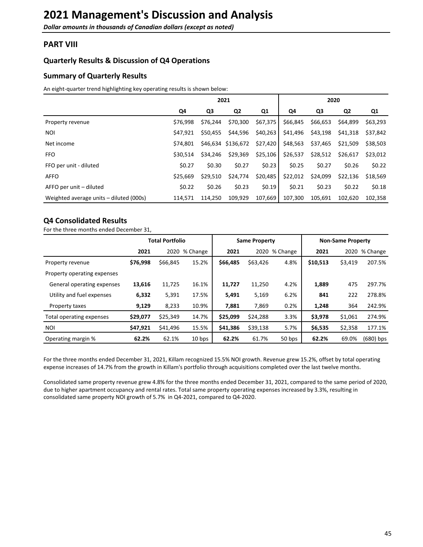## <span id="page-44-0"></span>**PART VIII**

### **Quarterly Results & Discussion of Q4 Operations**

### **Summary of Quarterly Results**

An eight-quarter trend highlighting key operating results is shown below:

|                                         |          |          | 2021               |          |          | 2020     |                |          |
|-----------------------------------------|----------|----------|--------------------|----------|----------|----------|----------------|----------|
|                                         | Q4       | Q3       | Q <sub>2</sub>     | Q1       | Q4       | Q3       | Q <sub>2</sub> | Q1       |
| Property revenue                        | \$76,998 | \$76,244 | \$70,300           | \$67,375 | \$66,845 | \$66,653 | \$64,899       | \$63,293 |
| <b>NOI</b>                              | \$47,921 | \$50,455 | \$44,596           | \$40,263 | \$41,496 | \$43,198 | \$41,318       | \$37,842 |
| Net income                              | \$74.801 |          | \$46,634 \$136,672 | \$27,420 | \$48,563 | \$37,465 | \$21,509       | \$38,503 |
| <b>FFO</b>                              | \$30.514 | \$34.246 | \$29,369           | \$25,106 | \$26,537 | \$28,512 | \$26,617       | \$23,012 |
| FFO per unit - diluted                  | \$0.27   | \$0.30   | \$0.27             | \$0.23   | \$0.25   | \$0.27   | \$0.26         | \$0.22   |
| <b>AFFO</b>                             | \$25,669 | \$29,510 | \$24,774           | \$20,485 | \$22,012 | \$24,099 | \$22,136       | \$18,569 |
| AFFO per unit – diluted                 | \$0.22   | \$0.26   | \$0.23             | \$0.19   | \$0.21   | \$0.23   | \$0.22         | \$0.18   |
| Weighted average units – diluted (000s) | 114,571  | 114.250  | 109,929            | 107,669  | 107,300  | 105,691  | 102.620        | 102,358  |

### **Q4 Consolidated Results**

For the three months ended December 31,

|                             |          | <b>Total Portfolio</b> |               | <b>Same Property</b> |          |               | <b>Non-Same Property</b> |         |               |
|-----------------------------|----------|------------------------|---------------|----------------------|----------|---------------|--------------------------|---------|---------------|
|                             | 2021     |                        | 2020 % Change | 2021                 |          | 2020 % Change | 2021                     |         | 2020 % Change |
| Property revenue            | \$76,998 | \$66,845               | 15.2%         | \$66,485             | \$63,426 | 4.8%          | \$10,513                 | \$3,419 | 207.5%        |
| Property operating expenses |          |                        |               |                      |          |               |                          |         |               |
| General operating expenses  | 13,616   | 11,725                 | 16.1%         | 11,727               | 11,250   | 4.2%          | 1,889                    | 475     | 297.7%        |
| Utility and fuel expenses   | 6,332    | 5,391                  | 17.5%         | 5,491                | 5,169    | 6.2%          | 841                      | 222     | 278.8%        |
| Property taxes              | 9,129    | 8,233                  | 10.9%         | 7,881                | 7,869    | 0.2%          | 1,248                    | 364     | 242.9%        |
| Total operating expenses    | \$29,077 | \$25,349               | 14.7%         | \$25,099             | \$24,288 | 3.3%          | \$3,978                  | \$1,061 | 274.9%        |
| <b>NOI</b>                  | \$47,921 | \$41,496               | 15.5%         | \$41,386             | \$39,138 | 5.7%          | \$6,535                  | \$2,358 | 177.1%        |
| Operating margin %          | 62.2%    | 62.1%                  | 10 bps        | 62.2%                | 61.7%    | 50 bps        | 62.2%                    | 69.0%   | $(680)$ bps   |

For the three months ended December 31, 2021, Killam recognized 15.5% NOI growth. Revenue grew 15.2%, offset by total operating expense increases of 14.7% from the growth in Killam's portfolio through acquisitions completed over the last twelve months.

Consolidated same property revenue grew 4.8% for the three months ended December 31, 2021, compared to the same period of 2020, due to higher apartment occupancy and rental rates. Total same property operating expenses increased by 3.3%, resulting in consolidated same property NOI growth of 5.7% in Q4-2021, compared to Q4-2020.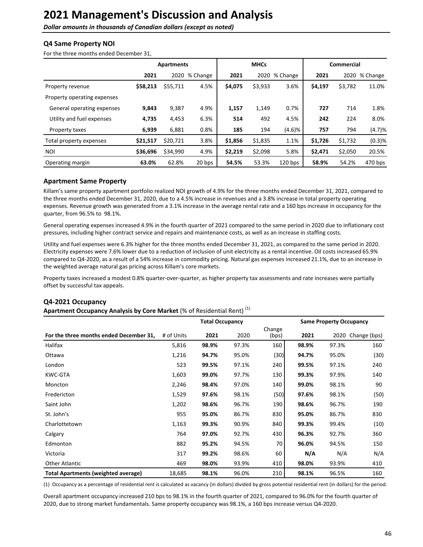**Dollar amounts in thousands of Canadian dollars (except as noted)** 

### **Q4 Same Property NOI**

For the three months ended December 31,

|                             |          | Apartments | <b>MHCs</b>   |         |         |               | Commercial |         |               |
|-----------------------------|----------|------------|---------------|---------|---------|---------------|------------|---------|---------------|
|                             | 2021     |            | 2020 % Change | 2021    |         | 2020 % Change | 2021       |         | 2020 % Change |
| Property revenue            | \$58,213 | \$55,711   | 4.5%          | \$4,075 | \$3,933 | 3.6%          | \$4,197    | \$3,782 | 11.0%         |
| Property operating expenses |          |            |               |         |         |               |            |         |               |
| General operating expenses  | 9,843    | 9,387      | 4.9%          | 1,157   | 1,149   | 0.7%          | 727        | 714     | 1.8%          |
| Utility and fuel expenses   | 4,735    | 4,453      | 6.3%          | 514     | 492     | 4.5%          | 242        | 224     | 8.0%          |
| Property taxes              | 6,939    | 6,881      | 0.8%          | 185     | 194     | (4.6)%        | 757        | 794     | (4.7)%        |
| Total property expenses     | \$21,517 | \$20,721   | 3.8%          | \$1,856 | \$1,835 | 1.1%          | \$1,726    | \$1,732 | (0.3)%        |
| <b>NOI</b>                  | \$36,696 | \$34,990   | 4.9%          | \$2,219 | \$2,098 | 5.8%          | \$2,471    | \$2,050 | 20.5%         |
| Operating margin            | 63.0%    | 62.8%      | 20 bps        | 54.5%   | 53.3%   | $120$ bps     | 58.9%      | 54.2%   | 470 bps       |

#### **Apartment Same Property**

Killam's same property apartment portfolio realized NOI growth of 4.9% for the three months ended December 31, 2021, compared to the three months ended December 31, 2020, due to a 4.5% increase in revenues and a 3.8% increase in total property operating expenses. Revenue growth was generated from a 3.1% increase in the average rental rate and a 160 bps increase in occupancy for the quarter, from 96.5% to 98.1%.

General operating expenses increased 4.9% in the fourth quarter of 2021 compared to the same period in 2020 due to inflationary cost pressures, including higher contract service and repairs and maintenance costs, as well as an increase in staffing costs.

Utility and fuel expenses were 6.3% higher for the three months ended December 31, 2021, as compared to the same period in 2020. Electricity expenses were 7.6% lower due to a reduction of inclusion of unit electricity as a rental incentive. Oil costs increased 65.9% compared to Q4-2020, as a result of a 54% increase in commodity pricing. Natural gas expenses increased 21.1%, due to an increase in the weighted average natural gas pricing across Killam's core markets.

Property taxes increased a modest 0.8% quarter-over-quarter, as higher property tax assessments and rate increases were partially offset by successful tax appeals.

#### **Q4-2021 Occupancy**

Apartment Occupancy Analysis by Core Market (% of Residential Rent)<sup>(1)</sup>

|                                            | <b>Total Occupancy</b><br><b>Same Property Occupancy</b> |       |       |                 |       |       |                   |  |  |
|--------------------------------------------|----------------------------------------------------------|-------|-------|-----------------|-------|-------|-------------------|--|--|
| For the three months ended December 31,    | # of Units                                               | 2021  | 2020  | Change<br>(bps) | 2021  |       | 2020 Change (bps) |  |  |
| Halifax                                    | 5,816                                                    | 98.9% | 97.3% | 160             | 98.9% | 97.3% | 160               |  |  |
| Ottawa                                     | 1,216                                                    | 94.7% | 95.0% | (30)            | 94.7% | 95.0% | (30)              |  |  |
| London                                     | 523                                                      | 99.5% | 97.1% | 240             | 99.5% | 97.1% | 240               |  |  |
| <b>KWC-GTA</b>                             | 1,603                                                    | 99.0% | 97.7% | 130             | 99.3% | 97.9% | 140               |  |  |
| Moncton                                    | 2,246                                                    | 98.4% | 97.0% | 140             | 99.0% | 98.1% | 90                |  |  |
| Fredericton                                | 1,529                                                    | 97.6% | 98.1% | (50)            | 97.6% | 98.1% | (50)              |  |  |
| Saint John                                 | 1,202                                                    | 98.6% | 96.7% | 190             | 98.6% | 96.7% | 190               |  |  |
| St. John's                                 | 955                                                      | 95.0% | 86.7% | 830             | 95.0% | 86.7% | 830               |  |  |
| Charlottetown                              | 1,163                                                    | 99.3% | 90.9% | 840             | 99.3% | 99.4% | (10)              |  |  |
| Calgary                                    | 764                                                      | 97.0% | 92.7% | 430             | 96.3% | 92.7% | 360               |  |  |
| Edmonton                                   | 882                                                      | 95.2% | 94.5% | 70              | 96.0% | 94.5% | 150               |  |  |
| Victoria                                   | 317                                                      | 99.2% | 98.6% | 60              | N/A   | N/A   | N/A               |  |  |
| <b>Other Atlantic</b>                      | 469                                                      | 98.0% | 93.9% | 410             | 98.0% | 93.9% | 410               |  |  |
| <b>Total Apartments (weighted average)</b> | 18,685                                                   | 98.1% | 96.0% | 210             | 98.1% | 96.5% | 160               |  |  |

(1) Occupancy as a percentage of residential rent is calculated as vacancy (in dollars) divided by gross potential residential rent (in dollars) for the period.

Overall apartment occupancy increased 210 bps to 98.1% in the fourth quarter of 2021, compared to 96.0% for the fourth quarter of 2020, due to strong market fundamentals. Same property occupancy was 98.1%, a 160 bps increase versus Q4-2020.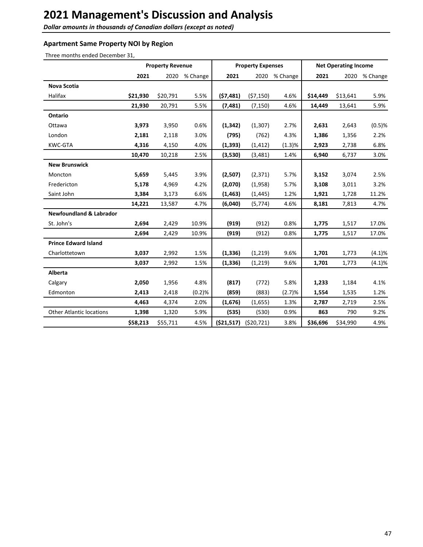**Dollar amounts in thousands of Canadian dollars (except as noted)** 

### **Apartment Same Property NOI by Region**

Three months ended December 31,

|                                    |          | <b>Property Revenue</b> |          | <b>Property Expenses</b> |            |               | <b>Net Operating Income</b> |          |          |
|------------------------------------|----------|-------------------------|----------|--------------------------|------------|---------------|-----------------------------|----------|----------|
|                                    | 2021     | 2020                    | % Change | 2021                     |            | 2020 % Change | 2021                        | 2020     | % Change |
| <b>Nova Scotia</b>                 |          |                         |          |                          |            |               |                             |          |          |
| Halifax                            | \$21,930 | \$20,791                | 5.5%     | (57, 481)                | (57, 150)  | 4.6%          | \$14,449                    | \$13,641 | 5.9%     |
|                                    | 21,930   | 20,791                  | 5.5%     | (7, 481)                 | (7, 150)   | 4.6%          | 14,449                      | 13,641   | 5.9%     |
| Ontario                            |          |                         |          |                          |            |               |                             |          |          |
| Ottawa                             | 3,973    | 3,950                   | 0.6%     | (1, 342)                 | (1, 307)   | 2.7%          | 2,631                       | 2,643    | (0.5)%   |
| London                             | 2,181    | 2,118                   | 3.0%     | (795)                    | (762)      | 4.3%          | 1,386                       | 1,356    | 2.2%     |
| KWC-GTA                            | 4,316    | 4,150                   | 4.0%     | (1, 393)                 | (1, 412)   | (1.3)%        | 2,923                       | 2,738    | 6.8%     |
|                                    | 10,470   | 10,218                  | 2.5%     | (3,530)                  | (3,481)    | 1.4%          | 6,940                       | 6,737    | 3.0%     |
| <b>New Brunswick</b>               |          |                         |          |                          |            |               |                             |          |          |
| Moncton                            | 5,659    | 5,445                   | 3.9%     | (2,507)                  | (2, 371)   | 5.7%          | 3,152                       | 3,074    | 2.5%     |
| Fredericton                        | 5,178    | 4,969                   | 4.2%     | (2,070)                  | (1,958)    | 5.7%          | 3,108                       | 3,011    | 3.2%     |
| Saint John                         | 3,384    | 3,173                   | 6.6%     | (1, 463)                 | (1, 445)   | 1.2%          | 1,921                       | 1,728    | 11.2%    |
|                                    | 14,221   | 13,587                  | 4.7%     | (6,040)                  | (5, 774)   | 4.6%          | 8,181                       | 7,813    | 4.7%     |
| <b>Newfoundland &amp; Labrador</b> |          |                         |          |                          |            |               |                             |          |          |
| St. John's                         | 2,694    | 2,429                   | 10.9%    | (919)                    | (912)      | 0.8%          | 1,775                       | 1,517    | 17.0%    |
|                                    | 2,694    | 2,429                   | 10.9%    | (919)                    | (912)      | 0.8%          | 1,775                       | 1,517    | 17.0%    |
| <b>Prince Edward Island</b>        |          |                         |          |                          |            |               |                             |          |          |
| Charlottetown                      | 3,037    | 2,992                   | 1.5%     | (1, 336)                 | (1, 219)   | 9.6%          | 1,701                       | 1,773    | (4.1)%   |
|                                    | 3,037    | 2,992                   | 1.5%     | (1, 336)                 | (1, 219)   | 9.6%          | 1,701                       | 1,773    | (4.1)%   |
| <b>Alberta</b>                     |          |                         |          |                          |            |               |                             |          |          |
| Calgary                            | 2,050    | 1,956                   | 4.8%     | (817)                    | (772)      | 5.8%          | 1,233                       | 1,184    | 4.1%     |
| Edmonton                           | 2,413    | 2,418                   | (0.2)%   | (859)                    | (883)      | (2.7)%        | 1,554                       | 1,535    | 1.2%     |
|                                    | 4,463    | 4,374                   | 2.0%     | (1,676)                  | (1,655)    | 1.3%          | 2,787                       | 2,719    | 2.5%     |
| <b>Other Atlantic locations</b>    | 1,398    | 1,320                   | 5.9%     | (535)                    | (530)      | 0.9%          | 863                         | 790      | 9.2%     |
|                                    | \$58,213 | \$55,711                | 4.5%     | ( \$21,517)              | (520, 721) | 3.8%          | \$36,696                    | \$34,990 | 4.9%     |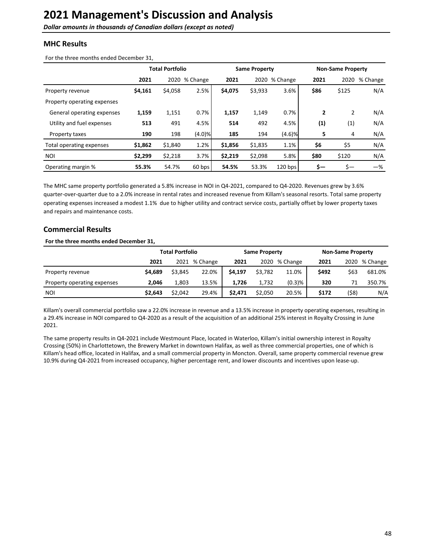**Dollar amounts in thousands of Canadian dollars (except as noted)** 

### **MHC Results**

For the three months ended December 31,

|                             | <b>Total Portfolio</b> |         |          | <b>Same Property</b> |         |               | <b>Non-Same Property</b> |                |          |
|-----------------------------|------------------------|---------|----------|----------------------|---------|---------------|--------------------------|----------------|----------|
|                             | 2021                   | 2020    | % Change | 2021                 |         | 2020 % Change | 2021                     | 2020           | % Change |
| Property revenue            | \$4,161                | \$4,058 | 2.5%     | \$4,075              | \$3,933 | 3.6%          | \$86                     | \$125          | N/A      |
| Property operating expenses |                        |         |          |                      |         |               |                          |                |          |
| General operating expenses  | 1,159                  | 1,151   | 0.7%     | 1,157                | 1,149   | 0.7%          | $\mathbf{2}$             | $\overline{2}$ | N/A      |
| Utility and fuel expenses   | 513                    | 491     | 4.5%     | 514                  | 492     | 4.5%          | (1)                      | (1)            | N/A      |
| Property taxes              | 190                    | 198     | (4.0)%   | 185                  | 194     | $(4.6)$ %     | 5                        | 4              | N/A      |
| Total operating expenses    | \$1,862                | \$1,840 | 1.2%     | \$1,856              | \$1,835 | 1.1%          | \$6                      | \$5            | N/A      |
| <b>NOI</b>                  | \$2,299                | \$2,218 | 3.7%     | \$2,219              | \$2,098 | 5.8%          | \$80                     | \$120          | N/A      |
| Operating margin %          | 55.3%                  | 54.7%   | $60$ bps | 54.5%                | 53.3%   | $120$ bps     | \$—                      | \$—            | -%       |

The MHC same property portfolio generated a 5.8% increase in NOI in Q4-2021, compared to Q4-2020. Revenues grew by 3.6% quarter-over-quarter due to a 2.0% increase in rental rates and increased revenue from Killam's seasonal resorts. Total same property operating expenses increased a modest 1.1% due to higher utility and contract service costs, partially offset by lower property taxes and repairs and maintenance costs.

## **Commercial Results**

#### For the three months ended December 31,

|                             |         | <b>Total Portfolio</b> |               |         | <b>Same Property</b> |           |       | <b>Non-Same Property</b> |               |  |
|-----------------------------|---------|------------------------|---------------|---------|----------------------|-----------|-------|--------------------------|---------------|--|
|                             | 2021    |                        | 2021 % Change | 2021    | 2020                 | % Change  | 2021  |                          | 2020 % Change |  |
| Property revenue            | \$4,689 | \$3,845                | 22.0%         | \$4,197 | \$3,782              | 11.0%     | \$492 | \$63                     | 681.0%        |  |
| Property operating expenses | 2.046   | 1.803                  | 13.5%         | 1.726   | 1.732                | $(0.3)$ % | 320   | 71                       | 350.7%        |  |
| <b>NOI</b>                  | \$2,643 | \$2,042                | 29.4%         | \$2.471 | \$2.050              | 20.5%     | \$172 | (\$8)                    | N/A           |  |

Killam's overall commercial portfolio saw a 22.0% increase in revenue and a 13.5% increase in property operating expenses, resulting in a 29.4% increase in NOI compared to Q4-2020 as a result of the acquisition of an additional 25% interest in Royalty Crossing in June 2021. 

The same property results in Q4-2021 include Westmount Place, located in Waterloo, Killam's initial ownership interest in Royalty Crossing (50%) in Charlottetown, the Brewery Market in downtown Halifax, as well as three commercial properties, one of which is Killam's head office, located in Halifax, and a small commercial property in Moncton. Overall, same property commercial revenue grew 10.9% during Q4-2021 from increased occupancy, higher percentage rent, and lower discounts and incentives upon lease-up.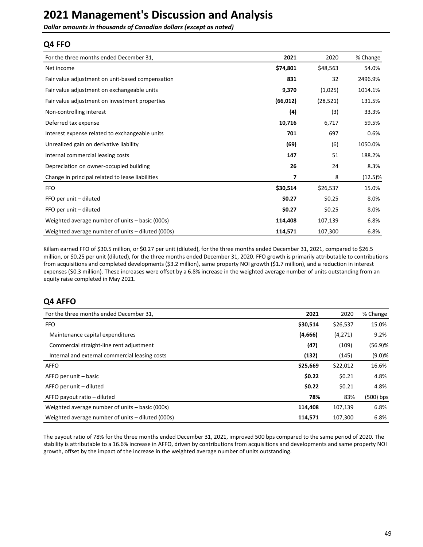**Dollar amounts in thousands of Canadian dollars (except as noted)** 

### **Q4 FFO**

| For the three months ended December 31,           | 2021      | 2020      | % Change |
|---------------------------------------------------|-----------|-----------|----------|
| Net income                                        | \$74,801  | \$48,563  | 54.0%    |
| Fair value adjustment on unit-based compensation  | 831       | 32        | 2496.9%  |
| Fair value adjustment on exchangeable units       | 9,370     | (1,025)   | 1014.1%  |
| Fair value adjustment on investment properties    | (66, 012) | (28, 521) | 131.5%   |
| Non-controlling interest                          | (4)       | (3)       | 33.3%    |
| Deferred tax expense                              | 10,716    | 6,717     | 59.5%    |
| Interest expense related to exchangeable units    | 701       | 697       | 0.6%     |
| Unrealized gain on derivative liability           | (69)      | (6)       | 1050.0%  |
| Internal commercial leasing costs                 | 147       | 51        | 188.2%   |
| Depreciation on owner-occupied building           | 26        | 24        | 8.3%     |
| Change in principal related to lease liabilities  | 7         | 8         | (12.5)%  |
| <b>FFO</b>                                        | \$30,514  | \$26,537  | 15.0%    |
| FFO per unit - diluted                            | \$0.27    | \$0.25    | 8.0%     |
| FFO per unit - diluted                            | \$0.27    | \$0.25    | 8.0%     |
| Weighted average number of units – basic (000s)   | 114,408   | 107,139   | 6.8%     |
| Weighted average number of units – diluted (000s) | 114,571   | 107,300   | 6.8%     |

Killam earned FFO of \$30.5 million, or \$0.27 per unit (diluted), for the three months ended December 31, 2021, compared to \$26.5 million, or \$0.25 per unit (diluted), for the three months ended December 31, 2020. FFO growth is primarily attributable to contributions from acquisitions and completed developments (\$3.2 million), same property NOI growth (\$1.7 million), and a reduction in interest expenses (\$0.3 million). These increases were offset by a 6.8% increase in the weighted average number of units outstanding from an equity raise completed in May 2021.

# **Q4 AFFO**

| For the three months ended December 31,           | 2021     | 2020     | % Change  |
|---------------------------------------------------|----------|----------|-----------|
| <b>FFO</b>                                        | \$30,514 | \$26,537 | 15.0%     |
| Maintenance capital expenditures                  | (4,666)  | (4,271)  | 9.2%      |
| Commercial straight-line rent adjustment          | (47)     | (109)    | (56.9)%   |
| Internal and external commercial leasing costs    | (132)    | (145)    | (9.0)%    |
| <b>AFFO</b>                                       | \$25,669 | \$22,012 | 16.6%     |
| AFFO per unit – basic                             | \$0.22   | \$0.21   | 4.8%      |
| AFFO per unit – diluted                           | \$0.22   | \$0.21   | 4.8%      |
| AFFO payout ratio - diluted                       | 78%      | 83%      | (500) bps |
| Weighted average number of units - basic (000s)   | 114,408  | 107,139  | 6.8%      |
| Weighted average number of units – diluted (000s) | 114.571  | 107.300  | 6.8%      |

The payout ratio of 78% for the three months ended December 31, 2021, improved 500 bps compared to the same period of 2020. The stability is attributable to a 16.6% increase in AFFO, driven by contributions from acquisitions and developments and same property NOI growth, offset by the impact of the increase in the weighted average number of units outstanding.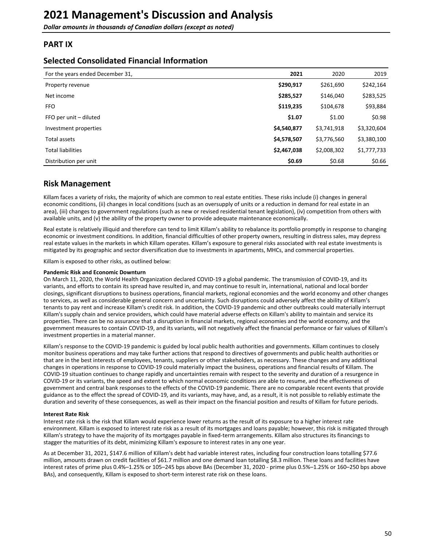<span id="page-49-0"></span>**Dollar amounts in thousands of Canadian dollars (except as noted)** 

### **PART IX**

### **Selected Consolidated Financial Information**

| For the years ended December 31, | 2021        | 2020        | 2019        |
|----------------------------------|-------------|-------------|-------------|
| Property revenue                 | \$290,917   | \$261,690   | \$242,164   |
| Net income                       | \$285,527   | \$146,040   | \$283,525   |
| <b>FFO</b>                       | \$119,235   | \$104,678   | \$93,884    |
| FFO per unit – diluted           | \$1.07      | \$1.00      | \$0.98      |
| Investment properties            | \$4,540,877 | \$3,741,918 | \$3,320,604 |
| Total assets                     | \$4,578,507 | \$3,776,560 | \$3,380,100 |
| <b>Total liabilities</b>         | \$2,467,038 | \$2,008,302 | \$1,777,733 |
| Distribution per unit            | \$0.69      | \$0.68      | \$0.66      |

## **Risk Management**

Killam faces a variety of risks, the majority of which are common to real estate entities. These risks include (i) changes in general economic conditions, (ii) changes in local conditions (such as an oversupply of units or a reduction in demand for real estate in an area), (iii) changes to government regulations (such as new or revised residential tenant legislation), (iv) competition from others with available units, and (v) the ability of the property owner to provide adequate maintenance economically.

Real estate is relatively illiquid and therefore can tend to limit Killam's ability to rebalance its portfolio promptly in response to changing economic or investment conditions. In addition, financial difficulties of other property owners, resulting in distress sales, may depress real estate values in the markets in which Killam operates. Killam's exposure to general risks associated with real estate investments is mitigated by its geographic and sector diversification due to investments in apartments, MHCs, and commercial properties.

Killam is exposed to other risks, as outlined below:

#### **Pandemic Risk and Economic Downturn**

On March 11, 2020, the World Health Organization declared COVID-19 a global pandemic. The transmission of COVID-19, and its variants, and efforts to contain its spread have resulted in, and may continue to result in, international, national and local border closings, significant disruptions to business operations, financial markets, regional economies and the world economy and other changes to services, as well as considerable general concern and uncertainty. Such disruptions could adversely affect the ability of Killam's tenants to pay rent and increase Killam's credit risk. In addition, the COVID-19 pandemic and other outbreaks could materially interrupt Killam's supply chain and service providers, which could have material adverse effects on Killam's ability to maintain and service its properties. There can be no assurance that a disruption in financial markets, regional economies and the world economy, and the government measures to contain COVID-19, and its variants, will not negatively affect the financial performance or fair values of Killam's investment properties in a material manner.

Killam's response to the COVID-19 pandemic is guided by local public health authorities and governments. Killam continues to closely monitor business operations and may take further actions that respond to directives of governments and public health authorities or that are in the best interests of employees, tenants, suppliers or other stakeholders, as necessary. These changes and any additional changes in operations in response to COVID-19 could materially impact the business, operations and financial results of Killam. The COVID-19 situation continues to change rapidly and uncertainties remain with respect to the severity and duration of a resurgence in COVID-19 or its variants, the speed and extent to which normal economic conditions are able to resume, and the effectiveness of government and central bank responses to the effects of the COVID-19 pandemic. There are no comparable recent events that provide guidance as to the effect the spread of COVID-19, and its variants, may have, and, as a result, it is not possible to reliably estimate the duration and severity of these consequences, as well as their impact on the financial position and results of Killam for future periods.

#### **Interest Rate Risk**

Interest rate risk is the risk that Killam would experience lower returns as the result of its exposure to a higher interest rate environment. Killam is exposed to interest rate risk as a result of its mortgages and loans payable; however, this risk is mitigated through Killam's strategy to have the majority of its mortgages payable in fixed-term arrangements. Killam also structures its financings to stagger the maturities of its debt, minimizing Killam's exposure to interest rates in any one year.

As at December 31, 2021, \$147.6 million of Killam's debt had variable interest rates, including four construction loans totalling \$77.6 million, amounts drawn on credit facilities of \$61.7 million and one demand loan totalling \$8.3 million. These loans and facilities have interest rates of prime plus 0.4%-1.25% or 105-245 bps above BAs (December 31, 2020 - prime plus 0.5%-1.25% or 160-250 bps above BAs), and consequently, Killam is exposed to short-term interest rate risk on these loans.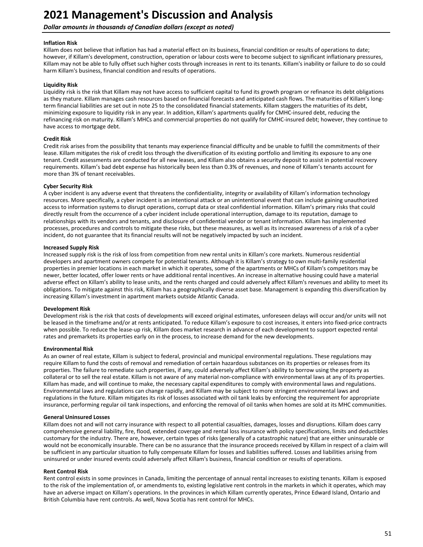### **Dollar amounts in thousands of Canadian dollars (except as noted)**

### **Inflation Risk**

Killam does not believe that inflation has had a material effect on its business, financial condition or results of operations to date; however, if Killam's development, construction, operation or labour costs were to become subject to significant inflationary pressures, Killam may not be able to fully offset such higher costs through increases in rent to its tenants. Killam's inability or failure to do so could harm Killam's business, financial condition and results of operations.

#### **Liquidity Risk**

Liquidity risk is the risk that Killam may not have access to sufficient capital to fund its growth program or refinance its debt obligations as they mature. Killam manages cash resources based on financial forecasts and anticipated cash flows. The maturities of Killam's longterm financial liabilities are set out in note 25 to the consolidated financial statements. Killam staggers the maturities of its debt, minimizing exposure to liquidity risk in any year. In addition, Killam's apartments qualify for CMHC-insured debt, reducing the refinancing risk on maturity. Killam's MHCs and commercial properties do not qualify for CMHC-insured debt; however, they continue to have access to mortgage debt.

#### **Credit Risk**

Credit risk arises from the possibility that tenants may experience financial difficulty and be unable to fulfill the commitments of their lease. Killam mitigates the risk of credit loss through the diversification of its existing portfolio and limiting its exposure to any one tenant. Credit assessments are conducted for all new leases, and Killam also obtains a security deposit to assist in potential recovery requirements. Killam's bad debt expense has historically been less than 0.3% of revenues, and none of Killam's tenants account for more than 3% of tenant receivables.

#### **Cyber Security Risk**

A cyber incident is any adverse event that threatens the confidentiality, integrity or availability of Killam's information technology resources. More specifically, a cyber incident is an intentional attack or an unintentional event that can include gaining unauthorized access to information systems to disrupt operations, corrupt data or steal confidential information. Killam's primary risks that could directly result from the occurrence of a cyber incident include operational interruption, damage to its reputation, damage to relationships with its vendors and tenants, and disclosure of confidential vendor or tenant information. Killam has implemented processes, procedures and controls to mitigate these risks, but these measures, as well as its increased awareness of a risk of a cyber incident, do not guarantee that its financial results will not be negatively impacted by such an incident.

#### **Increased Supply Risk**

Increased supply risk is the risk of loss from competition from new rental units in Killam's core markets. Numerous residential developers and apartment owners compete for potential tenants. Although it is Killam's strategy to own multi-family residential properties in premier locations in each market in which it operates, some of the apartments or MHCs of Killam's competitors may be newer, better located, offer lower rents or have additional rental incentives. An increase in alternative housing could have a material adverse effect on Killam's ability to lease units, and the rents charged and could adversely affect Killam's revenues and ability to meet its obligations. To mitigate against this risk, Killam has a geographically diverse asset base. Management is expanding this diversification by increasing Killam's investment in apartment markets outside Atlantic Canada.

#### **Development Risk**

Development risk is the risk that costs of developments will exceed original estimates, unforeseen delays will occur and/or units will not be leased in the timeframe and/or at rents anticipated. To reduce Killam's exposure to cost increases, it enters into fixed-price contracts when possible. To reduce the lease-up risk, Killam does market research in advance of each development to support expected rental rates and premarkets its properties early on in the process, to increase demand for the new developments.

#### **Environmental Risk**

As an owner of real estate, Killam is subject to federal, provincial and municipal environmental regulations. These regulations may require Killam to fund the costs of removal and remediation of certain hazardous substances on its properties or releases from its properties. The failure to remediate such properties, if any, could adversely affect Killam's ability to borrow using the property as collateral or to sell the real estate. Killam is not aware of any material non-compliance with environmental laws at any of its properties. Killam has made, and will continue to make, the necessary capital expenditures to comply with environmental laws and regulations. Environmental laws and regulations can change rapidly, and Killam may be subject to more stringent environmental laws and regulations in the future. Killam mitigates its risk of losses associated with oil tank leaks by enforcing the requirement for appropriate insurance, performing regular oil tank inspections, and enforcing the removal of oil tanks when homes are sold at its MHC communities.

#### **General Uninsured Losses**

Killam does not and will not carry insurance with respect to all potential casualties, damages, losses and disruptions. Killam does carry comprehensive general liability, fire, flood, extended coverage and rental loss insurance with policy specifications, limits and deductibles customary for the industry. There are, however, certain types of risks (generally of a catastrophic nature) that are either uninsurable or would not be economically insurable. There can be no assurance that the insurance proceeds received by Killam in respect of a claim will be sufficient in any particular situation to fully compensate Killam for losses and liabilities suffered. Losses and liabilities arising from uninsured or under insured events could adversely affect Killam's business, financial condition or results of operations.

#### **Rent Control Risk**

Rent control exists in some provinces in Canada, limiting the percentage of annual rental increases to existing tenants. Killam is exposed to the risk of the implementation of, or amendments to, existing legislative rent controls in the markets in which it operates, which may have an adverse impact on Killam's operations. In the provinces in which Killam currently operates, Prince Edward Island, Ontario and British Columbia have rent controls. As well, Nova Scotia has rent control for MHCs.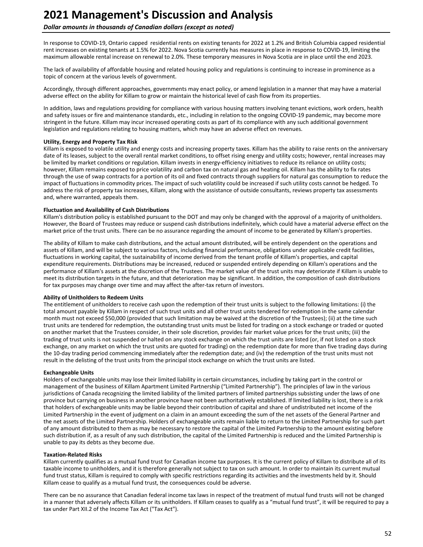#### **Dollar amounts in thousands of Canadian dollars (except as noted)**

In response to COVID-19, Ontario capped residential rents on existing tenants for 2022 at 1.2% and British Columbia capped residential rent increases on existing tenants at 1.5% for 2022. Nova Scotia currently has measures in place in response to COVID-19, limiting the maximum allowable rental increase on renewal to 2.0%. These temporary measures in Nova Scotia are in place until the end 2023.

The lack of availability of affordable housing and related housing policy and regulations is continuing to increase in prominence as a topic of concern at the various levels of government.

Accordingly, through different approaches, governments may enact policy, or amend legislation in a manner that may have a material adverse effect on the ability for Killam to grow or maintain the historical level of cash flow from its properties.

In addition, laws and regulations providing for compliance with various housing matters involving tenant evictions, work orders, health and safety issues or fire and maintenance standards, etc., including in relation to the ongoing COVID-19 pandemic, may become more stringent in the future. Killam may incur increased operating costs as part of its compliance with any such additional government legislation and regulations relating to housing matters, which may have an adverse effect on revenues.

#### **Utility, Energy and Property Tax Risk**

Killam is exposed to volatile utility and energy costs and increasing property taxes. Killam has the ability to raise rents on the anniversary date of its leases, subject to the overall rental market conditions, to offset rising energy and utility costs; however, rental increases may be limited by market conditions or regulation. Killam invests in energy-efficiency initiatives to reduce its reliance on utility costs; however, Killam remains exposed to price volatility and carbon tax on natural gas and heating oil. Killam has the ability to fix rates through the use of swap contracts for a portion of its oil and fixed contracts through suppliers for natural gas consumption to reduce the impact of fluctuations in commodity prices. The impact of such volatility could be increased if such utility costs cannot be hedged. To address the risk of property tax increases, Killam, along with the assistance of outside consultants, reviews property tax assessments and, where warranted, appeals them.

#### **Fluctuation and Availability of Cash Distributions**

Killam's distribution policy is established pursuant to the DOT and may only be changed with the approval of a majority of unitholders. However, the Board of Trustees may reduce or suspend cash distributions indefinitely, which could have a material adverse effect on the market price of the trust units. There can be no assurance regarding the amount of income to be generated by Killam's properties.

The ability of Killam to make cash distributions, and the actual amount distributed, will be entirely dependent on the operations and assets of Killam, and will be subject to various factors, including financial performance, obligations under applicable credit facilities, fluctuations in working capital, the sustainability of income derived from the tenant profile of Killam's properties, and capital expenditure requirements. Distributions may be increased, reduced or suspended entirely depending on Killam's operations and the performance of Killam's assets at the discretion of the Trustees. The market value of the trust units may deteriorate if Killam is unable to meet its distribution targets in the future, and that deterioration may be significant. In addition, the composition of cash distributions for tax purposes may change over time and may affect the after-tax return of investors.

#### **Ability of Unitholders to Redeem Units**

The entitlement of unitholders to receive cash upon the redemption of their trust units is subject to the following limitations: (i) the total amount payable by Killam in respect of such trust units and all other trust units tendered for redemption in the same calendar month must not exceed \$50,000 (provided that such limitation may be waived at the discretion of the Trustees); (ii) at the time such trust units are tendered for redemption, the outstanding trust units must be listed for trading on a stock exchange or traded or quoted on another market that the Trustees consider, in their sole discretion, provides fair market value prices for the trust units; (iii) the trading of trust units is not suspended or halted on any stock exchange on which the trust units are listed (or, if not listed on a stock exchange, on any market on which the trust units are quoted for trading) on the redemption date for more than five trading days during the 10-day trading period commencing immediately after the redemption date; and (iv) the redemption of the trust units must not result in the delisting of the trust units from the principal stock exchange on which the trust units are listed.

#### **Exchangeable Units**

Holders of exchangeable units may lose their limited liability in certain circumstances, including by taking part in the control or management of the business of Killam Apartment Limited Partnership ("Limited Partnership"). The principles of law in the various jurisdictions of Canada recognizing the limited liability of the limited partners of limited partnerships subsisting under the laws of one province but carrying on business in another province have not been authoritatively established. If limited liability is lost, there is a risk that holders of exchangeable units may be liable beyond their contribution of capital and share of undistributed net income of the Limited Partnership in the event of judgment on a claim in an amount exceeding the sum of the net assets of the General Partner and the net assets of the Limited Partnership. Holders of exchangeable units remain liable to return to the Limited Partnership for such part of any amount distributed to them as may be necessary to restore the capital of the Limited Partnership to the amount existing before such distribution if, as a result of any such distribution, the capital of the Limited Partnership is reduced and the Limited Partnership is unable to pay its debts as they become due.

#### **Taxation-Related Risks**

Killam currently qualifies as a mutual fund trust for Canadian income tax purposes. It is the current policy of Killam to distribute all of its taxable income to unitholders, and it is therefore generally not subject to tax on such amount. In order to maintain its current mutual fund trust status, Killam is required to comply with specific restrictions regarding its activities and the investments held by it. Should Killam cease to qualify as a mutual fund trust, the consequences could be adverse.

There can be no assurance that Canadian federal income tax laws in respect of the treatment of mutual fund trusts will not be changed in a manner that adversely affects Killam or its unitholders. If Killam ceases to qualify as a "mutual fund trust", it will be required to pay a tax under Part XII.2 of the Income Tax Act ("Tax Act").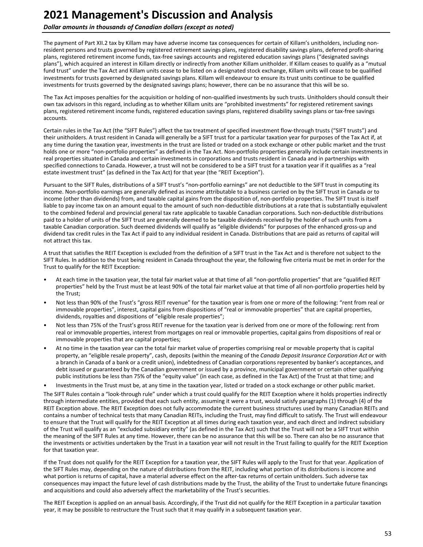**Dollar amounts in thousands of Canadian dollars (except as noted)** 

The payment of Part XII.2 tax by Killam may have adverse income tax consequences for certain of Killam's unitholders, including nonresident persons and trusts governed by registered retirement savings plans, registered disability savings plans, deferred profit-sharing plans, registered retirement income funds, tax-free savings accounts and registered education savings plans ("designated savings plans"), which acquired an interest in Killam directly or indirectly from another Killam unitholder. If Killam ceases to qualify as a "mutual fund trust" under the Tax Act and Killam units cease to be listed on a designated stock exchange, Killam units will cease to be qualified investments for trusts governed by designated savings plans. Killam will endeavour to ensure its trust units continue to be qualified investments for trusts governed by the designated savings plans; however, there can be no assurance that this will be so.

The Tax Act imposes penalties for the acquisition or holding of non-qualified investments by such trusts. Unitholders should consult their own tax advisors in this regard, including as to whether Killam units are "prohibited investments" for registered retirement savings plans, registered retirement income funds, registered education savings plans, registered disability savings plans or tax-free savings accounts.

Certain rules in the Tax Act (the "SIFT Rules") affect the tax treatment of specified investment flow-through trusts ("SIFT trusts") and their unitholders. A trust resident in Canada will generally be a SIFT trust for a particular taxation year for purposes of the Tax Act if, at any time during the taxation year, investments in the trust are listed or traded on a stock exchange or other public market and the trust holds one or more "non-portfolio properties" as defined in the Tax Act. Non-portfolio properties generally include certain investments in real properties situated in Canada and certain investments in corporations and trusts resident in Canada and in partnerships with specified connections to Canada. However, a trust will not be considered to be a SIFT trust for a taxation year if it qualifies as a "real estate investment trust" (as defined in the Tax Act) for that year (the "REIT Exception").

Pursuant to the SIFT Rules, distributions of a SIFT trust's "non-portfolio earnings" are not deductible to the SIFT trust in computing its income. Non-portfolio earnings are generally defined as income attributable to a business carried on by the SIFT trust in Canada or to income (other than dividends) from, and taxable capital gains from the disposition of, non-portfolio properties. The SIFT trust is itself liable to pay income tax on an amount equal to the amount of such non-deductible distributions at a rate that is substantially equivalent to the combined federal and provincial general tax rate applicable to taxable Canadian corporations. Such non-deductible distributions paid to a holder of units of the SIFT trust are generally deemed to be taxable dividends received by the holder of such units from a taxable Canadian corporation. Such deemed dividends will qualify as "eligible dividends" for purposes of the enhanced gross-up and dividend tax credit rules in the Tax Act if paid to any individual resident in Canada. Distributions that are paid as returns of capital will not attract this tax.

A trust that satisfies the REIT Exception is excluded from the definition of a SIFT trust in the Tax Act and is therefore not subject to the SIFT Rules. In addition to the trust being resident in Canada throughout the year, the following five criteria must be met in order for the Trust to qualify for the REIT Exception:

- At each time in the taxation year, the total fair market value at that time of all "non-portfolio properties" that are "qualified REIT properties" held by the Trust must be at least 90% of the total fair market value at that time of all non-portfolio properties held by the Trust;
- Not less than 90% of the Trust's "gross REIT revenue" for the taxation year is from one or more of the following: "rent from real or immovable properties", interest, capital gains from dispositions of "real or immovable properties" that are capital properties, dividends, royalties and dispositions of "eligible resale properties";
- Not less than 75% of the Trust's gross REIT revenue for the taxation year is derived from one or more of the following: rent from real or immovable properties, interest from mortgages on real or immovable properties, capital gains from dispositions of real or immovable properties that are capital properties;
- At no time in the taxation year can the total fair market value of properties comprising real or movable property that is capital property, an "eligible resale property", cash, deposits (within the meaning of the *Canada Deposit Insurance Corporation Act* or with a branch in Canada of a bank or a credit union), indebtedness of Canadian corporations represented by banker's acceptances, and debt issued or guaranteed by the Canadian government or issued by a province, municipal government or certain other qualifying public institutions be less than 75% of the "equity value" (in each case, as defined in the Tax Act) of the Trust at that time; and
- Investments in the Trust must be, at any time in the taxation year, listed or traded on a stock exchange or other public market.

The SIFT Rules contain a "look-through rule" under which a trust could qualify for the REIT Exception where it holds properties indirectly through intermediate entities, provided that each such entity, assuming it were a trust, would satisfy paragraphs (1) through (4) of the REIT Exception above. The REIT Exception does not fully accommodate the current business structures used by many Canadian REITs and contains a number of technical tests that many Canadian REITs, including the Trust, may find difficult to satisfy. The Trust will endeavour to ensure that the Trust will qualify for the REIT Exception at all times during each taxation year, and each direct and indirect subsidiary of the Trust will qualify as an "excluded subsidiary entity" (as defined in the Tax Act) such that the Trust will not be a SIFT trust within the meaning of the SIFT Rules at any time. However, there can be no assurance that this will be so. There can also be no assurance that the investments or activities undertaken by the Trust in a taxation year will not result in the Trust failing to qualify for the REIT Exception for that taxation year.

If the Trust does not qualify for the REIT Exception for a taxation year, the SIFT Rules will apply to the Trust for that year. Application of the SIFT Rules may, depending on the nature of distributions from the REIT, including what portion of its distributions is income and what portion is returns of capital, have a material adverse effect on the after-tax returns of certain unitholders. Such adverse tax consequences may impact the future level of cash distributions made by the Trust, the ability of the Trust to undertake future financings and acquisitions and could also adversely affect the marketability of the Trust's securities.

The REIT Exception is applied on an annual basis. Accordingly, if the Trust did not qualify for the REIT Exception in a particular taxation year, it may be possible to restructure the Trust such that it may qualify in a subsequent taxation year.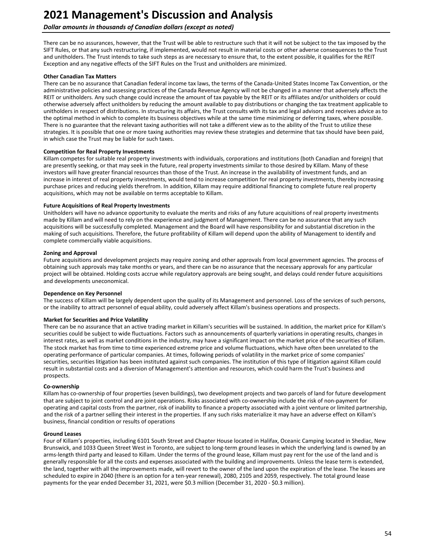### **Dollar amounts in thousands of Canadian dollars (except as noted)**

There can be no assurances, however, that the Trust will be able to restructure such that it will not be subject to the tax imposed by the SIFT Rules, or that any such restructuring, if implemented, would not result in material costs or other adverse consequences to the Trust and unitholders. The Trust intends to take such steps as are necessary to ensure that, to the extent possible, it qualifies for the REIT Exception and any negative effects of the SIFT Rules on the Trust and unitholders are minimized.

#### **Other Canadian Tax Matters**

There can be no assurance that Canadian federal income tax laws, the terms of the Canada-United States Income Tax Convention, or the administrative policies and assessing practices of the Canada Revenue Agency will not be changed in a manner that adversely affects the REIT or unitholders. Any such change could increase the amount of tax payable by the REIT or its affiliates and/or unitholders or could otherwise adversely affect unitholders by reducing the amount available to pay distributions or changing the tax treatment applicable to unitholders in respect of distributions. In structuring its affairs, the Trust consults with its tax and legal advisors and receives advice as to the optimal method in which to complete its business objectives while at the same time minimizing or deferring taxes, where possible. There is no guarantee that the relevant taxing authorities will not take a different view as to the ability of the Trust to utilize these strategies. It is possible that one or more taxing authorities may review these strategies and determine that tax should have been paid, in which case the Trust may be liable for such taxes.

#### **Competition for Real Property Investments**

Killam competes for suitable real property investments with individuals, corporations and institutions (both Canadian and foreign) that are presently seeking, or that may seek in the future, real property investments similar to those desired by Killam. Many of these investors will have greater financial resources than those of the Trust. An increase in the availability of investment funds, and an increase in interest of real property investments, would tend to increase competition for real property investments, thereby increasing purchase prices and reducing yields therefrom. In addition, Killam may require additional financing to complete future real property acquisitions, which may not be available on terms acceptable to Killam.

#### **Future Acquisitions of Real Property Investments**

Unitholders will have no advance opportunity to evaluate the merits and risks of any future acquisitions of real property investments made by Killam and will need to rely on the experience and judgment of Management. There can be no assurance that any such acquisitions will be successfully completed. Management and the Board will have responsibility for and substantial discretion in the making of such acquisitions. Therefore, the future profitability of Killam will depend upon the ability of Management to identify and complete commercially viable acquisitions.

#### **Zoning and Approval**

Future acquisitions and development projects may require zoning and other approvals from local government agencies. The process of obtaining such approvals may take months or years, and there can be no assurance that the necessary approvals for any particular project will be obtained. Holding costs accrue while regulatory approvals are being sought, and delays could render future acquisitions and developments uneconomical.

#### **Dependence on Key Personnel**

The success of Killam will be largely dependent upon the quality of its Management and personnel. Loss of the services of such persons, or the inability to attract personnel of equal ability, could adversely affect Killam's business operations and prospects.

#### **Market for Securities and Price Volatility**

There can be no assurance that an active trading market in Killam's securities will be sustained. In addition, the market price for Killam's securities could be subject to wide fluctuations. Factors such as announcements of quarterly variations in operating results, changes in interest rates, as well as market conditions in the industry, may have a significant impact on the market price of the securities of Killam. The stock market has from time to time experienced extreme price and volume fluctuations, which have often been unrelated to the operating performance of particular companies. At times, following periods of volatility in the market price of some companies' securities, securities litigation has been instituted against such companies. The institution of this type of litigation against Killam could result in substantial costs and a diversion of Management's attention and resources, which could harm the Trust's business and prospects.

#### **Co-ownership**

Killam has co-ownership of four properties (seven buildings), two development projects and two parcels of land for future development that are subject to joint control and are joint operations. Risks associated with co-ownership include the risk of non-payment for operating and capital costs from the partner, risk of inability to finance a property associated with a joint venture or limited partnership, and the risk of a partner selling their interest in the properties. If any such risks materialize it may have an adverse effect on Killam's business, financial condition or results of operations

#### **Ground Leases**

Four of Killam's properties, including 6101 South Street and Chapter House located in Halifax, Oceanic Camping located in Shediac, New Brunswick, and 1033 Queen Street West in Toronto, are subject to long-term ground leases in which the underlying land is owned by an arms-length third party and leased to Killam. Under the terms of the ground lease, Killam must pay rent for the use of the land and is generally responsible for all the costs and expenses associated with the building and improvements. Unless the lease term is extended, the land, together with all the improvements made, will revert to the owner of the land upon the expiration of the lease. The leases are scheduled to expire in 2040 (there is an option for a ten-year renewal), 2080, 2105 and 2059, respectively. The total ground lease payments for the year ended December 31, 2021, were \$0.3 million (December 31, 2020 - \$0.3 million).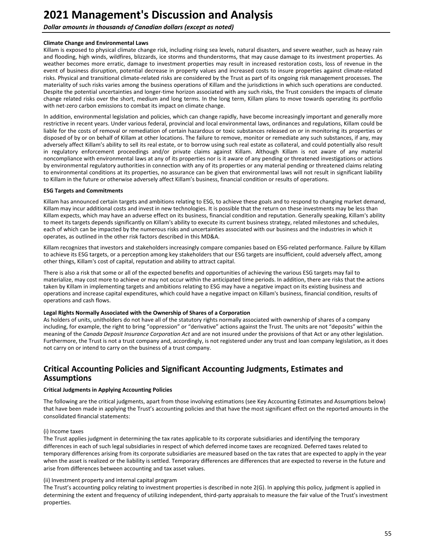<span id="page-54-0"></span>**Dollar amounts in thousands of Canadian dollars (except as noted)** 

#### **Climate Change and Environmental Laws**

Killam is exposed to physical climate change risk, including rising sea levels, natural disasters, and severe weather, such as heavy rain and flooding, high winds, wildfires, blizzards, ice storms and thunderstorms, that may cause damage to its investment properties. As weather becomes more erratic, damage to investment properties may result in increased restoration costs, loss of revenue in the event of business disruption, potential decrease in property values and increased costs to insure properties against climate-related risks. Physical and transitional climate-related risks are considered by the Trust as part of its ongoing risk management processes. The materiality of such risks varies among the business operations of Killam and the jurisdictions in which such operations are conducted. Despite the potential uncertainties and longer-time horizon associated with any such risks, the Trust considers the impacts of climate change related risks over the short, medium and long terms. In the long term, Killam plans to move towards operating its portfolio with net-zero carbon emissions to combat its impact on climate change.

In addition, environmental legislation and policies, which can change rapidly, have become increasingly important and generally more restrictive in recent years. Under various federal, provincial and local environmental laws, ordinances and regulations, Killam could be liable for the costs of removal or remediation of certain hazardous or toxic substances released on or in monitoring its properties or disposed of by or on behalf of Killam at other locations. The failure to remove, monitor or remediate any such substances, if any, may adversely affect Killam's ability to sell its real estate, or to borrow using such real estate as collateral, and could potentially also result in regulatory enforcement proceedings and/or private claims against Killam. Although Killam is not aware of any material noncompliance with environmental laws at any of its properties nor is it aware of any pending or threatened investigations or actions by environmental regulatory authorities in connection with any of its properties or any material pending or threatened claims relating to environmental conditions at its properties, no assurance can be given that environmental laws will not result in significant liability to Killam in the future or otherwise adversely affect Killam's business, financial condition or results of operations.

#### **ESG Targets and Commitments**

Killam has announced certain targets and ambitions relating to ESG, to achieve these goals and to respond to changing market demand, Killam may incur additional costs and invest in new technologies. It is possible that the return on these investments may be less than Killam expects, which may have an adverse effect on its business, financial condition and reputation. Generally speaking, Killam's ability to meet its targets depends significantly on Killam's ability to execute its current business strategy, related milestones and schedules, each of which can be impacted by the numerous risks and uncertainties associated with our business and the industries in which it operates, as outlined in the other risk factors described in this MD&A.

Killam recognizes that investors and stakeholders increasingly compare companies based on ESG-related performance. Failure by Killam to achieve its ESG targets, or a perception among key stakeholders that our ESG targets are insufficient, could adversely affect, among other things, Killam's cost of capital, reputation and ability to attract capital.

There is also a risk that some or all of the expected benefits and opportunities of achieving the various ESG targets may fail to materialize, may cost more to achieve or may not occur within the anticipated time periods. In addition, there are risks that the actions taken by Killam in implementing targets and ambitions relating to ESG may have a negative impact on its existing business and operations and increase capital expenditures, which could have a negative impact on Killam's business, financial condition, results of operations and cash flows.

#### Legal Rights Normally Associated with the Ownership of Shares of a Corporation

As holders of units, unitholders do not have all of the statutory rights normally associated with ownership of shares of a company including, for example, the right to bring "oppression" or "derivative" actions against the Trust. The units are not "deposits" within the meaning of the *Canada Deposit Insurance Corporation Act* and are not insured under the provisions of that Act or any other legislation. Furthermore, the Trust is not a trust company and, accordingly, is not registered under any trust and loan company legislation, as it does not carry on or intend to carry on the business of a trust company.

# **Critical Accounting Policies and Significant Accounting Judgments, Estimates and Assumptions**

#### **Critical Judgments in Applying Accounting Policies**

The following are the critical judgments, apart from those involving estimations (see Key Accounting Estimates and Assumptions below) that have been made in applying the Trust's accounting policies and that have the most significant effect on the reported amounts in the consolidated financial statements:

#### (i) Income taxes

The Trust applies judgment in determining the tax rates applicable to its corporate subsidiaries and identifying the temporary differences in each of such legal subsidiaries in respect of which deferred income taxes are recognized. Deferred taxes related to temporary differences arising from its corporate subsidiaries are measured based on the tax rates that are expected to apply in the year when the asset is realized or the liability is settled. Temporary differences are differences that are expected to reverse in the future and arise from differences between accounting and tax asset values.

#### (ii) Investment property and internal capital program

The Trust's accounting policy relating to investment properties is described in note 2(G). In applying this policy, judgment is applied in determining the extent and frequency of utilizing independent, third-party appraisals to measure the fair value of the Trust's investment properties.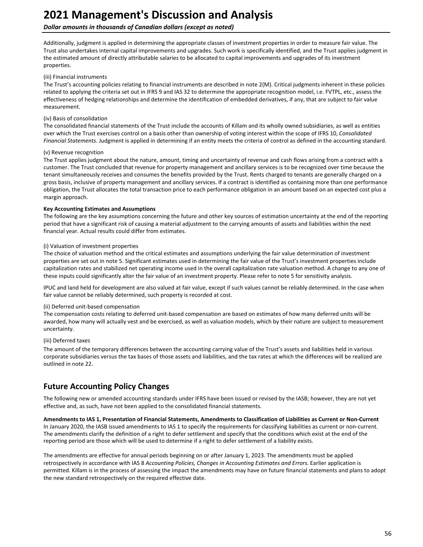## <span id="page-55-0"></span>**Dollar amounts in thousands of Canadian dollars (except as noted)**

Additionally, judgment is applied in determining the appropriate classes of investment properties in order to measure fair value. The Trust also undertakes internal capital improvements and upgrades. Such work is specifically identified, and the Trust applies judgment in the estimated amount of directly attributable salaries to be allocated to capital improvements and upgrades of its investment properties. 

#### (iii) Financial instruments

The Trust's accounting policies relating to financial instruments are described in note 2(M). Critical judgments inherent in these policies related to applying the criteria set out in IFRS 9 and IAS 32 to determine the appropriate recognition model, i.e. FVTPL, etc., assess the effectiveness of hedging relationships and determine the identification of embedded derivatives, if any, that are subject to fair value measurement. 

#### (iv) Basis of consolidation

The consolidated financial statements of the Trust include the accounts of Killam and its wholly owned subsidiaries, as well as entities over which the Trust exercises control on a basis other than ownership of voting interest within the scope of IFRS 10, *Consolidated* Financial Statements. Judgment is applied in determining if an entity meets the criteria of control as defined in the accounting standard.

#### (v) Revenue recognition

The Trust applies judgment about the nature, amount, timing and uncertainty of revenue and cash flows arising from a contract with a customer. The Trust concluded that revenue for property management and ancillary services is to be recognized over time because the tenant simultaneously receives and consumes the benefits provided by the Trust. Rents charged to tenants are generally charged on a gross basis, inclusive of property management and ancillary services. If a contract is identified as containing more than one performance obligation, the Trust allocates the total transaction price to each performance obligation in an amount based on an expected cost plus a margin approach.

#### **Key Accounting Estimates and Assumptions**

The following are the key assumptions concerning the future and other key sources of estimation uncertainty at the end of the reporting period that have a significant risk of causing a material adjustment to the carrying amounts of assets and liabilities within the next financial year. Actual results could differ from estimates.

#### (i) Valuation of investment properties

The choice of valuation method and the critical estimates and assumptions underlying the fair value determination of investment properties are set out in note 5. Significant estimates used in determining the fair value of the Trust's investment properties include capitalization rates and stabilized net operating income used in the overall capitalization rate valuation method. A change to any one of these inputs could significantly alter the fair value of an investment property. Please refer to note 5 for sensitivity analysis.

IPUC and land held for development are also valued at fair value, except if such values cannot be reliably determined. In the case when fair value cannot be reliably determined, such property is recorded at cost.

#### (ii) Deferred unit-based compensation

The compensation costs relating to deferred unit-based compensation are based on estimates of how many deferred units will be awarded, how many will actually vest and be exercised, as well as valuation models, which by their nature are subject to measurement uncertainty. 

#### (iii) Deferred taxes

The amount of the temporary differences between the accounting carrying value of the Trust's assets and liabilities held in various corporate subsidiaries versus the tax bases of those assets and liabilities, and the tax rates at which the differences will be realized are outlined in note 22.

# **Future Accounting Policy Changes**

The following new or amended accounting standards under IFRS have been issued or revised by the IASB; however, they are not yet effective and, as such, have not been applied to the consolidated financial statements.

#### Amendments to IAS 1, Presentation of Financial Statements, Amendments to Classification of Liabilities as Current or Non-Current

In January 2020, the IASB issued amendments to IAS 1 to specify the requirements for classifying liabilities as current or non-current. The amendments clarify the definition of a right to defer settlement and specify that the conditions which exist at the end of the reporting period are those which will be used to determine if a right to defer settlement of a liability exists.

The amendments are effective for annual periods beginning on or after January 1, 2023. The amendments must be applied retrospectively in accordance with IAS 8 *Accounting Policies, Changes in Accounting Estimates and Errors*. Earlier application is permitted. Killam is in the process of assessing the impact the amendments may have on future financial statements and plans to adopt the new standard retrospectively on the required effective date.